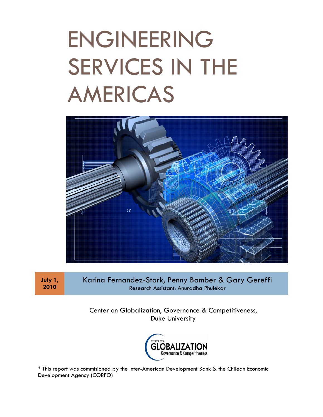# ENGINEERING SERVICES IN THE AMERICAS



**July 1, 2010**

Karina Fernandez-Stark, Penny Bamber & Gary Gereffi Research Assistant: Anuradha Phulekar

Center on Globalization, Governance & Competitiveness, Duke University



\* This report was commisioned by the Inter-American Development Bank & the Chilean Economic Development Agency (CORFO)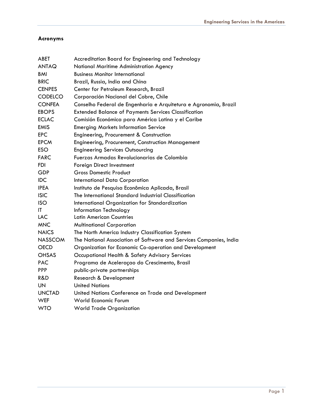## **Acronyms**

| ABET           | Accreditation Board for Engineering and Technology                 |
|----------------|--------------------------------------------------------------------|
| <b>ANTAQ</b>   | National Maritime Administration Agency                            |
| BMI            | <b>Business Monitor International</b>                              |
| <b>BRIC</b>    | Brazil, Russia, India and China                                    |
| <b>CENPES</b>  | Center for Petroleum Research, Brazil                              |
| <b>CODELCO</b> | Corporación Nacional del Cobre, Chile                              |
| <b>CONFEA</b>  | Conselho Federal de Engenharia e Arquitetura e Agronomia, Brazil   |
| <b>EBOPS</b>   | <b>Extended Balance of Payments Services Classification</b>        |
| <b>ECLAC</b>   | Comisión Económica para América Latina y el Caribe                 |
| <b>EMIS</b>    | <b>Emerging Markets Information Service</b>                        |
| <b>EPC</b>     | Engineering, Procurement & Construction                            |
| <b>EPCM</b>    | <b>Engineering, Procurement, Construction Management</b>           |
| <b>ESO</b>     | <b>Engineering Services Outsourcing</b>                            |
| <b>FARC</b>    | Fuerzas Armadas Revolucionarias de Colombia                        |
| FDI            | Foreign Direct Investment                                          |
| <b>GDP</b>     | <b>Gross Domestic Product</b>                                      |
| IDC            | <b>International Data Corporation</b>                              |
| <b>IPEA</b>    | Instituto de Pesquisa Econômica Aplicada, Brasil                   |
| <b>ISIC</b>    | The International Standard Industrial Classification               |
| <b>ISO</b>     | International Organization for Standardization                     |
| ΙT             | <b>Information Technology</b>                                      |
| <b>LAC</b>     | <b>Latin American Countries</b>                                    |
| <b>MNC</b>     | <b>Multinational Corporation</b>                                   |
| <b>NAICS</b>   | The North America Industry Classification System                   |
| <b>NASSCOM</b> | The National Association of Software and Services Companies, India |
| <b>OECD</b>    | Organization for Economic Co-operation and Development             |
| <b>OHSAS</b>   | Occupational Health & Safety Advisory Services                     |
| <b>PAC</b>     | Programa de Aceleraçao do Crescimento, Brasil                      |
| <b>PPP</b>     | public-private partnerships                                        |
| R&D            | Research & Development                                             |
| UN             | <b>United Nations</b>                                              |
| <b>UNCTAD</b>  | United Nations Conference on Trade and Development                 |
| <b>WEF</b>     | World Economic Forum                                               |
| <b>WTO</b>     | <b>World Trade Organization</b>                                    |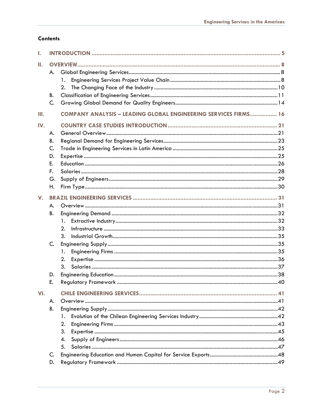## **Contents**

| I.  |                |                                                                 |  |
|-----|----------------|-----------------------------------------------------------------|--|
| Ⅱ.  |                |                                                                 |  |
|     | А.             |                                                                 |  |
|     |                | 1.                                                              |  |
|     |                |                                                                 |  |
|     | В.             |                                                                 |  |
|     | C.             |                                                                 |  |
| Ш.  |                | COMPANY ANALYSIS - LEADING GLOBAL ENGINEERING SERVICES FIRMS 16 |  |
| IV. |                |                                                                 |  |
|     | А.             |                                                                 |  |
|     | В.             |                                                                 |  |
|     | C.             |                                                                 |  |
|     | D.             |                                                                 |  |
|     | E.             |                                                                 |  |
|     | F.             |                                                                 |  |
|     | G.             |                                                                 |  |
|     | Н.             |                                                                 |  |
| V.  |                |                                                                 |  |
|     | А.             |                                                                 |  |
|     | В.             |                                                                 |  |
|     |                | 1.                                                              |  |
|     |                | 2.                                                              |  |
|     |                | 3.                                                              |  |
|     | $\mathsf{C}$ . |                                                                 |  |
|     |                | 1.                                                              |  |
|     |                | 2.                                                              |  |
|     |                | 3.                                                              |  |
|     | D.             |                                                                 |  |
|     | E.             |                                                                 |  |
| VI. |                |                                                                 |  |
|     | А.             |                                                                 |  |
|     | B.             |                                                                 |  |
|     |                | 1.                                                              |  |
|     |                | 2.                                                              |  |
|     |                | 3.                                                              |  |
|     |                | 4.                                                              |  |
|     |                | 5.                                                              |  |
|     | C.             |                                                                 |  |
|     | D.             |                                                                 |  |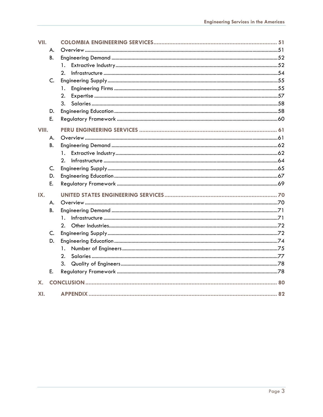| VII.  |    |                |  |
|-------|----|----------------|--|
|       | А. |                |  |
|       | В. |                |  |
|       |    | 1.             |  |
|       |    | 2.             |  |
|       | C. |                |  |
|       |    | 1.             |  |
|       |    | 2.             |  |
|       |    | 3.             |  |
|       | D. |                |  |
|       | E. |                |  |
| VIII. |    |                |  |
|       | A. |                |  |
|       | В. |                |  |
|       |    | 1.             |  |
|       |    | 2.             |  |
|       | C. |                |  |
|       | D. |                |  |
|       | E. |                |  |
| IX.   |    |                |  |
|       | А. |                |  |
|       | В. |                |  |
|       |    | $\mathbf{1}$ . |  |
|       |    | 2.             |  |
|       | C. |                |  |
|       | D. |                |  |
|       |    | 1.             |  |
|       |    | 2.             |  |
|       |    | 3.             |  |
|       | E. |                |  |
| X.    |    |                |  |
| XI.   |    |                |  |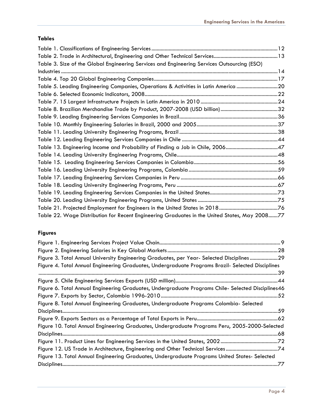# **Tables**

| Table 3. Size of the Global Engineering Services and Engineering Services Outsourcing (ESO)   |  |
|-----------------------------------------------------------------------------------------------|--|
|                                                                                               |  |
|                                                                                               |  |
| Table 5. Leading Engineering Companies, Operations & Activities in Latin America 20           |  |
|                                                                                               |  |
|                                                                                               |  |
|                                                                                               |  |
|                                                                                               |  |
|                                                                                               |  |
|                                                                                               |  |
|                                                                                               |  |
| Table 13. Engineering Income and Probability of Finding a Job in Chile, 200647                |  |
|                                                                                               |  |
|                                                                                               |  |
|                                                                                               |  |
|                                                                                               |  |
|                                                                                               |  |
|                                                                                               |  |
|                                                                                               |  |
|                                                                                               |  |
| Table 22. Wage Distribution for Recent Engineering Graduates in the United States, May 200877 |  |

# **Figures**

| Figure 3. Total Annual University Engineering Graduates, per Year- Selected Disciplines29          |
|----------------------------------------------------------------------------------------------------|
| Figure 4. Total Annual Engineering Graduates, Undergraduate Programs Brazil- Selected Disciplines  |
|                                                                                                    |
|                                                                                                    |
| Figure 6. Total Annual Engineering Graduates, Undergraduate Programs Chile- Selected Disciplines46 |
|                                                                                                    |
| Figure 8. Total Annual Engineering Graduates, Undergraduate Programs Colombia- Selected            |
|                                                                                                    |
|                                                                                                    |
| Figure 10. Total Annual Engineering Graduates, Undergraduate Programs Peru, 2005-2000-Selected     |
|                                                                                                    |
|                                                                                                    |
| Figure 12. US Trade in Architecture, Engineering and Other Technical Services74                    |
| Figure 13. Total Annual Engineering Graduates, Undergraduate Programs United States-Selected       |
|                                                                                                    |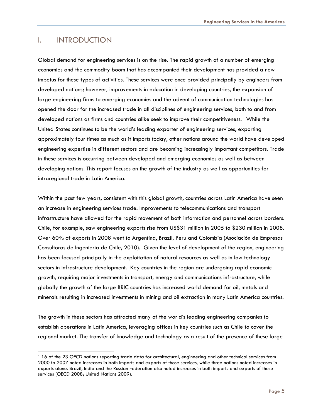## <span id="page-5-0"></span>I. INTRODUCTION

-

Global demand for engineering services is on the rise. The rapid growth of a number of emerging economies and the commodity boom that has accompanied their development has provided a new impetus for these types of activities. These services were once provided principally by engineers from developed nations; however, improvements in education in developing countries, the expansion of large engineering firms to emerging economies and the advent of communication technologies has opened the door for the increased trade in all disciplines of engineering services, both to and from developed nations as firms and countries alike seek to improve their competitiveness.[1](#page-5-1) While the United States continues to be the world's leading exporter of engineering services, exporting approximately four times as much as it imports today, other nations around the world have developed engineering expertise in different sectors and are becoming increasingly important competitors. Trade in these services is occurring between developed and emerging economies as well as between developing nations. This report focuses on the growth of the industry as well as opportunities for intraregional trade in Latin America.

Within the past few years, consistent with this global growth, countries across Latin America have seen an increase in engineering services trade. Improvements to telecommunications and transport infrastructure have allowed for the rapid movement of both information and personnel across borders. Chile, for example, saw engineering exports rise from US\$31 million in 2005 to \$230 million in 2008. Over 60% of exports in 2008 went to Argentina, Brazil, Peru and Colombia (Asociación de Empresas Consultoras de Ingenieria de Chile, 2010). Given the level of development of the region, engineering has been focused principally in the exploitation of natural resources as well as in low technology sectors in infrastructure development. Key countries in the region are undergoing rapid economic growth, requiring major investments in transport, energy and communications infrastructure, while globally the growth of the large BRIC countries has increased world demand for oil, metals and minerals resulting in increased investments in mining and oil extraction in many Latin America countries.

The growth in these sectors has attracted many of the world's leading engineering companies to establish operations in Latin America, leveraging offices in key countries such as Chile to cover the regional market. The transfer of knowledge and technology as a result of the presence of these large

<span id="page-5-1"></span><sup>1 16</sup> of the 23 OECD nations reporting trade data for architectural, engineering and other technical services from 2000 to 2007 noted increases in both imports and exports of those services, while three nations noted increases in exports alone. Brazil, India and the Russian Federation also noted increases in both imports and exports of these services (OECD 2008; United Nations 2009).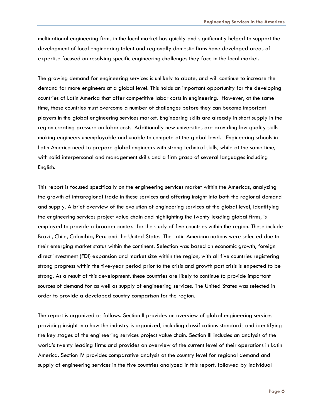multinational engineering firms in the local market has quickly and significantly helped to support the development of local engineering talent and regionally domestic firms have developed areas of expertise focused on resolving specific engineering challenges they face in the local market.

The growing demand for engineering services is unlikely to abate, and will continue to increase the demand for more engineers at a global level. This holds an important opportunity for the developing countries of Latin America that offer competitive labor costs in engineering. However, at the same time, these countries must overcome a number of challenges before they can become important players in the global engineering services market. Engineering skills are already in short supply in the region creating pressure on labor costs. Additionally new universities are providing low quality skills making engineers unemployable and unable to compete at the global level. Engineering schools in Latin America need to prepare global engineers with strong technical skills, while at the same time, with solid interpersonal and management skills and a firm grasp of several languages including English.

This report is focused specifically on the engineering services market within the Americas, analyzing the growth of intraregional trade in these services and offering insight into both the regional demand and supply. A brief overview of the evolution of engineering services at the global level, identifying the engineering services project value chain and highlighting the twenty leading global firms, is employed to provide a broader context for the study of five countries within the region. These include Brazil, Chile, Colombia, Peru and the United States. The Latin American nations were selected due to their emerging market status within the continent. Selection was based on economic growth, foreign direct investment (FDI) expansion and market size within the region, with all five countries registering strong progress within the five-year period prior to the crisis and growth post crisis is expected to be strong. As a result of this development, these countries are likely to continue to provide important sources of demand for as well as supply of engineering services. The United States was selected in order to provide a developed country comparison for the region.

The report is organized as follows. Section II provides an overview of global engineering services providing insight into how the industry is organized, including classifications standards and identifying the key stages of the engineering services project value chain. Section III includes an analysis of the world's twenty leading firms and provides an overview of the current level of their operations in Latin America. Section IV provides comparative analysis at the country level for regional demand and supply of engineering services in the five countries analyzed in this report, followed by individual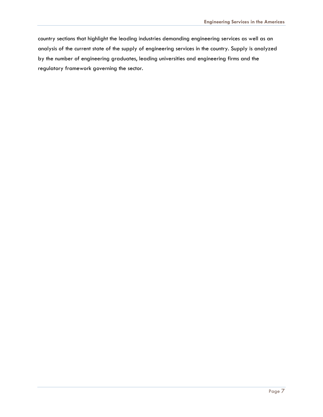country sections that highlight the leading industries demanding engineering services as well as an analysis of the current state of the supply of engineering services in the country. Supply is analyzed by the number of engineering graduates, leading universities and engineering firms and the regulatory framework governing the sector.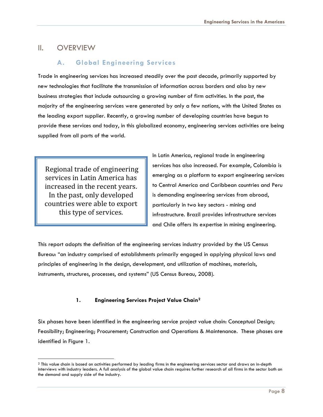# <span id="page-8-0"></span>II. OVERVIEW

# **A. Global Engineering Services**

Trade in engineering services has increased steadily over the past decade, primarily supported by new technologies that facilitate the transmission of information across borders and also by new business strategies that include outsourcing a growing number of firm activities. In the past, the majority of the engineering services were generated by only a few nations, with the United States as the leading export supplier. Recently, a growing number of developing countries have begun to provide these services and today, in this globalized economy, engineering services activities are being supplied from all parts of the world.

 Regional trade of engineering services in Latin America has increased in the recent years. In the past, only developed countries were able to export this type of services.

In Latin America, regional trade in engineering services has also increased. For example, Colombia is emerging as a platform to export engineering services to Central America and Caribbean countries and Peru is demanding engineering services from abroad, particularly in two key sectors - mining and infrastructure. Brazil provides infrastructure services and Chile offers its expertise in mining engineering.

This report adopts the definition of the engineering services industry provided by the US Census Bureau: "an industry comprised of establishments primarily engaged in applying physical laws and principles of engineering in the design, development, and utilization of machines, materials, instruments, structures, processes, and systems" (US Census Bureau, 2008).

### **1. Engineering Services Project Value Chain[2](#page-8-1)**

Six phases have been identified in the engineering service project value chain: Conceptual Design; Feasibility; Engineering; Procurement; Construction and Operations & Maintenance. These phases are identified in Figure 1.

<span id="page-8-1"></span> <sup>2</sup> This value chain is based on activities performed by leading firms in the engineering services sector and draws on in-depth interviews with industry leaders. A full analysis of the global value chain requires further research of all firms in the sector both on the demand and supply side of the industry.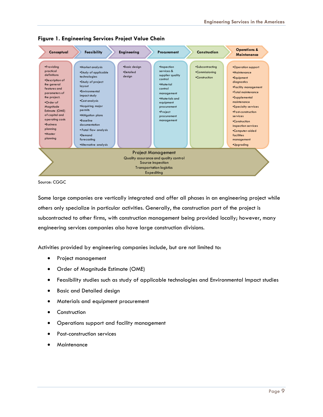

<span id="page-9-0"></span>**Figure 1. Engineering Services Project Value Chain** 

Source: CGGC

Some large companies are vertically integrated and offer all phases in an engineering project while others only specialize in particular activities. Generally, the construction part of the project is subcontracted to other firms, with construction management being provided locally; however, many engineering services companies also have large construction divisions.

Activities provided by engineering companies include, but are not limited to:

- Project management
- Order of Magnitude Estimate (OME)
- Feasibility studies such as study of applicable technologies and Environmental Impact studies
- Basic and Detailed design
- Materials and equipment procurement
- Construction
- Operations support and facility management
- Post-construction services
- **Maintenance**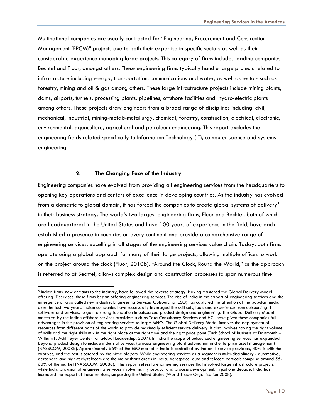<span id="page-10-0"></span>Multinational companies are usually contracted for "Engineering, Procurement and Construction Management (EPCM)" projects due to both their expertise in specific sectors as well as their considerable experience managing large projects. This category of firms includes leading companies Bechtel and Fluor, amongst others. These engineering firms typically handle large projects related to infrastructure including energy, transportation, communications and water, as well as sectors such as forestry, mining and oil & gas among others. These large infrastructure projects include mining plants, dams, airports, tunnels, processing plants, pipelines, offshore facilities and hydro-electric plants among others. These projects draw engineers from a broad range of disciplines including: civil, mechanical, industrial, mining-metals-metallurgy, chemical, forestry, construction, electrical, electronic, environmental, aquaculture, agricultural and petroleum engineering. This report excludes the engineering fields related specifically to Information Technology (IT), computer science and systems engineering.

#### **2. The Changing Face of the Industry**

-

Engineering companies have evolved from providing all engineering services from the headquarters to opening key operations and centers of excellence in developing countries. As the industry has evolved from a domestic to global domain, it has forced the companies to create global systems of delivery<sup>[3](#page-10-1)</sup> in their business strategy. The world's two largest engineering firms, Fluor and Bechtel, both of which are headquartered in the United States and have 100 years of experience in the field, have each established a presence in countries on every continent and provide a comprehensive range of engineering services, excelling in all stages of the engineering services value chain. Today, both firms operate using a global approach for many of their large projects, allowing multiple offices to work on the project around the clock (Fluor, 2010b). "Around the Clock, Round the World," as the approach is referred to at Bechtel, allows complex design and construction processes to span numerous time

<span id="page-10-1"></span><sup>3</sup> Indian firms, new entrants to the industry, have followed the reverse strategy. Having mastered the Global Delivery Model offering IT services, these firms began offering engineering services. The rise of India in the export of engineering services and the emergence of a so called new industry, Engineering Services Outsourcing (ESO) has captured the attention of the popular media over the last two years. Indian companies have successfully leveraged the skill sets, tools and experience from outsourcing IT software and services, to gain a strong foundation in outsourced product design and engineering. The Global Delivery Model mastered by the Indian offshore services providers such as Tata Consultancy Services and HCL have given these companies full advantages in the provision of engineering services to large MNCs. The Global Delivery Model involves the deployment of resources from different parts of the world to provide maximally efficient service delivery. It also involves having the right volume of skills and the right skills mix in the right place at the right time and the right price point (Tuck School of Business at Dartmouth – William F. Achtmeyer Center for Global Leadership, 2007). In India the scope of outsourced engineering services has expanded beyond product design to include industrial services (process engineering plant automation and enterprise asset management) (NASSCOM, 2008b). Approximately 55% of the ESO market in India is controlled by Indian IT service providers, 40% is with the captives, and the rest is catered by the niche players. While engineering services as a segment is multi-disciplinary - automotive, aerospace and high-tech/telecom are the major thrust areas in India. Aerospace, auto and telecom verticals comprise around 55- 60% of the market (NASSCOM, 2008a). This report refers to engineering services that involved large infrastructure projects, while India provision of engineering services involve mainly product and process development. In just one decade, India has increased the export of these services, surpassing the United States (World Trade Organization 2008).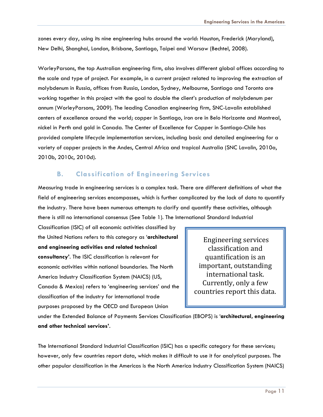<span id="page-11-0"></span>zones every day, using its nine engineering hubs around the world: Houston, Frederick (Maryland), New Delhi, Shanghai, London, Brisbane, Santiago, Taipei and Warsaw (Bechtel, 2008).

WorleyParsons, the top Australian engineering firm, also involves different global offices according to the scale and type of project. For example, in a current project related to improving the extraction of molybdenum in Russia, offices from Russia, London, Sydney, Melbourne, Santiago and Toronto are working together in this project with the goal to double the client's production of molybdenum per annum (WorleyParsons, 2009). The leading Canadian engineering firm, SNC-Lavalin established centers of excellence around the world; copper in Santiago, iron ore in Belo Horizonte and Montreal, nickel in Perth and gold in Canada. The Center of Excellence for Copper in Santiago-Chile has provided complete lifecycle implementation services, including basic and detailed engineering for a variety of copper projects in the Andes, Central Africa and tropical Australia (SNC Lavalin, 2010a, 2010b, 2010c, 2010d).

# **B. Classification of Engineering Services**

Measuring trade in engineering services is a complex task. There are different definitions of what the field of engineering services encompasses, which is further complicated by the lack of data to quantify the industry. There have been numerous attempts to clarify and quantify these activities, although there is still no international consensus (See Table 1). The International Standard Industrial

Classification (ISIC) of all economic activities classified by the United Nations refers to this category as '**architectural and engineering activities and related technical consultancy'**. The ISIC classification is relevant for economic activities within national boundaries. The North America Industry Classification System (NAICS) (US, Canada & Mexico) refers to 'engineering services' and the classification of the industry for international trade purposes proposed by the OECD and European Union

 Engineering services classification and quantification is an important, outstanding international task. Currently, only a few countries report this data.

under the Extended Balance of Payments Services Classification (EBOPS) is '**architectural, engineering and other technical services'**.

The International Standard Industrial Classification (ISIC) has a specific category for these services; however, only few countries report data, which makes it difficult to use it for analytical purposes. The other popular classification in the Americas is the North America Industry Classification System (NAICS)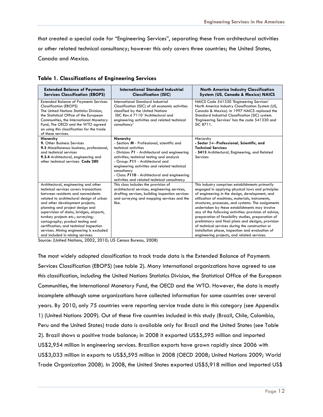<span id="page-12-0"></span>that created a special code for "Engineering Services", separating these from architectural activities or other related technical consultancy; however this only covers three countries; the United States, Canada and Mexico.

| <b>Extended Balance of Payments</b><br><b>Services Classification (EBOPS)</b>                                                                                                                                                                                                                                                                                                                                                                                                         | International Standard Industrial<br><b>Classification (ISIC)</b>                                                                                                                                                                                                                                                                                                                    | <b>North America Industry Classification</b><br>System (US, Canada & Mexico) NAICS                                                                                                                                                                                                                                                                                                                                                                                                                                                                                                                                                              |
|---------------------------------------------------------------------------------------------------------------------------------------------------------------------------------------------------------------------------------------------------------------------------------------------------------------------------------------------------------------------------------------------------------------------------------------------------------------------------------------|--------------------------------------------------------------------------------------------------------------------------------------------------------------------------------------------------------------------------------------------------------------------------------------------------------------------------------------------------------------------------------------|-------------------------------------------------------------------------------------------------------------------------------------------------------------------------------------------------------------------------------------------------------------------------------------------------------------------------------------------------------------------------------------------------------------------------------------------------------------------------------------------------------------------------------------------------------------------------------------------------------------------------------------------------|
| <b>Extended Balance of Payments Services</b><br><b>Classification (EBOPS)</b><br>The United Nations Statistics Division,<br>the Statistical Office of the European<br>Communities, the International Monetary<br>Fund, The OECD and the WTO agreed<br>on using this classification for the trade<br>of these services.                                                                                                                                                                | International Standard Industrial<br>Classification (ISIC) of all economic activities<br>classified by the United Nations<br>ISIC Rev.4 7110 'Architectural and<br>engineering activities and related technical<br>consultancy'                                                                                                                                                      | NAICS Code 541330 'Engineering Services'<br>North America Industry Classification System (US,<br>Canada & Mexico). In 1997 NAICS replaced the<br>Standard Industrial Classification (SIC) system.<br>'Engineering Services' has the code 541330 and<br>SIC 8711.                                                                                                                                                                                                                                                                                                                                                                                |
| Hierarchy<br>9. Other Business Services<br>9.3 Miscellaneous business, professional,<br>and technical services<br>9.3.4 Architectural, engineering and<br>other technical services- Code 280                                                                                                                                                                                                                                                                                          | Hierarchy<br>- Section: M - Professional, scientific and<br>technical activities<br>- Division: 71 - Architectural and engineering<br>activities; technical testing and analysis<br>- Group: 711 - Architectural and<br>engineering activities and related technical<br>consultancy<br>- Class: 7110 - Architectural and engineering<br>activities and related technical consultancy | Hierarchy<br>- Sector 54--Professional, Scientific, and<br><b>Technical Services</b><br>- 5413 Architectural, Engineering, and Related<br>Services                                                                                                                                                                                                                                                                                                                                                                                                                                                                                              |
| Architectural, engineering and other<br>technical services covers transactions<br>between residents and nonresidents<br>related to architectural design of urban<br>and other development projects;<br>planning and project design and<br>supervision of dams, bridges, airports,<br>turnkey projects etc.; surveying;<br>cartography; product testing and<br>certification; and technical inspection<br>services. Mining engineering is excluded<br>and included in mining services. | This class includes the provision of<br>architectural services, engineering services,<br>drafting services, building inspection services<br>and surveying and mapping services and the<br>like.                                                                                                                                                                                      | This industry comprises establishments primarily<br>engaged in applying physical laws and principles<br>of engineering in the design, development, and<br>utilization of machines, materials, instruments,<br>structures, processes, and systems. The assignments<br>undertaken by these establishments may involve<br>any of the following activities: provision of advice,<br>preparation of feasibility studies, preparation of<br>preliminary and final plans and designs, provision<br>of technical services during the construction or<br>installation phase, inspection and evaluation of<br>engineering projects, and related services. |

**Table 1. Classifications of Engineering Services** 

Source: (United Nations, 2002, 2010; US Census Bureau, 2008)

The most widely adopted classification to track trade data is the Extended Balance of Payments Services Classification (EBOPS) (see table 2). Many international organizations have agreed to use this classification, including the United Nations Statistics Division, the Statistical Office of the European Communities, the International Monetary Fund, the OECD and the WTO. However, the data is mostly incomplete although some organizations have collected information for some countries over several years. By 2010, only 75 countries were reporting service trade data in this category (see Appendix 1) (United Nations 2009). Out of these five countries included in this study (Brazil, Chile, Colombia, Peru and the United States) trade data is available only for Brazil and the United States (see Table 2). Brazil shows a positive trade balance; in 2008 it exported US\$5,595 million and imported US\$2,954 million in engineering services. Brazilian exports have grown rapidly since 2006 with US\$3,033 million in exports to US\$5,595 million in 2008 (OECD 2008; United Nations 2009; World Trade Organization 2008). In 2008, the United States exported US\$5,918 million and imported US\$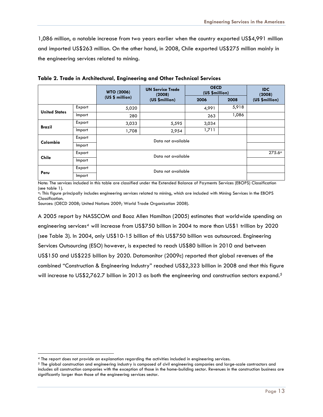<span id="page-13-0"></span>1,086 million, a notable increase from two years earlier when the country exported US\$4,991 million and imported US\$263 million. On the other hand, in 2008, Chile exported US\$275 million mainly in the engineering services related to mining.

|                      |        | <b>WTO (2006)</b> | <b>UN Service Trade</b><br>(2008) | <b>OECD</b><br>(US \$million) |       | <b>IDC</b><br>(2008) |  |  |  |  |
|----------------------|--------|-------------------|-----------------------------------|-------------------------------|-------|----------------------|--|--|--|--|
|                      |        | (US \$ million)   | (US \$million)                    | 2006                          | 2008  | (US \$million)       |  |  |  |  |
| <b>United States</b> | Export | 5,020             |                                   | 4,991                         | 5,918 |                      |  |  |  |  |
|                      | Import | 280               |                                   | 263                           | 1,086 |                      |  |  |  |  |
| <b>Brazil</b>        | Export | 3,033             | 5,595                             | 3,034                         |       |                      |  |  |  |  |
|                      | Import | 1,708             | 2,954                             | 1,711                         |       |                      |  |  |  |  |
| Colombia             | Export |                   |                                   |                               |       |                      |  |  |  |  |
|                      | Import |                   |                                   |                               |       |                      |  |  |  |  |
|                      | Export |                   | 275.6 <sup>a</sup>                |                               |       |                      |  |  |  |  |
| <b>Chile</b>         | Import |                   |                                   |                               |       |                      |  |  |  |  |
|                      | Export |                   | Data not available                |                               |       |                      |  |  |  |  |
| Peru                 | Import |                   |                                   |                               |       |                      |  |  |  |  |

**Table 2. Trade in Architectural, Engineering and Other Technical Services** 

Note: The services included in this table are classified under the Extended Balance of Payments Services (EBOPS) Classification (see table 1).

a: This figure principally includes engineering services related to mining, which are included with Mining Services in the EBOPS Classification. Sources: (OECD 2008; United Nations 2009; World Trade Organization 2008).

A 2005 report by NASSCOM and Booz Allen Hamilton (2005) estimates that worldwide spending on engineering services<sup>[4](#page-13-1)</sup> will increase from US\$750 billion in 2004 to more than US\$1 trillion by 2020 (see Table 3). In 2004, only US\$10-15 billion of this US\$750 billion was outsourced. Engineering Services Outsourcing (ESO) however, is expected to reach US\$80 billion in 2010 and between US\$150 and US\$225 billion by 2020. Datamonitor (2009c) reported that global revenues of the combined "Construction & Engineering Industry" reached US\$2,323 billion in 2008 and that this figure will increase to US\$2,762.7 billion in 2013 as both the engineering and construction sectors expand.<sup>[5](#page-13-2)</sup>

-

<span id="page-13-1"></span> $4$  The report does not provide an explanation regarding the activities included in engineering services.<br> $5$  The global construction and engineering industry is composed of civil engineering companies and large-scale con

<span id="page-13-2"></span>includes all construction companies with the exception of those in the home-building sector. Revenues in the construction business are significantly larger than those of the engineering services sector.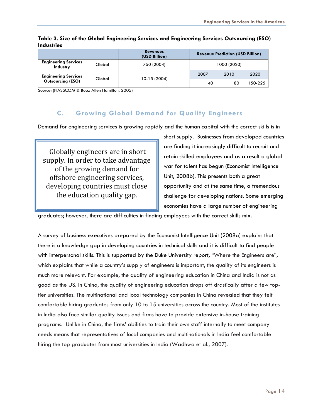|                                         |        | <b>Revenues</b><br>(USD Billion) | <b>Revenue Prediction (USD Billion)</b> |      |        |
|-----------------------------------------|--------|----------------------------------|-----------------------------------------|------|--------|
| <b>Engineering Services</b><br>Industry | Global | 750 (2004)                       | 1000 (2020)                             |      |        |
| <b>Engineering Services</b>             | Global | 10-15 (2004)                     | 2007                                    | 2010 | 2020   |
| <b>Outsourcing (ESO)</b>                |        |                                  | 40                                      | 80   | 50-225 |

#### <span id="page-14-0"></span>**Table 3. Size of the Global Engineering Services and Engineering Services Outsourcing (ESO) Industries**

Source: (NASSCOM & Booz Allen Hamilton, 2005)

# **C. Growing Global Demand for Quality Engineers**

Demand for engineering services is growing rapidly and the human capital with the correct skills is in

 Globally engineers are in short supply. In order to take advantage of the growing demand for offshore engineering services, developing countries must close the education quality gap.

short supply. Businesses from developed countries are finding it increasingly difficult to recruit and retain skilled employees and as a result a global war for talent has begun (Economist Intelligence Unit, 2008b). This presents both a great opportunity and at the same time, a tremendous challenge for developing nations. Some emerging economies have a large number of engineering

graduates; however, there are difficulties in finding employees with the correct skills mix.

A survey of business executives prepared by the Economist Intelligence Unit (2008a) explains that there is a knowledge gap in developing countries in technical skills and it is difficult to find people with interpersonal skills. This is supported by the Duke University report, "Where the Engineers are", which explains that while a country's supply of engineers is important, the quality of its engineers is much more relevant. For example, the quality of engineering education in China and India is not as good as the US. In China, the quality of engineering education drops off drastically after a few toptier universities. The multinational and local technology companies in China revealed that they felt comfortable hiring graduates from only 10 to 15 universities across the country. Most of the institutes in India also face similar quality issues and firms have to provide extensive in-house training programs. Unlike in China, the firms' abilities to train their own staff internally to meet company needs means that representatives of local companies and multinationals in India feel comfortable hiring the top graduates from most universities in India (Wadhwa et al., 2007).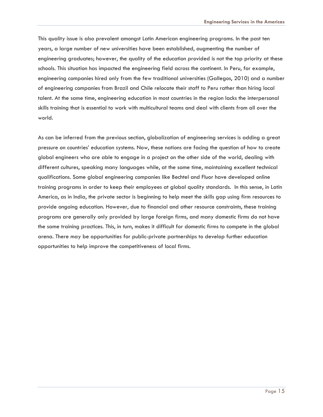This quality issue is also prevalent amongst Latin American engineering programs. In the past ten years, a large number of new universities have been established, augmenting the number of engineering graduates; however, the quality of the education provided is not the top priority at these schools. This situation has impacted the engineering field across the continent. In Peru, for example, engineering companies hired only from the few traditional universities (Gallegos, 2010) and a number of engineering companies from Brazil and Chile relocate their staff to Peru rather than hiring local talent. At the same time, engineering education in most countries in the region lacks the interpersonal skills training that is essential to work with multicultural teams and deal with clients from all over the world.

As can be inferred from the previous section, globalization of engineering services is adding a great pressure on countries' education systems. Now, these nations are facing the question of how to create global engineers who are able to engage in a project on the other side of the world, dealing with different cultures, speaking many languages while, at the same time, maintaining excellent technical qualifications. Some global engineering companies like Bechtel and Fluor have developed online training programs in order to keep their employees at global quality standards. In this sense, in Latin America, as in India, the private sector is beginning to help meet the skills gap using firm resources to provide ongoing education. However, due to financial and other resource constraints, these training programs are generally only provided by large foreign firms, and many domestic firms do not have the same training practices. This, in turn, makes it difficult for domestic firms to compete in the global arena. There may be opportunities for public-private partnerships to develop further education opportunities to help improve the competitiveness of local firms.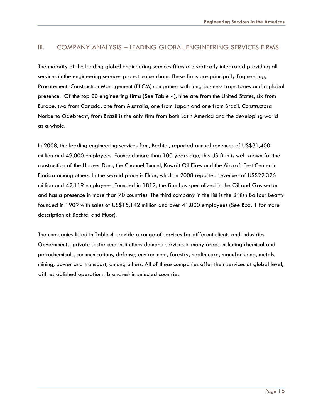## <span id="page-16-0"></span>III. COMPANY ANALYSIS – LEADING GLOBAL ENGINEERING SERVICES FIRMS

The majority of the leading global engineering services firms are vertically integrated providing all services in the engineering services project value chain. These firms are principally Engineering, Procurement, Construction Management (EPCM) companies with long business trajectories and a global presence. Of the top 20 engineering firms (See Table 4), nine are from the United States, six from Europe, two from Canada, one from Australia, one from Japan and one from Brazil. Constructora Norberto Odebrecht, from Brazil is the only firm from both Latin America and the developing world as a whole.

In 2008, the leading engineering services firm, Bechtel, reported annual revenues of US\$31,400 million and 49,000 employees. Founded more than 100 years ago, this US firm is well known for the construction of the Hoover Dam, the Channel Tunnel, Kuwait Oil Fires and the Aircraft Test Center in Florida among others. In the second place is Fluor, which in 2008 reported revenues of US\$22,326 million and 42,119 employees. Founded in 1812, the firm has specialized in the Oil and Gas sector and has a presence in more than 70 countries. The third company in the list is the British Balfour Beatty founded in 1909 with sales of US\$15,142 million and over 41,000 employees (See Box. 1 for more description of Bechtel and Fluor).

The companies listed in Table 4 provide a range of services for different clients and industries. Governments, private sector and institutions demand services in many areas including chemical and petrochemicals, communications, defense, environment, forestry, health care, manufacturing, metals, mining, power and transport, among others. All of these companies offer their services at global level, with established operations (branches) in selected countries.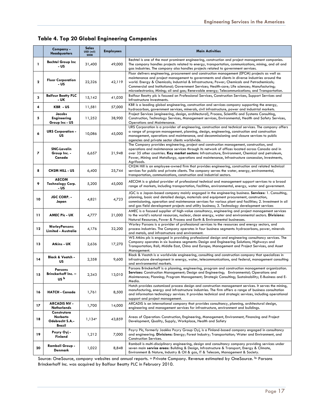## <span id="page-17-0"></span>**Table 4. Top 20 Global Engineering Companies**

|                | Company -<br><b>Headquarters</b>                     | <b>Sales</b><br>USD (mil)<br>2008 | <b>Employees</b>                                                                                                                                                                                                                                                                                                                                                      | <b>Main Activities</b>                                                                                                                                                                                                                                                                                                                                                                                                                                                                                |  |  |
|----------------|------------------------------------------------------|-----------------------------------|-----------------------------------------------------------------------------------------------------------------------------------------------------------------------------------------------------------------------------------------------------------------------------------------------------------------------------------------------------------------------|-------------------------------------------------------------------------------------------------------------------------------------------------------------------------------------------------------------------------------------------------------------------------------------------------------------------------------------------------------------------------------------------------------------------------------------------------------------------------------------------------------|--|--|
| 1              | <b>Bechtel Group Inc</b><br>- US                     | 31,400                            | 49,000                                                                                                                                                                                                                                                                                                                                                                | Bechtel is one of the most prominent engineering, construction and project management companies.<br>The company handles projects related to energy, transportation, communications, mining, and oil and<br>gas industries. The company also handles projects related to government services.                                                                                                                                                                                                          |  |  |
| $\mathbf{2}$   | <b>Fluor Corporation</b><br>- US                     | 22,326                            | 42,119                                                                                                                                                                                                                                                                                                                                                                | Fluor delivers engineering, procurement and construction management (EPCM) projects as well as<br>maintenance and project management to governments and clients in diverse industries around the<br>world. Energy & Chemicals; Industrial & Infrastructure; Power; Chemicals and Petrochemicals;<br>Commercial and Institutional; Government Services; Health-care; Life sciences; Manufacturing;<br>microelectronics; Mining; oil and gas; Renewable energy; Telecommunications; and Transportation. |  |  |
| 3              | <b>Balfour Beatty PLC</b><br>- UK                    | 15,142                            | 41,030                                                                                                                                                                                                                                                                                                                                                                | Balfour Beatty plc is focused on Professional Services, Construction Services, Support Services and<br>Infrastructure Investments.                                                                                                                                                                                                                                                                                                                                                                    |  |  |
| 4              | KBR-US                                               | 11,581                            | 57,000                                                                                                                                                                                                                                                                                                                                                                | KBR is a leading global engineering, construction and services company supporting the energy,<br>hydrocarbon, government services, minerals, civil infrastructure, power and industrial markets.                                                                                                                                                                                                                                                                                                      |  |  |
| 5              | Jacobs<br><b>Engineering</b><br>Group Inc - US       | 11,252                            | 38,900                                                                                                                                                                                                                                                                                                                                                                | Project Services (engineering, design, architectural), Process, Scientific and Systems Consulting,<br>Construction, Technology Services, Management services, Environmental, Health and Safety Services,<br>Operations and Maintenance.                                                                                                                                                                                                                                                               |  |  |
| 6              | <b>URS Corporation -</b><br><b>US</b>                | 10,086                            | 45,000                                                                                                                                                                                                                                                                                                                                                                | URS Corporation is a provider of engineering, construction and technical services. The company offers<br>a range of program management, planning, design, engineering, construction and construction<br>management, operations and maintenance, and decommissioning and closure services to public<br>agencies and private sector clients worldwide.                                                                                                                                                  |  |  |
| $\overline{ }$ | <b>SNC-Lavalin</b><br>Group Inc. -<br>Canada         | 6,657                             | 21,948                                                                                                                                                                                                                                                                                                                                                                | The Company provides engineering, project and construction management, construction, and<br>operations and maintenance services through its network of offices located across Canada and in<br>over 35 other countries. Key market sectors: Infrastructure, Environment, Chemical and petroleum,<br>Power, Mining and Metallurgy, operations and maintenance, Infrastructure concession, Investments,<br>Agrifoods.                                                                                   |  |  |
| 8              | CH2M HILL - US                                       | 6,400                             | 25,744                                                                                                                                                                                                                                                                                                                                                                | CH2M Hill is an employee-owned firm that provides engineering, construction and related technical<br>services for public and private clients. The company serves the water, energy, environmental,<br>transportation, communications, construction and industrial sectors.                                                                                                                                                                                                                            |  |  |
| 9              | <b>AECOM</b><br><b>Technology Corp.</b><br>- US      | 5,200                             | 45,000                                                                                                                                                                                                                                                                                                                                                                | AECOM is a global provider of professional technical and management support services to a broad<br>range of markets, including transportation, facilities, environmental, energy, water and government.                                                                                                                                                                                                                                                                                               |  |  |
| 10             | JGC CORP. -<br>Japan                                 | 4,821                             | 4,723                                                                                                                                                                                                                                                                                                                                                                 | JGC is a Japan-based company mainly engaged in the engineering business. Services: 1. Consulting,<br>planning, basic and detailed design, materials and equipment procurement, construction,<br>commissioning, operation and maintenance services for various plant and facilities; 2. Investment in oil<br>and gas field development projects and utility business; 3. Technology development services                                                                                               |  |  |
| 11             | <b>AMEC PIc - UK</b>                                 | 4,777                             | 21,000                                                                                                                                                                                                                                                                                                                                                                | AMEC is a focused supplier of high-value consultancy, engineering and project management services<br>to the world's natural resources, nuclear, clean energy, water and environmental sectors. Divisions:<br>Natural Resources, Power & Process and Earth & Environmental businesses.                                                                                                                                                                                                                 |  |  |
| 12             | <b>WorleyParsons</b><br>Limited - Australia          | 4,176                             | 32,200                                                                                                                                                                                                                                                                                                                                                                | Worley Parsons is a provider of professional services to the resources and energy sectors, and<br>process industries. The Company operates in four business segments: hydrocarbons, power, minerals<br>and metals, and infrastructure and environment.                                                                                                                                                                                                                                                |  |  |
| 13             | Atkins - UK                                          | 2,636                             | 17,270                                                                                                                                                                                                                                                                                                                                                                | WS Atkins plc is engaged in providing professional design and engineering consultancy services. The<br>Company operates in six business segments: Design and Engineering Solutions; Highways and<br>Transportation; Rail; Middle East, China and Europe; Management and Project Services, and Asset<br>Management.                                                                                                                                                                                    |  |  |
| 14             | <b>Black &amp; Veatch -</b><br>US                    | 2,358                             | 9,600                                                                                                                                                                                                                                                                                                                                                                 | Black & Veatch is a worldwide engineering, consulting and construction company that specializes in<br>infrastructure development in energy, water, telecommunications, and federal, management consulting<br>and environmental markets.                                                                                                                                                                                                                                                               |  |  |
| 15             | Parsons<br>Brinckerhoff Inc. -<br>us b               | 2,343                             | 13,010                                                                                                                                                                                                                                                                                                                                                                | Parsons Brinckerhoff is a planning, engineering, program and construction management organization.<br>Services: Construction Management; Design and Engineering; Environmental; Operations and<br>Maintenance; Planning; Program Management; Strategic Consulting; Sustainability; E-Business and E-<br>Media.                                                                                                                                                                                        |  |  |
| 16             | <b>HATCH - Canada</b>                                | 1,761                             | Hatch provides customized process design and construction management services. It serves the mining,<br>manufacturing, energy and infrastructure industries. The firm offers a range of business consultation<br>8,500<br>and information technology services. It provides technical and strategic services, including operational<br>support and project management. |                                                                                                                                                                                                                                                                                                                                                                                                                                                                                                       |  |  |
| 17             | <b>ARCADIS NV -</b><br>Netherlands                   | 1,700                             | 14,000                                                                                                                                                                                                                                                                                                                                                                | ARCADIS is an international company that provides consultancy, planning, architectural design,<br>engineering and management services for infrastructure, environment and buildings.                                                                                                                                                                                                                                                                                                                  |  |  |
| 18             | Construtora<br>Norberto<br>Odebrecht S.A.-<br>Brazil | $1,134^{\circ}$                   | 43,859                                                                                                                                                                                                                                                                                                                                                                | Areas of Operation: Construction, Engineering, Management, Environment, Financing and Project<br>Development, Quality, Supply, Workplace, Health and Safety                                                                                                                                                                                                                                                                                                                                           |  |  |
| 19             | Poyry Oyj -<br>Finland                               | 1,212                             | 7,000                                                                                                                                                                                                                                                                                                                                                                 | Poyry Plc, formerly Jaakko Poyry Group Oyj, is a Finland-based company engaged in consultancy<br>and engineering. Divisions: Energy; Forest Industry; Transportation; Water and Environment, and<br>Construction Services.                                                                                                                                                                                                                                                                            |  |  |
| 20             | <b>Ramboll Group -</b><br>Denmark                    | 1,022                             | 8,848                                                                                                                                                                                                                                                                                                                                                                 | Ramboll is multi-disciplinary engineering, design and consultancy company providing services under<br>seven main service areas: Building & Design, Infrastructure & Transport, Energy & Climate,<br>Environment & Nature, Industry & Oil & gas, IT & Telecom, Management & Society.                                                                                                                                                                                                                   |  |  |

Source: OneSource, company websites and annual reports. a: Private Company. Revenue estimated by OneSource. b: Parsons Brinckerhoff Inc. was acquired by Balfour Beatty PLC in February 2010.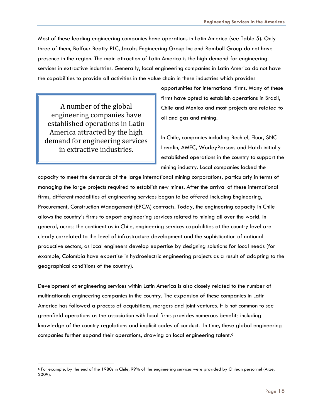Most of these leading engineering companies have operations in Latin America (see Table 5). Only three of them, Balfour Beatty PLC, Jacobs Engineering Group Inc and Ramboll Group do not have presence in the region. The main attraction of Latin America is the high demand for engineering services in extractive industries. Generally, local engineering companies in Latin America do not have the capabilities to provide all activities in the value chain in these industries which provides

A number of the global engineering companies have established operations in Latin America attracted by the high demand for engineering services in extractive industries.

-

opportunities for international firms. Many of these firms have opted to establish operations in Brazil, Chile and Mexico and most projects are related to oil and gas and mining.

In Chile, companies including Bechtel, Fluor, SNC Lavalin, AMEC, WorleyParsons and Hatch initially established operations in the country to support the mining industry. Local companies lacked the

capacity to meet the demands of the large international mining corporations, particularly in terms of managing the large projects required to establish new mines. After the arrival of these international firms, different modalities of engineering services began to be offered including Engineering, Procurement, Construction Management (EPCM) contracts. Today, the engineering capacity in Chile allows the country's firms to export engineering services related to mining all over the world. In general, across the continent as in Chile, engineering services capabilities at the country level are clearly correlated to the level of infrastructure development and the sophistication of national productive sectors, as local engineers develop expertise by designing solutions for local needs (for example, Colombia have expertise in hydroelectric engineering projects as a result of adapting to the geographical conditions of the country).

Development of engineering services within Latin America is also closely related to the number of multinationals engineering companies in the country. The expansion of these companies in Latin America has followed a process of acquisitions, mergers and joint ventures. It is not common to see greenfield operations as the association with local firms provides numerous benefits including knowledge of the country regulations and implicit codes of conduct. In time, these global engineering companies further expand their operations, drawing on local engineering talent.<sup>[6](#page-18-0)</sup>

<span id="page-18-0"></span><sup>6</sup> For example, by the end of the 1980s in Chile, 99% of the engineering services were provided by Chilean personnel (Arze, 2009).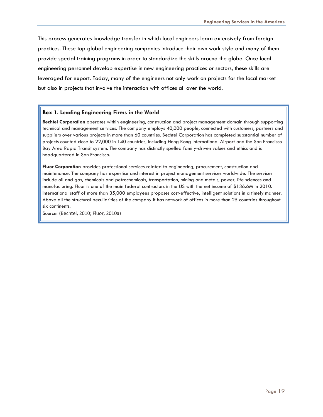This process generates knowledge transfer in which local engineers learn extensively from foreign practices. These top global engineering companies introduce their own work style and many of them provide special training programs in order to standardize the skills around the globe. Once local engineering personnel develop expertise in new engineering practices or sectors, these skills are leveraged for export. Today, many of the engineers not only work on projects for the local market but also in projects that involve the interaction with offices all over the world.

#### **Box 1. Leading Engineering Firms in the World**

**Bechtel Corporation** operates within engineering, construction and project management domain through supporting technical and management services. The company employs 40,000 people, connected with customers, partners and suppliers over various projects in more than 60 countries. Bechtel Corporation has completed substantial number of projects counted close to 22,000 in 140 countries, including Hong Kong International Airport and the San Francisco Bay Area Rapid Transit system. The company has distinctly spelled family-driven values and ethics and is headquartered in San Francisco.

**Fluor Corporation** provides professional services related to engineering, procurement, construction and maintenance. The company has expertise and interest in project management services worldwide. The services include oil and gas, chemicals and petrochemicals, transportation, mining and metals, power, life sciences and manufacturing. Fluor is one of the main federal contractors in the US with the net income of \$136.6M in 2010. International staff of more than 35,000 employees proposes cost-effective, intelligent solutions in a timely manner. Above all the structural peculiarities of the company it has network of offices in more than 25 countries throughout six continents.

Source: (Bechtel, 2010; Fluor, 2010a)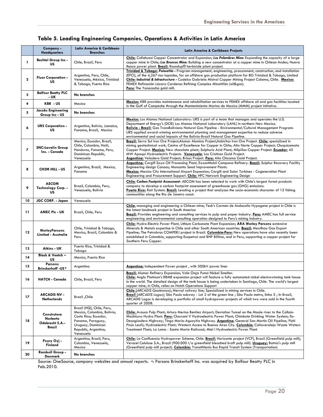# **Table 5. Leading Engineering Companies, Operations & Activities in Latin America**

<span id="page-20-0"></span>

|                | Company -<br><b>Headquarters</b>                                                                                                                                                                                                | Latin America & Caribbean<br><b>Branches</b>                                                                                                                    | Latin America & Caribbean Projects                                                                                                                                                                                                                                                                                                                                                                                                                                                                                                       |  |  |
|----------------|---------------------------------------------------------------------------------------------------------------------------------------------------------------------------------------------------------------------------------|-----------------------------------------------------------------------------------------------------------------------------------------------------------------|------------------------------------------------------------------------------------------------------------------------------------------------------------------------------------------------------------------------------------------------------------------------------------------------------------------------------------------------------------------------------------------------------------------------------------------------------------------------------------------------------------------------------------------|--|--|
| 1              | <b>Bechtel Group Inc-</b><br>US                                                                                                                                                                                                 | Chile, Brazil, Peru                                                                                                                                             | Chile: Collahuasi Copper Concentrator and Expansion; Los Pelambres Mine: Expanding the capacity of a large<br>copper mine in Chile; Los Bronces Mine: Building a new concentrator at a copper mine in Chilean Andes; Nueva<br>Renca power plant. <mark>Brazil:</mark> Roundup® herbicide plant project.                                                                                                                                                                                                                                  |  |  |
| $\mathbf{2}$   | <b>Fluor Corporation -</b><br>US                                                                                                                                                                                                | Argentina, Peru, Chile,<br>Venezuela, México, Trinidad<br>& Tobago, Puerto Rico                                                                                 | Trinidad & Tobago: Poinsettia - Program management, engineering, procurement, construction, and installation<br>(EPCI), of the 4,267-ton topsides, for an offshore gas production platform for BG Trinidad & Tobago, Limited<br>Chile: Industrial & Infrastructure - Codelco Gabriela Mistral Copper Mining Project Calama, Chile. Mexico:<br>PEMEX Refinación Lázaro Cardenas Refining Complex Minatitlán (oil&gas).<br>Peru: The Yanacocha gold mill.                                                                                  |  |  |
| 3              | <b>Balfour Beatty PLC</b><br>- UK                                                                                                                                                                                               | No branches                                                                                                                                                     |                                                                                                                                                                                                                                                                                                                                                                                                                                                                                                                                          |  |  |
| 4              | KBR-US                                                                                                                                                                                                                          | Mexico                                                                                                                                                          | Mexico: KBR provides maintenance and rehabilitation services to PEMEX offshore oil and gas facilities located<br>in the Gulf of Campeche through the Mantenimiento Marino de Mexico (MMM) project initiative.                                                                                                                                                                                                                                                                                                                            |  |  |
| 5              | <b>Jacobs Engineering</b><br>Group Inc - US                                                                                                                                                                                     | No branches                                                                                                                                                     |                                                                                                                                                                                                                                                                                                                                                                                                                                                                                                                                          |  |  |
| 6              | <b>URS Corporation -</b><br>US                                                                                                                                                                                                  | Argentina, Bolivia, Jamaica,<br>Panama, Brazil, Mexico                                                                                                          | Mexico: Los Alamos National Laboratory: URS is part of a team that manages and operates the U.S.<br>Department of Energy's (DOE) Los Alamos National Laboratory (LANL) in northern New Mexico.<br><u> <b>Bolivia - Brazil:</b></u> Gas TransBoliviano Natural Gas Pipeline - Environmental/Cultural Management Program:<br>URS applied award-winning environmental planning and management expertise to reduce adverse<br>environmental and social impacts of the Bolivia-Brazil Natural Gas Pipeline.                                   |  |  |
| $\overline{ }$ | <b>SNC-Lavalin Group</b><br>Inc. - Canada                                                                                                                                                                                       | Mexico, Ecuador, Brazil,<br>Chile, Colombia, Haiti,<br>Honduras, Panama, Peru,<br>Dominican Republic,<br>Venezuela                                              | Brazil: Serra Sul Iron Ore Project; Alumar Alumina Project; Itabiritos Iron Ore Project. Chile: specialized in<br>mining geotechnical work, Centre of Excellence for Copper in Chile; Alto Norte Copper Project; Chuquicamata<br>Copper Project. Mexico: New chocolate plant; Sulphuric Acid Plant; Milpillas Copper Project. Ecuador: 45<br>MW Apaqui Hydroelectric Projects. Venezuala: Las Cristinas Gold Project.<br>Argentina: Veladero Gold Project; Brisas Project. Peru: Alto Chicama Gold Project.                              |  |  |
| 8              | <b>CH2M HILL - US</b>                                                                                                                                                                                                           | Argentina, Brazil, Mexico,<br>Panama                                                                                                                            | Argentina: Cargill Soya Oil Processing Plant, ExxonMobil Campana Refinery. Brazil: Sulphur Recovery Facility<br>Engineering design Canoas; Monsanto Seed Improvement Plants.<br>Mexico: Mexico City International Airport Expansion; Cargill and Solar Turbines - Cogeneration Plant<br>Engineering and Procurement Support. Chile: HFC Network Engineering Design                                                                                                                                                                       |  |  |
| 9              | <b>AECOM</b><br>Brazil, Colombia, Peru,<br>company to develop a carbon footprint assessment of greenhouse gas (GHG) emissions.<br>Technology Corp. -<br>Venezuela, Bolivia<br>US<br>communities along the Rio de Janeiro coast. |                                                                                                                                                                 | Chile: Carbon Footprint Assessment- AECOM has been selected to work with Chile's largest forest products<br>Puerto Rico: Rail System. Brazil: Leading a project that analyzes the socio-economic character of 15 fishing                                                                                                                                                                                                                                                                                                                 |  |  |
| 10             | <b>JGC CORP. - Japan</b>                                                                                                                                                                                                        | Venezuela                                                                                                                                                       |                                                                                                                                                                                                                                                                                                                                                                                                                                                                                                                                          |  |  |
| 11             | <b>AMEC PIc - UK</b>                                                                                                                                                                                                            | Brazil, Chile, Peru                                                                                                                                             | Chile: managing and engineering a Chilean mine; Teck's Carmen de Andacollo Hypogene project in Chile is<br>the latest landmark project in South America<br><b>Brazil:</b> Provides engineering and consulting services to pulp and paper industry. <b>Peru:</b> AMEC has full service<br>engineering and environmental consulting operation designed to Peru's mining industry.                                                                                                                                                          |  |  |
| 12             | <b>WorleyParsons</b><br>Limited - Australia                                                                                                                                                                                     | Chile, Trinidad & Tobago,<br>Mexico, Brazil, Colombia &<br>Peru                                                                                                 | Chile: Hydro-Electric Power Plant, Lithium Carbonate Plant Expansion; ARA Worley Parsons extensive<br>Minerals & Metals expertise in Chile and other South American countries. <b>Brazil:</b> Mexilhao Gas Export<br>Pipeline; The Petrobras COMPERJ project in Brazil. Colombia-Peru: New operations have also recently been<br>established in Colombia, supporting Ecopetrol and BHP Billiton, and in Peru, supporting a copper project for<br>Southern Peru Copper.                                                                   |  |  |
| 13             | Atkins - UK                                                                                                                                                                                                                     | Puerto Rico, Trinidad &<br>Tobago                                                                                                                               |                                                                                                                                                                                                                                                                                                                                                                                                                                                                                                                                          |  |  |
| 14             | Black & Veatch -<br>US                                                                                                                                                                                                          | Mexico, Puerto Rico                                                                                                                                             |                                                                                                                                                                                                                                                                                                                                                                                                                                                                                                                                          |  |  |
| 15             | Parsons<br>Brinckerhoff -US b                                                                                                                                                                                                   | Argentina                                                                                                                                                       | Argentina: Independent Power project, with 500kV power lines                                                                                                                                                                                                                                                                                                                                                                                                                                                                             |  |  |
| 16             | <b>HATCH - Canada</b>                                                                                                                                                                                                           | Chile, Brazil, Peru                                                                                                                                             | Brazil: Alumar Refinery Expansion; Vale Onça Puma Nickel Smelter.<br>Chile: Anglo Platinum's RBMR expansion project will feature a fully automated nickel electrowinning tank house<br>in the world. The detailed design of the tank house is being undertaken in Santiago, Chile. The world's largest<br>copper mine, in Chile, relies on Hatch Operations Support                                                                                                                                                                      |  |  |
| 17             | <b>ARCADIS NV -</b><br><b>Netherlands</b>                                                                                                                                                                                       | Brazil ,Chile                                                                                                                                                   | Chile (ARCADIS Geotécnica): Merval railway line; Specialized in mining services in Chile.<br>Brazil (ARCADIS Logos): São Paulo subway - Lot 2 of the green line ; São Paulo metro, linha 5 ; In Brazil,<br>ARCADIS Logos is developing a portfolio of small hydropower projects of which two were sold in the fourth<br>quarter of 2008.                                                                                                                                                                                                 |  |  |
| 18             | Construtora<br>Norberto<br>Odebrecht S.A.-<br>Brazil                                                                                                                                                                            | Brazil (HQ), Chile, Peru,<br>Mexico, Colombia, Bolivia;<br>Costa Rica; Ecuador,<br>Panama, Paraguay,<br>Uruguay, Dominican<br>Republic, Argentina,<br>Venezuela | Chile: Arauco Pulp Plant; Arturo Merino Benitez Airport; Deviation Tunnel on the Maule river to the Colbún-<br>Machicura Hydro Plant. Peru: Charcani V Hydroelectric Power Plant; Chimbote Drinking Water System; Ilo-<br>Desagüadero Highway; Tingo María-Aguaytía Highway. <b>Argentina:</b> General San Martín Oil Pipeline; Pichi<br>Picún Leufú; Hydroelectric Plant; Western Access to Buenos Aires City. Colombia: Cañaveralejo Waste Waters<br>Treatment Plant; La Loma - Santa Marta Railroad; Miel I Hydroelectric Power Plant |  |  |
| 19             | Poyry Oyj -<br>Finland                                                                                                                                                                                                          | Argentina, Brazil, Peru,<br>Colombia, Venezuela,<br>Mexico                                                                                                      | Chile: La Confluencia Hydropower Scheme, Chile. Brazil: Horizonte project (VCP), Brazil (Greenfield pulp mill);<br>Veracel Celulose S.A., Brazil (900.000 t/a greenfield bleached kraft pulp mill). Uruguay: Botnia's pulp mill<br>(Greenfield pulp mill project). Colombia: TransMilenio Bus Rapid Transit System (Transportation)                                                                                                                                                                                                      |  |  |
| 20             | <b>Ramboll Group -</b><br>Denmark                                                                                                                                                                                               | No branches                                                                                                                                                     |                                                                                                                                                                                                                                                                                                                                                                                                                                                                                                                                          |  |  |

Source: OneSource, company websites and annual reports. <sup>a</sup>: Parsons Brinckerhoff Inc. was acquired by Balfour Beatty PLC in Feb.2010.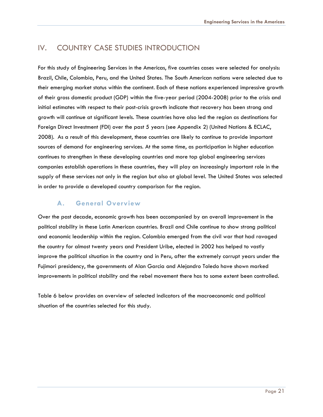# <span id="page-21-0"></span>IV. COUNTRY CASE STUDIES INTRODUCTION

For this study of Engineering Services in the Americas, five countries cases were selected for analysis: Brazil, Chile, Colombia, Peru, and the United States. The South American nations were selected due to their emerging market status within the continent. Each of these nations experienced impressive growth of their gross domestic product (GDP) within the five-year period (2004-2008) prior to the crisis and initial estimates with respect to their post-crisis growth indicate that recovery has been strong and growth will continue at significant levels. These countries have also led the region as destinations for Foreign Direct Investment (FDI) over the past 5 years (see Appendix 2) (United Nations & ECLAC, 2008). As a result of this development, these countries are likely to continue to provide important sources of demand for engineering services. At the same time, as participation in higher education continues to strengthen in these developing countries and more top global engineering services companies establish operations in these countries, they will play an increasingly important role in the supply of these services not only in the region but also at global level. The United States was selected in order to provide a developed country comparison for the region.

# **A. General Overview**

Over the past decade, economic growth has been accompanied by an overall improvement in the political stability in these Latin American countries. Brazil and Chile continue to show strong political and economic leadership within the region. Colombia emerged from the civil war that had ravaged the country for almost twenty years and President Uribe, elected in 2002 has helped to vastly improve the political situation in the country and in Peru, after the extremely corrupt years under the Fujimori presidency, the governments of Alan Garcia and Alejandro Toledo have shown marked improvements in political stability and the rebel movement there has to some extent been controlled.

Table 6 below provides an overview of selected indicators of the macroeconomic and political situation of the countries selected for this study.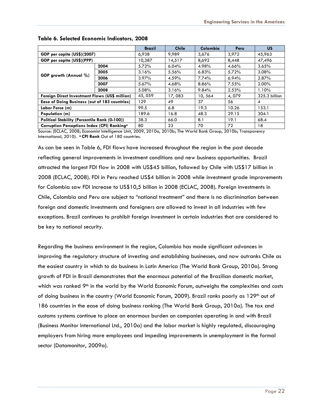|                                                         |      | <b>Brazil</b> | <b>Chile</b> | Colombia | Peru  | <b>US</b>     |
|---------------------------------------------------------|------|---------------|--------------|----------|-------|---------------|
| GDP per capita (US\$)(2007)                             |      | 6,938         | 9,989        | 3,676    | 3,972 | 45,963        |
| GDP per capita (US\$)(PPP)                              |      | 10.387        | 14,517       | 8,692    | 8,448 | 47,496        |
|                                                         | 2004 | 5.72%         | 6.04%        | 4.98%    | 4.66% | 3.65%         |
|                                                         | 2005 | 3.16%         | 5.56%        | 6.83%    | 5.72% | 3.08%         |
| <b>GDP</b> growth (Annual %)                            | 2006 | 3.97%         | 4.59%        | 7.74%    | 6.94% | 2.87%         |
|                                                         | 2007 | 5.67%         | 4.68%        | 8.86%    | 7.55% | 2.00%         |
|                                                         | 2008 | 5.08%         | 3.16%        | 9.84%    | 2.53% | 1.10%         |
| Foreign Direct Investment Flows (US\$ million)          |      | 45,059        | 17,083       | 10,564   | 4,079 | 325.3 billion |
| <b>Ease of Doing Business (out of 183 countries)</b>    |      | 129.          | 49           | 37       | 56    | 4             |
| Labor Force (m)                                         |      | 99.5          | 6.8          | 19.3     | 10.26 | 153.1         |
| Population (m)                                          |      | 189.6         | 16.8         | 48.3     | 29.15 | 304.1         |
| <b>Political Stability (Percentile Rank (0-100))</b>    |      | 38.3          | 66.0         | 8.1      | 19.1  | 68.4          |
| Corruption Perceptions Index (CPI) Ranking <sup>a</sup> |      | 80            | 23           | 70       | 72    | 18            |

#### <span id="page-22-0"></span>**Table 6. Selected Economic Indicators, 2008**

Source: (ECLAC, 2008; Economist Intelligence Unit, 2009, 2010a, 2010b; The World Bank Group, 2010b; Transparency International, 2010). **a CPI Rank** Out of 180 countries.

As can be seen in Table 6, FDI flows have increased throughout the region in the past decade reflecting general improvements in investment conditions and new business opportunities. Brazil attracted the largest FDI flow in 2008 with US\$45 billion, followed by Chile with US\$17 billion in 2008 (ECLAC, 2008). FDI in Peru reached US\$4 billion in 2008 while investment grade improvements for Colombia saw FDI increase to US\$10,5 billion in 2008 (ECLAC, 2008). Foreign investments in Chile, Colombia and Peru are subject to "national treatment" and there is no discrimination between foreign and domestic investments and foreigners are allowed to invest in all industries with few exceptions. Brazil continues to prohibit foreign investment in certain industries that are considered to be key to national security.

Regarding the business environment in the region, Colombia has made significant advances in improving the regulatory structure of investing and establishing businesses, and now outranks Chile as the easiest country in which to do business in Latin America (The World Bank Group, 2010a). Strong growth of FDI in Brazil demonstrates that the enormous potential of the Brazilian domestic market, which was ranked 9<sup>th</sup> in the world by the World Economic Forum, outweighs the complexities and costs of doing business in the country (World Economic Forum, 2009). Brazil ranks poorly as 129<sup>th</sup> out of 186 countries in the ease of doing business ranking (The World Bank Group, 2010a). The tax and customs systems continue to place an enormous burden on companies operating in and with Brazil (Business Monitor International Ltd., 2010a) and the labor market is highly regulated, discouraging employers from hiring more employees and impeding improvements in unemployment in the formal sector (Datamonitor, 2009a).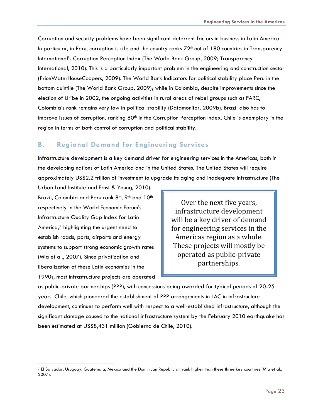<span id="page-23-0"></span>Corruption and security problems have been significant deterrent factors in business in Latin America. In particular, in Peru, corruption is rife and the country ranks  $72<sup>th</sup>$  out of 180 countries in Transparency International's Corruption Perception Index (The World Bank Group, 2009; Transparency International, 2010). This is a particularly important problem in the engineering and construction sector (PriceWaterHouseCoopers, 2009). The World Bank Indicators for political stability place Peru in the bottom quintile (The World Bank Group, 2009); while in Colombia, despite improvements since the election of Uribe in 2002, the ongoing activities in rural areas of rebel groups such as FARC, Colombia's rank remains very low in political stability (Datamonitor, 2009b). Brazil also has to improve issues of corruption, ranking 80<sup>th</sup> in the Corruption Perception Index. Chile is exemplary in the region in terms of both control of corruption and political stability.

## **B. Regional Demand for Engineering Services**

Infrastructure development is a key demand driver for engineering services in the Americas, both in the developing nations of Latin America and in the United States. The United States will require approximately US\$2.2 trillion of investment to upgrade its aging and inadequate infrastructure (The

Urban Land Institute and Ernst & Young, 2010). Brazil, Colombia and Peru rank 8<sup>th</sup>, 9<sup>th</sup> and 10<sup>th</sup> respectively in the World Economic Forum's Infrastructure Quality Gap Index for Latin America, $7$  highlighting the urgent need to establish roads, ports, airports and energy systems to support strong economic growth rates (Mia et al., 2007). Since privatization and liberalization of these Latin economies in the 1990s, most infrastructure projects are operated

-

Over the next five years, infrastructure development will be a key driver of demand for engineering services in the Americas region as a whole. These projects will mostly be operated as public‐private partnerships.

as public-private partnerships (PPP), with concessions being awarded for typical periods of 20-25 years. Chile, which pioneered the establishment of PPP arrangements in LAC in infrastructure development, continues to perform well with respect to a well-established infrastructure, although the significant damage caused to the national infrastructure system by the February 2010 earthquake has been estimated at US\$8,431 million (Gobierno de Chile, 2010).

<span id="page-23-1"></span><sup>7</sup> El Salvador, Uruguay, Guatemala, Mexico and the Dominican Republic all rank higher than these three key countries (Mia et al., 2007).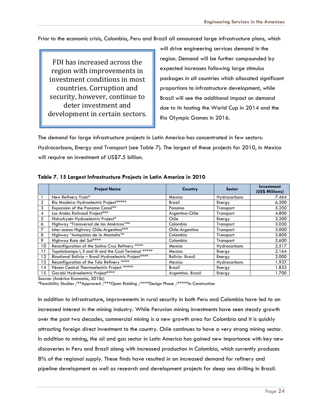<span id="page-24-0"></span>Prior to the economic crisis, Colombia, Peru and Brazil all announced large infrastructure plans, which

FDI has increased across the region with improvements in investment conditions in most countries. Corruption and security, however, continue to deter investment and development in certain sectors. will drive engineering services demand in the region. Demand will be further compounded by expected increases following large stimulus packages in all countries which allocated significant proportions to infrastructure development, while Brazil will see the additional impact on demand due to its hosting the World Cup in 2014 and the Rio Olympic Games in 2016.

The demand for large infrastructure projects in Latin America has concentrated in few sectors: Hydrocarbons, Energy and Transport (see Table 7). The largest of these projects for 2010, in Mexico will require an investment of US\$7.5 billion.

|                | <b>Project Name</b>                                   | Country               | <b>Sector</b> | Investment<br>(US\$ Millions) |
|----------------|-------------------------------------------------------|-----------------------|---------------|-------------------------------|
|                | New Refinery Train*                                   | Mexico                | Hydrocarbons  | 7.464                         |
| $\overline{2}$ | Río Madeira Hydroelectric Project*****                | Brazil                | Energy        | 6.200                         |
| 3              | Expansion of the Panama Canal**                       | Panama                | Transport     | 5.250                         |
| 4              | Los Andes Railroad Project***                         | Argenting-Chile       | Transport     | 4.800                         |
| 5              | HidroAysén Hydroelectric Project*                     | Chile                 | Energy        | 3.200                         |
| 6              | Highway "Transversal de las Américas"**               | Colombia              | Transport     | 3.050                         |
| 7              | Inter-ocean Highway Chile-Argentina***                | Chile-Argentina       | Transport     | 3.000                         |
| 8              | Highway "Autopistas de la Montaña"*                   | Colombia              | Transport     | 2.800                         |
| 9              | Highway Ruta del Sol****                              | Colombia              | Transport     | 2.600                         |
| 10             | Reconfiguration of the Salina Cruz Refinery ****      | Mexico                | Hydrocarbons  | 2.517                         |
| 11             | Topolobampo I, II and III and the Coal Terminal ***** | Mexico                | Energy        | 2.164                         |
| 12             | Binational Bolivia - Brasil Hydroelectric Project**** | <b>Bolivia-Brazil</b> | Energy        | 2.000                         |
| 13             | Reconfiguration of the Tula Refinery ****             | Mexico                | Hydrocarbons  | 1.937                         |
| 14             | Pécem Central Thermoelectric Project *****            | Brazil                | Energy        | 1.853                         |
| 15             | Garabí Hydroelectric Project****                      | Argentina-Brazil      | Energy        | 1.700                         |

**Table 7. 15 Largest Infrastructure Projects in Latin America in 2010** 

Source: (América Economía, 2010c)

\*Feasibility Studies /\*\*Approved /\*\*\*Open Bidding /\*\*\*\*Design Phase /\*\*\*\*\*In Construction

In addition to infrastructure, improvements in rural security in both Peru and Colombia have led to an increased interest in the mining industry. While Peruvian mining investments have seen steady growth over the past two decades, commercial mining is a new growth area for Colombia and it is quickly attracting foreign direct investment to the country. Chile continues to have a very strong mining sector. In addition to mining, the oil and gas sector in Latin America has gained new importance with key new discoveries in Peru and Brazil along with increased production in Colombia, which currently produces 8% of the regional supply. These finds have resulted in an increased demand for refinery and pipeline development as well as research and development projects for deep sea drilling in Brazil.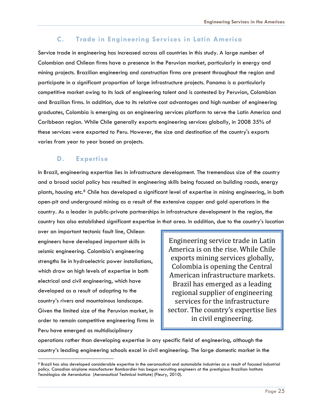# **C. Trade in Engineering Services in Latin America**

<span id="page-25-0"></span>Service trade in engineering has increased across all countries in this study. A large number of Colombian and Chilean firms have a presence in the Peruvian market, particularly in energy and mining projects. Brazilian engineering and construction firms are present throughout the region and participate in a significant proportion of large infrastructure projects. Panama is a particularly competitive market owing to its lack of engineering talent and is contested by Peruvian, Colombian and Brazilian firms. In addition, due to its relative cost advantages and high number of engineering graduates, Colombia is emerging as an engineering services platform to serve the Latin America and Caribbean region. While Chile generally exports engineering services globally, in 2008 35% of these services were exported to Peru. However, the size and destination of the country's exports varies from year to year based on projects.

# **D. Expertise**

In Brazil, engineering expertise lies in infrastructure development. The tremendous size of the country and a broad social policy has resulted in engineering skills being focused on building roads, energy plants, housing etc.[8](#page-25-1) Chile has developed a significant level of expertise in mining engineering, in both open-pit and underground mining as a result of the extensive copper and gold operations in the country. As a leader in public-private partnerships in infrastructure development in the region, the country has also established significant expertise in that area. In addition, due to the country's location

over an important tectonic fault line, Chilean engineers have developed important skills in seismic engineering. Colombia's engineering strengths lie in hydroelectric power installations, which draw on high levels of expertise in both electrical and civil engineering, which have developed as a result of adapting to the country's rivers and mountainous landscape. Given the limited size of the Peruvian market, in order to remain competitive engineering firms in Peru have emerged as multidisciplinary

-

Engineering service trade in Latin America is on the rise. While Chile exports mining services globally, Colombia is opening the Central American infrastructure markets. Brazil has emerged as a leading regional supplier of engineering services for the infrastructure sector. The country's expertise lies in civil engineering.

operations rather than developing expertise in any specific field of engineering, although the country's leading engineering schools excel in civil engineering. The large domestic market in the

<span id="page-25-1"></span><sup>8</sup> Brazil has also developed considerable expertise in the aeronautical and automobile industries as a result of focused industrial policy. Canadian airplane manufacturer Bombardier has begun recruiting engineers at the prestigious Brazilian Instituto Tecnólogico de Aeronáutica (Aeronautical Technical Institute) (Fleury, 2010).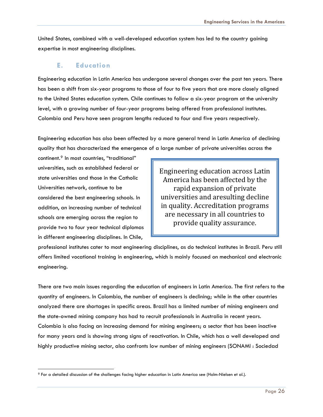<span id="page-26-0"></span>United States, combined with a well-developed education system has led to the country gaining expertise in most engineering disciplines.

# **E. Education**

Engineering education in Latin America has undergone several changes over the past ten years. There has been a shift from six-year programs to those of four to five years that are more closely aligned to the United States education system. Chile continues to follow a six-year program at the university level, with a growing number of four-year programs being offered from professional institutes. Colombia and Peru have seen program lengths reduced to four and five years respectively.

Engineering education has also been affected by a more general trend in Latin America of declining quality that has characterized the emergence of a large number of private universities across the

continent.[9](#page-26-1) In most countries, "traditional" universities, such as established federal or state universities and those in the Catholic Universities network, continue to be considered the best engineering schools. In addition, an increasing number of technical schools are emerging across the region to provide two to four year technical diplomas in different engineering disciplines. In Chile,

Engineering education across Latin America has been affected by the rapid expansion of private universities and aresulting decline in quality. Accreditation programs are necessary in all countries to provide quality assurance.

professional institutes cater to most engineering disciplines, as do technical institutes in Brazil. Peru still offers limited vocational training in engineering, which is mainly focused on mechanical and electronic engineering.

There are two main issues regarding the education of engineers in Latin America. The first refers to the quantity of engineers. In Colombia, the number of engineers is declining; while in the other countries analyzed there are shortages in specific areas. Brazil has a limited number of mining engineers and the state-owned mining company has had to recruit professionals in Australia in recent years. Colombia is also facing an increasing demand for mining engineers; a sector that has been inactive for many years and is showing strong signs of reactivation. In Chile, which has a well developed and highly productive mining sector, also confronts low number of mining engineers (SONAMI : Sociedad

<span id="page-26-1"></span><sup>9</sup> For a detailed discussion of the challenges facing higher education in Latin America see (Holm-Nielsen et al.).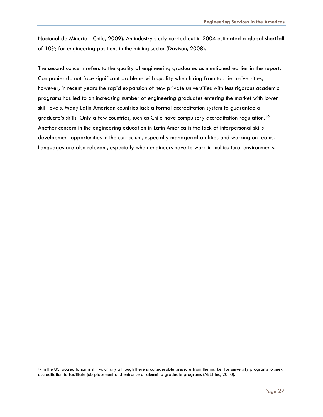Nacional de Minería - Chile, 2009). An industry study carried out in 2004 estimated a global shortfall of 10% for engineering positions in the mining sector (Davison, 2008).

The second concern refers to the quality of engineering graduates as mentioned earlier in the report. Companies do not face significant problems with quality when hiring from top tier universities, however, in recent years the rapid expansion of new private universities with less rigorous academic programs has led to an increasing number of engineering graduates entering the market with lower skill levels. Many Latin American countries lack a formal accreditation system to guarantee a graduate's skills. Only a few countries, such as Chile have compulsory accreditation regulation.<sup>[10](#page-27-0)</sup> Another concern in the engineering education in Latin America is the lack of interpersonal skills development opportunities in the curriculum, especially managerial abilities and working on teams. Languages are also relevant, especially when engineers have to work in multicultural environments.

<span id="page-27-0"></span><sup>&</sup>lt;sup>10</sup> In the US, accreditation is still voluntary although there is considerable pressure from the market for university programs to seek accreditation to facilitate job placement and entrance of alumni to graduate programs (ABET Inc, 2010).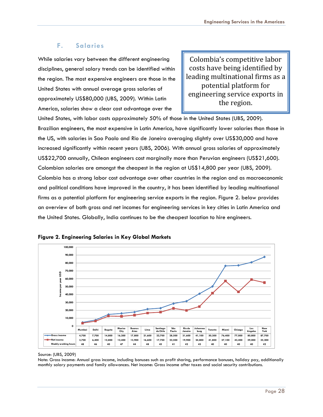# **F. Salaries**

<span id="page-28-0"></span>While salaries vary between the different engineering disciplines, general salary trends can be identified within the region. The most expensive engineers are those in the United States with annual average gross salaries of approximately US\$80,000 (UBS, 2009). Within Latin America, salaries show a clear cost advantage over the

Colombia's competitive labor costs have being identified by leading multinational firms as a potential platform for engineering service exports in the region.

United States, with labor costs approximately 50% of those in the United States (UBS, 2009). Brazilian engineers, the most expensive in Latin America, have significantly lower salaries than those in the US, with salaries in Sao Paolo and Rio de Janeiro averaging slightly over US\$30,000 and have increased significantly within recent years (UBS, 2006). With annual gross salaries of approximately US\$22,700 annually, Chilean engineers cost marginally more than Peruvian engineers (US\$21,600). Colombian salaries are amongst the cheapest in the region at US\$14,800 per year (UBS, 2009). Colombia has a strong labor cost advantage over other countries in the region and as macroeconomic and political conditions have improved in the country, it has been identified by leading multinational firms as a potential platform for engineering service exports in the region. Figure 2. below provides an overview of both gross and net incomes for engineering services in key cities in Latin America and the United States. Globally, India continues to be the cheapest location to hire engineers.





Source: (UBS, 2009)

Note: Gross income: Annual gross income, including bonuses such as profit sharing, performance bonuses, holiday pay, additionally monthly salary payments and family allowances. Net income: Gross income after taxes and social security contributions.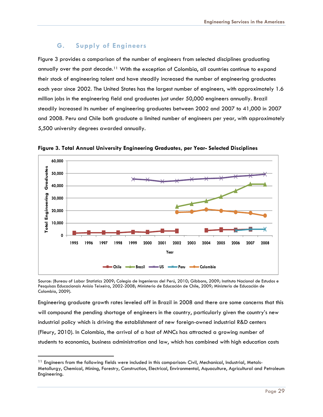# **G. Supply of Engineers**

<span id="page-29-0"></span>Figure 3 provides a comparison of the number of engineers from selected disciplines graduating annually over the past decade.<sup>[11](#page-29-1)</sup> With the exception of Colombia, all countries continue to expand their stock of engineering talent and have steadily increased the number of engineering graduates each year since 2002. The United States has the largest number of engineers, with approximately 1.6 million jobs in the engineering field and graduates just under 50,000 engineers annually. Brazil steadily increased its number of engineering graduates between 2002 and 2007 to 41,000 in 2007 and 2008. Peru and Chile both graduate a limited number of engineers per year, with approximately 5,500 university degrees awarded annually.



**Figure 3. Total Annual University Engineering Graduates, per Year- Selected Disciplines** 

Source: (Bureau of Labor Statistics 2009; Colegio de Ingenieros del Perú, 2010; Gibbons, 2009; Instituto Nacional de Estudos e Pesquisas Educacionais Anísio Teixeira, 2002-2008; Ministerio de Educación de Chile, 2009; Ministerio de Educación de Colombia, 2009).

Engineering graduate growth rates leveled off in Brazil in 2008 and there are some concerns that this will compound the pending shortage of engineers in the country, particularly given the country's new industrial policy which is driving the establishment of new foreign-owned industrial R&D centers (Fleury, 2010). In Colombia, the arrival of a host of MNCs has attracted a growing number of students to economics, business administration and law, which has combined with high education costs

<span id="page-29-1"></span><sup>&</sup>lt;sup>11</sup> Engineers from the following fields were included in this comparison: Civil, Mechanical, Industrial, Metals-Metallurgy, Chemical, Mining, Forestry, Construction, Electrical, Environmental, Aquaculture, Agricultural and Petroleum Engineering.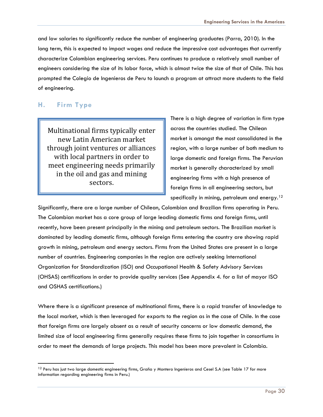<span id="page-30-0"></span>and low salaries to significantly reduce the number of engineering graduates (Parra, 2010). In the long term, this is expected to impact wages and reduce the impressive cost advantages that currently characterize Colombian engineering services. Peru continues to produce a relatively small number of engineers considering the size of its labor force, which is almost twice the size of that of Chile. This has prompted the Colegio de Ingenieros de Peru to launch a program at attract more students to the field of engineering.

## **H. Firm Type**

-

Multinational firms typically enter new Latin American market through joint ventures or alliances with local partners in order to meet engineering needs primarily in the oil and gas and mining sectors.

There is a high degree of variation in firm type across the countries studied. The Chilean market is amongst the most consolidated in the region, with a large number of both medium to large domestic and foreign firms. The Peruvian market is generally characterized by small engineering firms with a high presence of foreign firms in all engineering sectors, but specifically in mining, petroleum and energy. $12$ 

Significantly, there are a large number of Chilean, Colombian and Brazilian firms operating in Peru. The Colombian market has a core group of large leading domestic firms and foreign firms, until recently, have been present principally in the mining and petroleum sectors. The Brazilian market is dominated by leading domestic firms, although foreign firms entering the country are showing rapid growth in mining, petroleum and energy sectors. Firms from the United States are present in a large number of countries. Engineering companies in the region are actively seeking International Organization for Standardization (ISO) and Occupational Health & Safety Advisory Services (OHSAS) certifications in order to provide quality services (See Appendix 4. for a list of mayor ISO and OSHAS certifications.)

Where there is a significant presence of multinational firms, there is a rapid transfer of knowledge to the local market, which is then leveraged for exports to the region as in the case of Chile. In the case that foreign firms are largely absent as a result of security concerns or low domestic demand, the limited size of local engineering firms generally requires these firms to join together in consortiums in order to meet the demands of large projects. This model has been more prevalent in Colombia.

<span id="page-30-1"></span><sup>12</sup> Peru has just two large domestic engineering firms, Graña y Montero Ingenieros and Cesel S.A (see Table 17 for more information regarding engineering firms in Peru.)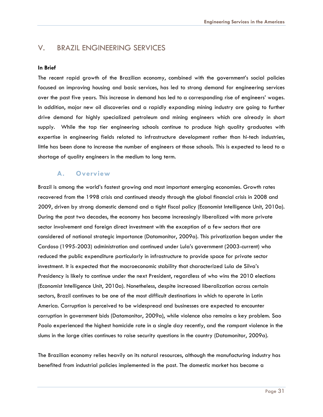# <span id="page-31-0"></span>V. BRAZIL ENGINEERING SERVICES

#### **In Brief**

The recent rapid growth of the Brazilian economy, combined with the government's social policies focused on improving housing and basic services, has led to strong demand for engineering services over the past five years. This increase in demand has led to a corresponding rise of engineers' wages. In addition, major new oil discoveries and a rapidly expanding mining industry are going to further drive demand for highly specialized petroleum and mining engineers which are already in short supply. While the top tier engineering schools continue to produce high quality graduates with expertise in engineering fields related to infrastructure development rather than hi-tech industries, little has been done to increase the number of engineers at those schools. This is expected to lead to a shortage of quality engineers in the medium to long term.

## **A. Overview**

Brazil is among the world's fastest growing and most important emerging economies. Growth rates recovered from the 1998 crisis and continued steady through the global financial crisis in 2008 and 2009, driven by strong domestic demand and a tight fiscal policy (Economist Intelligence Unit, 2010a). During the past two decades, the economy has become increasingly liberalized with more private sector involvement and foreign direct investment with the exception of a few sectors that are considered of national strategic importance (Datamonitor, 2009a). This privatization began under the Cardoso (1995-2003) administration and continued under Lula's government (2003-current) who reduced the public expenditure particularly in infrastructure to provide space for private sector investment. It is expected that the macroeconomic stability that characterized Lula de Silva's Presidency is likely to continue under the next President, regardless of who wins the 2010 elections (Economist Intelligence Unit, 2010a). Nonetheless, despite increased liberalization across certain sectors, Brazil continues to be one of the most difficult destinations in which to operate in Latin America. Corruption is perceived to be widespread and businesses are expected to encounter corruption in government bids (Datamonitor, 2009a), while violence also remains a key problem. Sao Paolo experienced the highest homicide rate in a single day recently, and the rampant violence in the slums in the large cities continues to raise security questions in the country (Datamonitor, 2009a).

The Brazilian economy relies heavily on its natural resources, although the manufacturing industry has benefited from industrial policies implemented in the past. The domestic market has become a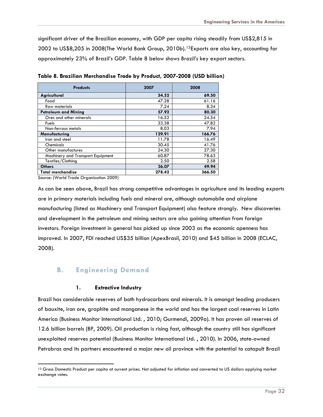<span id="page-32-0"></span>significant driver of the Brazilian economy, with GDP per capita rising steadily from US\$2,815 in 2002 to US\$8,205 in 2008(The World Bank Group, 2010b).<sup>[13](#page-32-1)</sup>Exports are also key, accounting for approximately 23% of Brazil's GDP. Table 8 below shows Brazil's key export sectors.

| <b>Products</b>                   | 2007   | 2008   |
|-----------------------------------|--------|--------|
| Agricultural                      | 54.52  | 69.50  |
| Food                              | 47.28  | 61.16  |
| Raw materials                     | 7.24   | 8.34   |
| <b>Petroleum and Mining</b>       | 57.92  | 80.30  |
| Ores and other minerals           | 16.52  | 24.54  |
| Fuels                             | 33.38  | 47.82  |
| Non-ferrous metals                | 8.03   | 7.94   |
| Manufacturing                     | 129.91 | 166.76 |
| Iron and steel                    | 11.78  | 16.49  |
| Chemicals                         | 30.45  | 41.76  |
| Other manufactures                | 24.30  | 27.30  |
| Machinery and Transport Equipment | 60.87  | 78.63  |
| Textiles/Clothing                 | 2.50   | 2.58   |
| <b>Others</b>                     | 36.07  | 49.94  |
| <b>Total merchandise</b>          | 278.42 | 366.50 |

**Table 8. Brazilian Merchandise Trade by Product, 2007-2008 (USD billion)** 

Source: (World Trade Organization 2009)

As can be seen above, Brazil has strong competitive advantages in agriculture and its leading exports are in primary materials including fuels and mineral ore, although automobile and airplane manufacturing (listed as Machinery and Transport Equipment) also feature strongly. New discoveries and development in the petroleum and mining sectors are also gaining attention from foreign investors. Foreign investment in general has picked up since 2003 as the economic openness has improved. In 2007, FDI reached US\$35 billion (ApexBrasil, 2010) and \$45 billion in 2008 (ECLAC, 2008).

## **B. Engineering Demand**

#### **1. Extractive Industry**

Brazil has considerable reserves of both hydrocarbons and minerals. It is amongst leading producers of bauxite, iron ore, graphite and manganese in the world and has the largest coal reserves in Latin America (Business Monitor International Ltd. , 2010; Gurmendi, 2009a). It has proven oil reserves of 12.6 billion barrels (BP, 2009). Oil production is rising fast, although the country still has significant unexploited reserves potential (Business Monitor International Ltd. , 2010). In 2006, state-owned Petrobras and its partners encountered a major new oil province with the potential to catapult Brazil

<span id="page-32-1"></span> <sup>13</sup> Gross Domestic Product per capita at current prices. Not adjusted for inflation and converted to US dollars applying market exchange rates.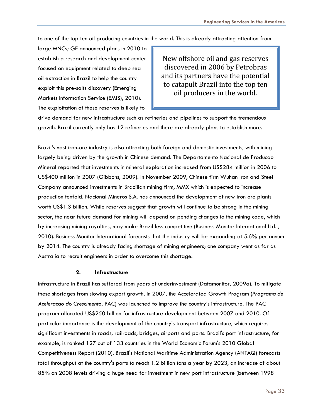<span id="page-33-0"></span>to one of the top ten oil producing countries in the world. This is already attracting attention from

large MNCs; GE announced plans in 2010 to establish a research and development center focused on equipment related to deep sea oil extraction in Brazil to help the country exploit this pre-salts discovery (Emerging Markets Information Service (EMIS), 2010). The exploitation of these reserves is likely to

New offshore oil and gas reserves discovered in 2006 by Petrobras and its partners have the potential to catapult Brazil into the top ten oil producers in the world.

drive demand for new infrastructure such as refineries and pipelines to support the tremendous growth. Brazil currently only has 12 refineries and there are already plans to establish more.

Brazil's vast iron-ore industry is also attracting both foreign and domestic investments, with mining largely being driven by the growth in Chinese demand. The Departamento Nacional de Producao Mineral reported that investments in mineral exploration increased from US\$284 million in 2006 to US\$400 million in 2007 (Gibbons, 2009). In November 2009, Chinese firm Wuhan Iron and Steel Company announced investments in Brazilian mining firm, MMX which is expected to increase production tenfold. Nacional Mineros S.A. has announced the development of new iron ore plants worth US\$1.3 billion. While reserves suggest that growth will continue to be strong in the mining sector, the near future demand for mining will depend on pending changes to the mining code, which by increasing mining royalties, may make Brazil less competitive (Business Monitor International Ltd. , 2010). Business Monitor International forecasts that the industry will be expanding at 5.6% per annum by 2014. The country is already facing shortage of mining engineers; one company went as far as Australia to recruit engineers in order to overcome this shortage.

#### **2. Infrastructure**

Infrastructure in Brazil has suffered from years of underinvestment (Datamonitor, 2009a). To mitigate these shortages from slowing export growth, in 2007, the Accelerated Growth Program (*Programa de Aceleracao do Crescimento*, PAC) was launched to improve the country's infrastructure. The PAC program allocated US\$250 billion for infrastructure development between 2007 and 2010. Of particular importance is the development of the country's transport infrastructure, which requires significant investments in roads, railroads, bridges, airports and ports. Brazil's port infrastructure, for example, is ranked 127 out of 133 countries in the World Economic Forum's 2010 Global Competitiveness Report (2010). Brazil's National Maritime Administration Agency (ANTAQ) forecasts total throughput at the country's ports to reach 1.2 billion tons a year by 2023, an increase of about 85% on 2008 levels driving a huge need for investment in new port infrastructure (between 1998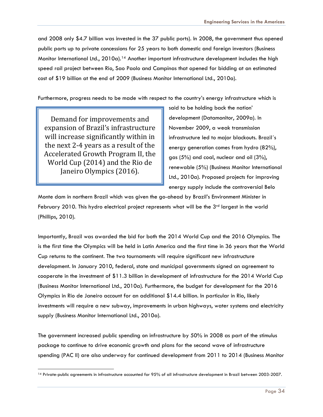and 2008 only \$4.7 billion was invested in the 37 public ports). In 2008, the government thus opened public ports up to private concessions for 25 years to both domestic and foreign investors (Business Monitor International Ltd., 2010a).<sup>[14](#page-34-0)</sup> Another important infrastructure development includes the high speed rail project between Rio, Sao Paolo and Campinas that opened for bidding at an estimated cost of \$19 billion at the end of 2009 (Business Monitor International Ltd., 2010a).

Furthermore, progress needs to be made with respect to the country's energy infrastructure which is

Demand for improvements and expansion of Brazil's infrastructure will increase significantly within in the next 2‐4 years as a result of the Accelerated Growth Program II, the World Cup (2014) and the Rio de Janeiro Olympics (2016).

said to be holding back the nation' development (Datamonitor, 2009a). In November 2009, a weak transmission infrastructure led to major blackouts. Brazil´s energy generation comes from hydro (82%), gas (5%) and coal, nuclear and oil (3%), renewable (5%) (Business Monitor International Ltd., 2010a). Proposed projects for improving energy supply include the controversial Belo

Monte dam in northern Brazil which was given the go-ahead by Brazil's Environment Minister in February 2010. This hydro electrical project represents what will be the  $3<sup>rd</sup>$  largest in the world (Phillips, 2010).

Importantly, Brazil was awarded the bid for both the 2014 World Cup and the 2016 Olympics. The is the first time the Olympics will be held in Latin America and the first time in 36 years that the World Cup returns to the continent. The two tournaments will require significant new infrastructure development. In January 2010, federal, state and municipal governments signed an agreement to cooperate in the investment of \$11.3 billion in development of infrastructure for the 2014 World Cup (Business Monitor International Ltd., 2010a). Furthermore, the budget for development for the 2016 Olympics in Rio de Janeiro account for an additional \$14.4 billion. In particular in Rio, likely investments will require a new subway, improvements in urban highways, water systems and electricity supply (Business Monitor International Ltd., 2010a).

The government increased public spending on infrastructure by 50% in 2008 as part of the stimulus package to continue to drive economic growth and plans for the second wave of infrastructure spending (PAC II) are also underway for continued development from 2011 to 2014 (Business Monitor

<span id="page-34-0"></span><sup>14</sup> Private-public agreements in infrastructure accounted for 95% of all infrastructure development in Brazil between 2003-2007.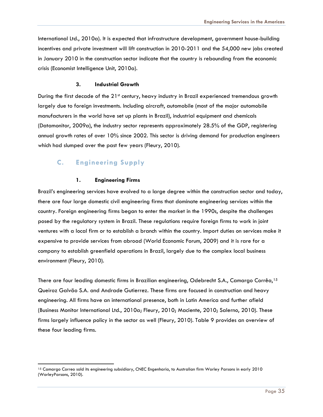<span id="page-35-0"></span>International Ltd., 2010a). It is expected that infrastructure development, government house-building incentives and private investment will lift construction in 2010-2011 and the 54,000 new jobs created in January 2010 in the construction sector indicate that the country is rebounding from the economic crisis (Economist Intelligence Unit, 2010a).

#### **3. Industrial Growth**

During the first decade of the 21<sup>st</sup> century, heavy industry in Brazil experienced tremendous growth largely due to foreign investments. Including aircraft, automobile (most of the major automobile manufacturers in the world have set up plants in Brazil), industrial equipment and chemicals (Datamonitor, 2009a), the industry sector represents approximately 28.5% of the GDP, registering annual growth rates of over 10% since 2002. This sector is driving demand for production engineers which had slumped over the past few years (Fleury, 2010).

## **C. Engineering Supply**

-

#### **1. Engineering Firms**

Brazil's engineering services have evolved to a large degree within the construction sector and today, there are four large domestic civil engineering firms that dominate engineering services within the country. Foreign engineering firms began to enter the market in the 1990s, despite the challenges posed by the regulatory system in Brazil. These regulations require foreign firms to work in joint ventures with a local firm or to establish a branch within the country. Import duties on services make it expensive to provide services from abroad (World Economic Forum, 2009) and it is rare for a company to establish greenfield operations in Brazil, largely due to the complex local business environment (Fleury, 2010).

There are four leading domestic firms in Brazilian engineering, Odebrecht S.A., Camargo Corrêa,<sup>[15](#page-35-1)</sup> Queiroz Galvão S.A. and Andrade Gutierrez. These firms are focused in construction and heavy engineering. All firms have an international presence, both in Latin America and further afield (Business Monitor International Ltd., 2010a; Fleury, 2010; Maciente, 2010; Salerno, 2010). These firms largely influence policy in the sector as well (Fleury, 2010). Table 9 provides an overview of these four leading firms.

<span id="page-35-1"></span><sup>15</sup> Camargo Correo sold its engineering subsidiary, CNEC Engenharia, to Australian firm Worley Parsons in early 2010 (WorleyParsons, 2010).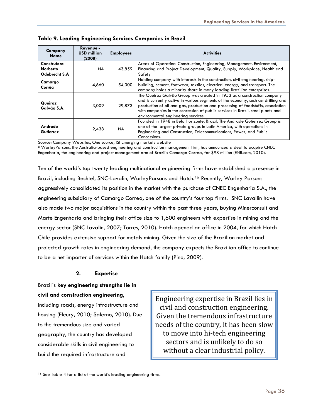| Company<br><b>Name</b>                          | Revenue -<br><b>USD million</b><br>(2008) | <b>Employees</b> | <b>Activities</b>                                                                                                                                                                                                                                                                                                                                                        |
|-------------------------------------------------|-------------------------------------------|------------------|--------------------------------------------------------------------------------------------------------------------------------------------------------------------------------------------------------------------------------------------------------------------------------------------------------------------------------------------------------------------------|
| Construtora<br><b>Norberto</b><br>Odebrecht S.A | <b>NA</b>                                 | 43,859           | Areas of Operation: Construction, Engineering, Management, Environment,<br>Financing and Project Development, Quality, Supply, Workplace, Health and<br>Safety                                                                                                                                                                                                           |
| Camargo<br>Corrêa                               | 4,660                                     | 54,000           | Holding company with interests in the construction, civil engineering, ship-<br>building, cement, footwear, textiles, electrical energy, and transport. The<br>company holds a minority share in many leading Brazilian enterprises.                                                                                                                                     |
| Queiroz<br>Galvão S.A.                          | 3,009                                     | 29,873           | The Queiroz Galvão Group was created in 1953 as a construction company<br>and is currently active in various segments of the economy, such as: drilling and<br>production of oil and gas, production and processing of foodstuffs, association<br>with companies in the concession of public services in Brazil, steel plants and<br>environmental engineering services. |
| Andrade<br>Gutierrez                            | 2,438                                     | <b>NA</b>        | Founded in 1948 in Belo Horizonte, Brazil, The Andrade Gutierrez Group is<br>one of the largest private groups in Latin America, with operations in<br>Engineering and Construction, Telecommunications, Power, and Public<br>Concessions.                                                                                                                               |

### **Table 9. Leading Engineering Services Companies in Brazil**

Source: Company Websites, One source, ISI Emerging markets website

a WorleyParsons, the Australia-based engineering and construction management firm, has announced a deal to acquire CNEC Engenharia, the engineering and project management arm of Brazil's Camargo Correa, for \$98 million (ENR.com, 2010).

Ten of the world's top twenty leading multinational engineering firms have established a presence in Brazil, including Bechtel, SNC-Lavalin, WorleyParsons and Hatch.[16](#page-36-0) Recently, Worley Parsons aggressively consolidated its position in the market with the purchase of CNEC Engenharia S.A., the engineering subsidiary of Camargo Correa, one of the country's four top firms. SNC Lavallin have also made two major acquisitions in the country within the past three years, buying Minerconsult and Marte Engenharia and bringing their office size to 1,600 engineers with expertise in mining and the energy sector (SNC Lavalin, 2007; Torres, 2010). Hatch opened an office in 2004, for which Hatch Chile provides extensive support for metals mining. Given the size of the Brazilian market and projected growth rates in engineering demand, the company expects the Brazilian office to continue to be a net importer of services within the Hatch family (Pino, 2009).

### **2. Expertise**

Brazil´s **key engineering strengths lie in civil and construction engineering**,

including roads, energy infrastructure and housing (Fleury, 2010; Salerno, 2010). Due to the tremendous size and varied geography, the country has developed considerable skills in civil engineering to build the required infrastructure and

Engineering expertise in Brazil lies in civil and construction engineering. Given the tremendous infrastructure needs of the country, it has been slow to move into hi‐tech engineering sectors and is unlikely to do so without a clear industrial policy.

<span id="page-36-0"></span><sup>16</sup> See Table 4 for a list of the world's leading engineering firms.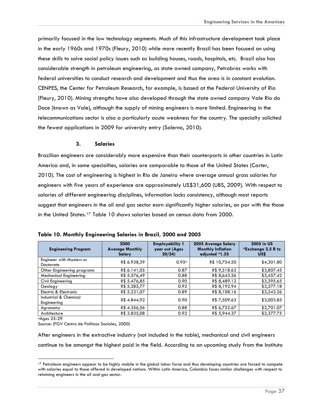primarily focused in the low technology segments. Much of this infrastructure development took place in the early 1960s and 1970s (Fleury, 2010) while more recently Brazil has been focused on using these skills to solve social policy issues such as building houses, roads, hospitals, etc. Brazil also has considerable strength in petroleum engineering, as state owned company, Petrobras works with federal universities to conduct research and development and thus the area is in constant evolution. CENPES, the Center for Petroleum Research, for example, is based at the Federal University of Rio (Fleury, 2010). Mining strengths have also developed through the state owned company Vale Rio do Doce (known as Vale), although the supply of mining engineers is more limited. Engineering in the telecommunications sector is also a particularly acute weakness for the country. The specialty solicited the fewest applications in 2009 for university entry (Salerno, 2010).

### **3. Salaries**

Brazilian engineers are considerably more expensive than their counterparts in other countries in Latin America and, in some specialties, salaries are comparable to those of the United States (Carter, 2010). The cost of engineering is highest in Rio de Janeiro where average annual gross salaries for engineers with five years of experience are approximately US\$31,600 (UBS, 2009). With respect to salaries of different engineering disciplines, information lacks consistency, although most reports suggest that engineers in the oil and gas sector earn significantly higher salaries, on par with the those in the United States.[17](#page-37-0) Table 10 shows salaries based on census data from 2000.

| <b>Engineering Program</b>                   | 2000<br><b>Average Monthly</b><br>Salary | <b>Employability 1</b><br>year out (Ages<br>20/24 | 2005 Average Salary<br><b>Monthly Inflation</b><br>adjusted *1.55 | 2005 in US<br>*Exchange 2.5 R to<br>US\$ |
|----------------------------------------------|------------------------------------------|---------------------------------------------------|-------------------------------------------------------------------|------------------------------------------|
| <b>Engineer with Masters or</b><br>Doctorate | R\$ 6.938,39                             | 0.95 <sup>a</sup>                                 | R\$ 10,754.50                                                     | \$4,301.80                               |
| Other Engineering programs                   | R\$ 6.141,05                             | 0.87                                              | R\$ 9,518.63                                                      | \$3,807.45                               |
| <b>Mechanical Engineering</b>                | R\$ 5.576,49                             | 0.88                                              | R\$ 8,643.56                                                      | \$3,457.42                               |
| Civil Engineering                            | R\$ 5.476,85                             | 0.90                                              | R\$ 8,489.12                                                      | \$3,395.65                               |
| Geology                                      | R\$ 5.285,77                             | 0.92                                              | R\$ 8,192.94                                                      | \$3,277.18                               |
| Electric & Electronic                        | R\$ 5.231,07                             | 0.89                                              | R\$ 8,108.16                                                      | \$3,243.26                               |
| Industrial & Chemical<br>Engineering         | R\$4.844,92                              | 0.90                                              | R\$ 7,509.63                                                      | \$3,003.85                               |
| Agronomy                                     | R\$ 4.356,56                             | 0.88                                              | R\$ 6,752.67                                                      | \$2,701.07                               |
| Architecture                                 | R\$ 3.835,08                             | 0.92                                              | R\$ 5,944.37                                                      | \$2,377.75                               |

|  |  |  |  |  | Table 10. Monthly Engineering Salaries in Brazil, 2000 and 2005 |
|--|--|--|--|--|-----------------------------------------------------------------|
|--|--|--|--|--|-----------------------------------------------------------------|

aAges 25-29

Source: (FGV Centro de Politicas Sociales, 2000)

After engineers in the extractive industry (not included in the table), mechanical and civil engineers continue to be amongst the highest paid in the field. According to an upcoming study from the Instituto

<span id="page-37-0"></span><sup>&</sup>lt;sup>17</sup> Petroleum engineers appear to be highly mobile in the global labor force and thus developing countries are forced to compete with salaries equal to those offered in developed nations. Within Latin America, Colombia faces similar challenges with respect to retaining engineers in the oil and gas sector.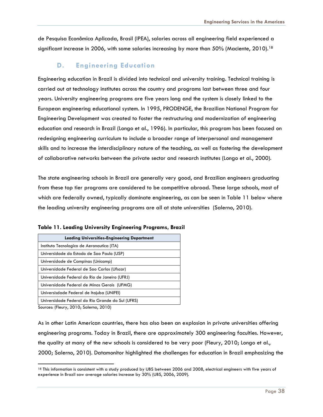de Pesquisa Econômica Aplicada, Brasil (IPEA), salaries across all engineering field experienced a significant increase in 2006, with some salaries increasing by more than 50% (Maciente, 2010).<sup>18</sup>

### **D. Engineering Education**

Engineering education in Brazil is divided into technical and university training. Technical training is carried out at technology institutes across the country and programs last between three and four years. University engineering programs are five years long and the system is closely linked to the European engineering educational system. In 1995, PRODENGE, the Brazilian National Program for Engineering Development was created to foster the restructuring and modernization of engineering education and research in Brazil (Longo et al., 1996). In particular, this program has been focused on redesigning engineering curriculum to include a broader range of interpersonal and management skills and to increase the interdisciplinary nature of the teaching, as well as fostering the development of collaborative networks between the private sector and research institutes (Longo et al., 2000).

The state engineering schools in Brazil are generally very good, and Brazilian engineers graduating from these top tier programs are considered to be competitive abroad. These large schools, most of which are federally owned, typically dominate engineering, as can be seen in Table 11 below where the leading university engineering programs are all at state universities (Salerno, 2010).

| <b>Leading Universities-Engineering Department</b> |
|----------------------------------------------------|
| Instituto Tecnologico de Aeronautica (ITA)         |
| Universidade do Estado de Sao Paulo (USP)          |
| Universidade de Campinas (Unicamp)                 |
| Universidade Federal de Sao Carlos (Ufscar)        |
| Universidade Federal do Rio de Janeiro (UFRJ)      |
| Universidade Federal de Minas Gerais (UFMG)        |
| Universisdade Federal de Itajuba (UNIFEI)          |
| Universidade Federal do Rio Grande do Sul (UFRS)   |
| $\sim$<br>$\sqrt{2}$                               |

**Table 11. Leading University Engineering Programs, Brazil** 

Sources: (Fleury, 2010; Salerno, 2010)

As in other Latin American countries, there has also been an explosion in private universities offering engineering programs. Today in Brazil, there are approximately 300 engineering faculties. However, the quality at many of the new schools is considered to be very poor (Fleury, 2010; Longo et al., 2000; Salerno, 2010). Datamonitor highlighted the challenges for education in Brazil emphasizing the

<span id="page-38-0"></span><sup>18</sup> This information is consistent with a study produced by UBS between 2006 and 2008, electrical engineers with five years of experience in Brazil saw average salaries increase by 30% (UBS, 2006, 2009).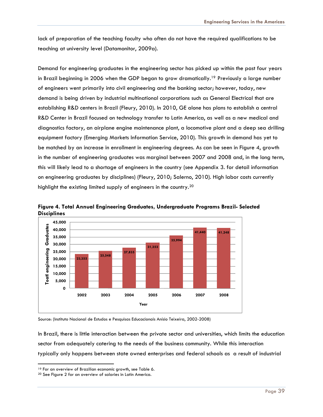lack of preparation of the teaching faculty who often do not have the required qualifications to be teaching at university level (Datamonitor, 2009a).

Demand for engineering graduates in the engineering sector has picked up within the past four years in Brazil beginning in 2006 when the GDP began to grow dramatically.<sup>19</sup> Previously a large number of engineers went primarily into civil engineering and the banking sector; however, today, new demand is being driven by industrial multinational corporations such as General Electrical that are establishing R&D centers in Brazil (Fleury, 2010). In 2010, GE alone has plans to establish a central R&D Center in Brazil focused on technology transfer to Latin America, as well as a new medical and diagnostics factory, an airplane engine maintenance plant, a locomotive plant and a deep sea drilling equipment factory (Emerging Markets Information Service, 2010). This growth in demand has yet to be matched by an increase in enrollment in engineering degrees. As can be seen in Figure 4, growth in the number of engineering graduates was marginal between 2007 and 2008 and, in the long term, this will likely lead to a shortage of engineers in the country (see Appendix 3. for detail information on engineering graduates by disciplines) (Fleury, 2010; Salerno, 2010). High labor costs currently highlight the existing limited supply of engineers in the country.<sup>[20](#page-39-1)</sup>



**Figure 4. Total Annual Engineering Graduates, Undergraduate Programs Brazil- Selected Disciplines** 

Source: (Instituto Nacional de Estudos e Pesquisas Educacionais Anísio Teixeira, 2002-2008)

In Brazil, there is little interaction between the private sector and universities, which limits the education sector from adequately catering to the needs of the business community. While this interaction typically only happens between state owned enterprises and federal schools as a result of industrial

<span id="page-39-0"></span><sup>19</sup> For an overview of Brazilian economic growth, see Table 6.

<span id="page-39-1"></span><sup>20</sup> See Figure 2 for an overview of salaries in Latin America.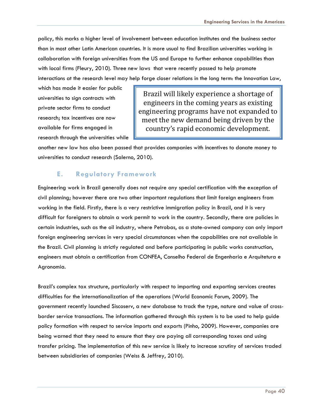policy, this marks a higher level of involvement between education institutes and the business sector than in most other Latin American countries. It is more usual to find Brazilian universities working in collaboration with foreign universities from the US and Europe to further enhance capabilities than with local firms (Fleury, 2010). Three new laws that were recently passed to help promote interactions at the research level may help forge closer relations in the long term: the Innovation Law,

which has made it easier for public universities to sign contracts with private sector firms to conduct research; tax incentives are now available for firms engaged in research through the universities while

Brazil will likely experience a shortage of engineers in the coming years as existing engineering programs have not expanded to meet the new demand being driven by the country's rapid economic development.

another new law has also been passed that provides companies with incentives to donate money to universities to conduct research (Salerno, 2010).

## **E. Regulatory Framework**

Engineering work in Brazil generally does not require any special certification with the exception of civil planning; however there are two other important regulations that limit foreign engineers from working in the field. Firstly, there is a very restrictive immigration policy in Brazil, and it is very difficult for foreigners to obtain a work permit to work in the country. Secondly, there are policies in certain industries, such as the oil industry, where Petrobas, as a state-owned company can only import foreign engineering services in very special circumstances when the capabilities are not available in the Brazil. Civil planning is strictly regulated and before participating in public works construction, engineers must obtain a certification from CONFEA, Conselho Federal de Engenharia e Arquitetura e Agronomia.

Brazil's complex tax structure, particularly with respect to importing and exporting services creates difficulties for the internationalization of the operations (World Economic Forum, 2009). The government recently launched Siscoserv, a new database to track the type, nature and value of crossborder service transactions. The information gathered through this system is to be used to help guide policy formation with respect to service imports and exports (Pinho, 2009). However, companies are being warned that they need to ensure that they are paying all corresponding taxes and using transfer pricing. The implementation of this new service is likely to increase scrutiny of services traded between subsidiaries of companies (Weiss & Jeffrey, 2010).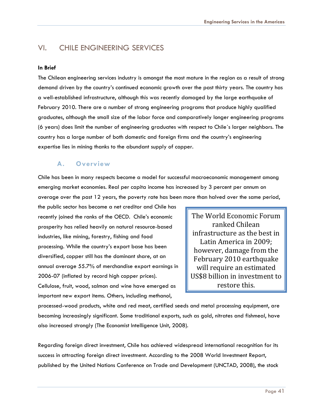## VI. CHILE ENGINEERING SERVICES

### **In Brief**

The Chilean engineering services industry is amongst the most mature in the region as a result of strong demand driven by the country's continued economic growth over the past thirty years. The country has a well-established infrastructure, although this was recently damaged by the large earthquake of February 2010. There are a number of strong engineering programs that produce highly qualified graduates, although the small size of the labor force and comparatively longer engineering programs (6 years) does limit the number of engineering graduates with respect to Chile´s larger neighbors. The country has a large number of both domestic and foreign firms and the country's engineering expertise lies in mining thanks to the abundant supply of copper.

## **A. Overview**

Chile has been in many respects become a model for successful macroeconomic management among emerging market economies. Real per capita income has increased by 3 percent per annum on average over the past 12 years, the poverty rate has been more than halved over the same period,

the public sector has become a net creditor and Chile has recently joined the ranks of the OECD. Chile's economic prosperity has relied heavily on natural resource-based industries, like mining, forestry, fishing and food processing. While the country's export base has been diversified, copper still has the dominant share, at an annual average 55.7% of merchandise export earnings in 2006-07 (inflated by record high copper prices). Cellulose, fruit, wood, salmon and wine have emerged as important new export items. Others, including methanol,

The World Economic Forum ranked Chilean infrastructure as the best in Latin America in 2009; however, damage from the February 2010 earthquake will require an estimated US\$8 billion in investment to restore this.

processed-wood products, white and red meat, certified seeds and metal processing equipment, are becoming increasingly significant. Some traditional exports, such as gold, nitrates and fishmeal, have also increased strongly (The Economist Intelligence Unit, 2008).

Regarding foreign direct investment, Chile has achieved widespread international recognition for its success in attracting foreign direct investment. According to the 2008 World Investment Report, published by the United Nations Conference on Trade and Development (UNCTAD, 2008), the stock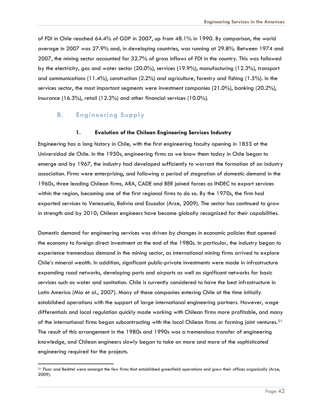of FDI in Chile reached 64.4% of GDP in 2007, up from 48.1% in 1990. By comparison, the world average in 2007 was 27.9% and, in developing countries, was running at 29.8%. Between 1974 and 2007, the mining sector accounted for 32.7% of gross inflows of FDI in the country. This was followed by the electricity, gas and water sector (20.0%), services (19.9%), manufacturing (12.3%), transport and communications (11.4%), construction (2.2%) and agriculture, forestry and fishing (1.5%). In the services sector, the most important segments were investment companies (21.0%), banking (20.2%), insurance (16.3%), retail (12.3%) and other financial services (10.0%).

### **B. Engineering Supply**

-

#### **1. Evolution of the Chilean Engineering Services Industry**

Engineering has a long history in Chile, with the first engineering faculty opening in 1853 at the Universidad de Chile. In the 1950s, engineering firms as we know them today in Chile began to emerge and by 1967, the industry had developed sufficiently to warrant the formation of an industry association. Firms were enterprising, and following a period of stagnation of domestic demand in the 1960s, three leading Chilean firms, ARA, CADE and BER joined forces as INDEC to export services within the region, becoming one of the first regional firms to do so. By the 1970s, the firm had exported services to Venezuela, Bolivia and Ecuador (Arze, 2009). The sector has continued to grow in strength and by 2010; Chilean engineers have become globally recognized for their capabilities.

Domestic demand for engineering services was driven by changes in economic policies that opened the economy to foreign direct investment at the end of the 1980s. In particular, the industry began to experience tremendous demand in the mining sector, as international mining firms arrived to explore Chile's mineral wealth. In addition, significant public-private investments were made in infrastructure expanding road networks, developing ports and airports as well as significant networks for basic services such as water and sanitation. Chile is currently considered to have the best infrastructure in Latin America (Mia et al., 2007). Many of these companies entering Chile at the time initially established operations with the support of large international engineering partners. However, wage differentials and local regulation quickly made working with Chilean firms more profitable, and many of the international firms began subcontracting with the local Chilean firms or forming joint ventures.<sup>[21](#page-42-0)</sup> The result of this arrangement in the 1980s and 1990s was a tremendous transfer of engineering knowledge, and Chilean engineers slowly began to take on more and more of the sophisticated engineering required for the projects.

<span id="page-42-0"></span><sup>&</sup>lt;sup>21</sup> Fluor and Bechtel were amongst the few firms that established greenfield operations and grew their offices organically (Arze, 2009).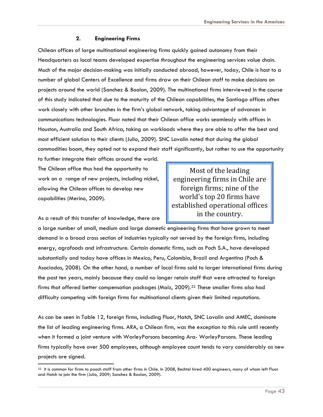### **2. Engineering Firms**

Chilean offices of large multinational engineering firms quickly gained autonomy from their Headquarters as local teams developed expertise throughout the engineering services value chain. Much of the major decision-making was initially conducted abroad, however, today, Chile is host to a number of global Centers of Excellence and firms draw on their Chilean staff to make decisions on projects around the world (Sanchez & Boolan, 2009). The multinational firms interviewed in the course of this study indicated that due to the maturity of the Chilean capabilities, the Santiago offices often work closely with other brunches in the firm's global network, taking advantage of advances in communications technologies. Fluor noted that their Chilean office works seamlessly with offices in Houston, Australia and South Africa, taking on workloads where they are able to offer the best and most efficient solution to their clients (Julio, 2009). SNC Lavalin noted that during the global commodities boom, they opted not to expand their staff significantly, but rather to use the opportunity

to further integrate their offices around the world. The Chilean office thus had the opportunity to work on a range of new projects, including nickel, allowing the Chilean offices to develop new capabilities (Merino, 2009).

Most of the leading engineering firms in Chile are foreign firms; nine of the world's top 20 firms have established operational offices in the country.

As a result of this transfer of knowledge, there are

-

a large number of small, medium and large domestic engineering firms that have grown to meet demand in a broad cross section of industries typically not served by the foreign firms, including energy, agrofoods and infrastructure. Certain domestic firms, such as Poch S.A., have developed substantially and today have offices in Mexico, Peru, Colombia, Brazil and Argentina (Poch & Asociados, 2008). On the other hand, a number of local firms sold to larger international firms during the past ten years, mainly because they could no longer retain staff that were attracted to foreign firms that offered better compensation packages (Maiz, 2009)[.22](#page-43-0) These smaller firms also had difficulty competing with foreign firms for multinational clients given their limited reputations.

As can be seen in Table 12, foreign firms, including Fluor, Hatch, SNC Lavalin and AMEC, dominate the list of leading engineering firms. ARA, a Chilean firm, was the exception to this rule until recently when it formed a joint venture with WorleyParsons becoming Ara- WorleyParsons. These leading firms typically have over 500 employees, although employee count tends to vary considerably as new projects are signed.

<span id="page-43-0"></span><sup>22</sup> It is common for firms to poach staff from other firms in Chile. In 2008, Bechtel hired 400 engineers, many of whom left Fluor and Hatch to join the firm (Julio, 2009; Sanchez & Boolan, 2009).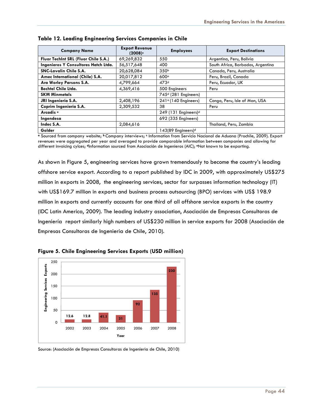| <b>Company Name</b>                  | <b>Export Revenue</b><br>$(2008)^c$ | <b>Employees</b>                 | <b>Export Destinations</b>        |
|--------------------------------------|-------------------------------------|----------------------------------|-----------------------------------|
| Fluor TechInt SRL (Fluor Chile S.A.) | 69,269,832                          | 550                              | Argentina, Peru, Bolivia          |
| Ingenieros Y Consultores Hatch Ltda. | 56,517,648                          | 400                              | South Africa, Barbados, Argentina |
| <b>SNC-Lavalin Chile S.A.</b>        | 20,628,084                          | 350 <sup>b</sup>                 | Canada, Peru, Australia           |
| Amec International (Chile) S.A.      | 20,017,812                          | 600 <sup>a</sup>                 | Peru, Brazil, Canada              |
| Ara Worley Parsons S.A.              | 4,799,664                           | 473 <sup>d</sup>                 | Peru, Ecuador, UK                 |
| <b>Bechtel Chile Ltda.</b>           | 4,369,416                           | 500 Engineers                    | Peru                              |
| <b>SKM Minmetals</b>                 |                                     | 745 <sup>d</sup> (281 Engineers) |                                   |
| JRI Ingeniería S.A.                  | 2,408,196                           | $241°(140$ Engineers)            | Congo, Peru, Isle of Man, USA     |
| Coprim Ingeniería S.A.               | 2,309,532                           | 38                               | Peru                              |
| Arcadis <sup>e</sup>                 |                                     | 249 (131 Engineers) <sup>d</sup> |                                   |
| Ingendesa                            |                                     | 692 (335 Engineers)              |                                   |
| Indec S.A.                           | 2,084,616                           |                                  | Thailand, Peru, Zambia            |
| Golder                               |                                     | 143(89 Engineers) <sup>d</sup>   |                                   |

**<sup>a</sup>** Sourced from company website; **b** Company interviews; **<sup>c</sup>** Information from Servicio Nacional de Aduana (Prochile, 2009). Export revenues were aggregated per year and averaged to provide comparable information between companies and allowing for different invoicing cylces; **d**Information sourced from Asociación de Ingenieros (AIC); **e**Not known to be exporting.

As shown in Figure 5, engineering services have grown tremendously to become the country's leading offshore service export. According to a report published by IDC in 2009, with approximately US\$275 million in exports in 2008, the engineering services, sector far surpasses information technology (IT) with US\$169.7 million in exports and business process outsourcing (BPO) services with US\$ 198.9 million in exports and currently accounts for one third of all offshore service exports in the country (IDC Latin America, 2009). The leading industry association, Asociación de Empresas Consultoras de Ingeniería report similarly high numbers of US\$230 million in service exports for 2008 (Asociación de Empresas Consultoras de Ingenieria de Chile, 2010).



**Figure 5. Chile Engineering Services Exports (USD million)** 

Source: (Asociación de Empresas Consultoras de Ingenieria de Chile, 2010)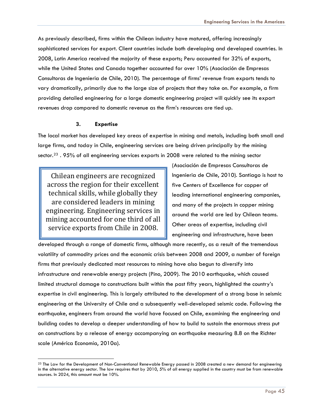As previously described, firms within the Chilean industry have matured, offering increasingly sophisticated services for export. Client countries include both developing and developed countries. In 2008, Latin America received the majority of these exports; Peru accounted for 32% of exports, while the United States and Canada together accounted for over 10% (Asociación de Empresas Consultoras de Ingenieria de Chile, 2010). The percentage of firms' revenue from exports tends to vary dramatically, primarily due to the large size of projects that they take on. For example, a firm providing detailed engineering for a large domestic engineering project will quickly see its export revenues drop compared to domestic revenue as the firm's resources are tied up.

### **3. Expertise**

The local market has developed key areas of expertise in mining and metals, including both small and large firms, and today in Chile, engineering services are being driven principally by the mining sector.<sup>[23](#page-45-0)</sup> . 95% of all engineering services exports in 2008 were related to the mining sector

Chilean engineers are recognized across the region for their excellent technical skills, while globally they are considered leaders in mining engineering. Engineering services in mining accounted for one third of all service exports from Chile in 2008.

-

(Asociación de Empresas Consultoras de Ingenieria de Chile, 2010). Santiago is host to five Centers of Excellence for copper of leading international engineering companies, and many of the projects in copper mining around the world are led by Chilean teams. Other areas of expertise, including civil engineering and infrastructure, have been

developed through a range of domestic firms, although more recently, as a result of the tremendous volatility of commodity prices and the economic crisis between 2008 and 2009, a number of foreign firms that previously dedicated most resources to mining have also begun to diversify into infrastructure and renewable energy projects (Pino, 2009). The 2010 earthquake, which caused limited structural damage to constructions built within the past fifty years, highlighted the country's expertise in civil engineering. This is largely attributed to the development of a strong base in seismic engineering at the University of Chile and a subsequently well-developed seismic code. Following the earthquake, engineers from around the world have focused on Chile, examining the engineering and building codes to develop a deeper understanding of how to build to sustain the enormous stress put on constructions by a release of energy accompanying an earthquake measuring 8.8 on the Richter scale (América Economía, 2010a).

<span id="page-45-0"></span><sup>&</sup>lt;sup>23</sup> The Law for the Development of Non-Conventional Renewable Energy passed in 2008 created a new demand for engineering in the alternative energy sector. The law requires that by 2010, 5% of all energy supplied in the country must be from renewable sources. In 2024, this amount must be 10%.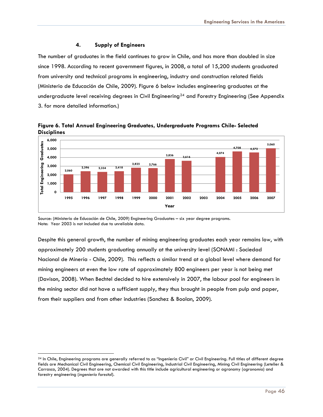### **4. Supply of Engineers**

The number of graduates in the field continues to grow in Chile, and has more than doubled in size since 1998. According to recent government figures, in 2008, a total of 15,200 students graduated from university and technical programs in engineering, industry and construction related fields (Ministerio de Educación de Chile, 2009). Figure 6 below includes engineering graduates at the undergraduate level receiving degrees in Civil Engineering<sup>[24](#page-46-0)</sup> and Forestry Engineering (See Appendix 3. for more detailed information.)



**Figure 6. Total Annual Engineering Graduates, Undergraduate Programs Chile- Selected Disciplines** 

Source: (Ministerio de Educación de Chile, 2009) Engineering Graduates – six year degree programs. Note: Year 2003 is not included due to unreliable data.

Despite this general growth, the number of mining engineering graduates each year remains low, with approximately 200 students graduating annually at the university level (SONAMI : Sociedad Nacional de Minería - Chile, 2009). This reflects a similar trend at a global level where demand for mining engineers at even the low rate of approximately 800 engineers per year is not being met (Davison, 2008). When Bechtel decided to hire extensively in 2007, the labour pool for engineers in the mining sector did not have a sufficient supply, they thus brought in people from pulp and paper, from their suppliers and from other industries (Sanchez & Boolan, 2009).

<span id="page-46-0"></span><sup>&</sup>lt;sup>24</sup> In Chile, Engineering programs are generally referred to as "Ingeniería Civil" or Civil Engineering. Full titles of different degree fields are Mechanical Civil Engineering, Chemical Civil Engineering, Industrial Civil Engineering, Mining Civil Engineering (Letelier & Carrasco, 2004). Degrees that are not awarded with this title include agricultural engineering or agronomy (*agronomia*) and forestry engineering (*ingeniería forestal*).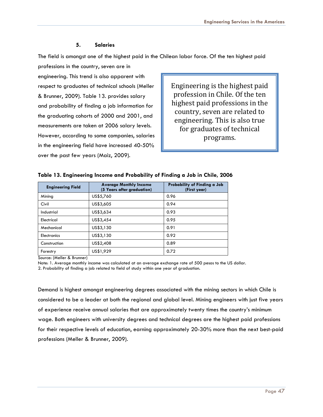### **5. Salaries**

The field is amongst one of the highest paid in the Chilean labor force. Of the ten highest paid

professions in the country, seven are in engineering. This trend is also apparent with respect to graduates of technical schools (Meller & Brunner, 2009). Table 13. provides salary and probability of finding a job information for the graduating cohorts of 2000 and 2001, and measurements are taken at 2006 salary levels. However, according to some companies, salaries in the engineering field have increased 40-50% over the past few years (Maiz, 2009).

Engineering is the highest paid profession in Chile. Of the ten highest paid professions in the country, seven are related to engineering. This is also true for graduates of technical programs.

| <b>Engineering Field</b> | <b>Average Monthly Income</b><br>(5 Years after graduation) | Probability of Finding a Job<br>(First year) |  |  |
|--------------------------|-------------------------------------------------------------|----------------------------------------------|--|--|
| Mining                   | US\$5,760                                                   | 0.96                                         |  |  |
| Civil                    | US\$3,605                                                   | 0.94                                         |  |  |
| Industrial               | US\$3,634                                                   | 0.93                                         |  |  |
| Electrical               | US\$3,454                                                   | 0.95                                         |  |  |
| Mechanical               | US\$3,130                                                   | 0.91                                         |  |  |
| Electronics              | US\$3,130                                                   | 0.92                                         |  |  |
| Construction             | US\$2,408                                                   | 0.89                                         |  |  |
| Forestry                 | US\$1,929                                                   | 0.72                                         |  |  |

### **Table 13. Engineering Income and Probability of Finding a Job in Chile, 2006**

Source: (Meller & Brunner)

Note: 1. Average monthly income was calculated at an average exchange rate of 500 pesos to the US dollar. 2. Probability of finding a job related to field of study within one year of graduation.

Demand is highest amongst engineering degrees associated with the mining sectors in which Chile is considered to be a leader at both the regional and global level. Mining engineers with just five years of experience receive annual salaries that are approximately twenty times the country's minimum wage. Both engineers with university degrees and technical degrees are the highest paid professions for their respective levels of education, earning approximately 20-30% more than the next best-paid professions (Meller & Brunner, 2009).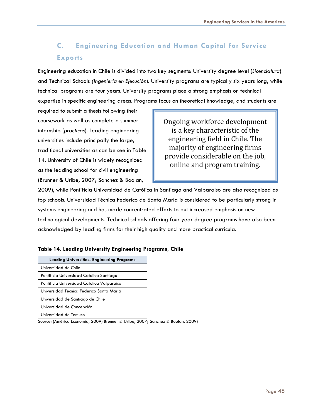# **C. Engineering Education and Human Capital for Service Exports**

Engineering education in Chile is divided into two key segments: University degree level (*Licenciatura*) and Technical Schools *(Ingeniería en Ejecución*). University programs are typically six years long, while technical programs are four years. University programs place a strong emphasis on technical expertise in specific engineering areas. Programs focus on theoretical knowledge, and students are

required to submit a thesis following their coursework as well as complete a summer internship (*practicas*). Leading engineering universities include principally the large, traditional universities as can be see in Table 14. University of Chile is widely recognized as the leading school for civil engineering (Brunner & Uribe, 2007; Sanchez & Boolan,

Ongoing workforce development is a key characteristic of the engineering field in Chile. The majority of engineering firms provide considerable on the job, online and program training.

2009), while Pontificía Universidad de Católica in Santiago and Valparaíso are also recognized as top schools. Universidad Técnica Federico de Santa María is considered to be particularly strong in systems engineering and has made concentrated efforts to put increased emphasis on new technological developments. Technical schools offering four year degree programs have also been acknowledged by leading firms for their high quality and more practical curricula.

### **Table 14. Leading University Engineering Programs, Chile**

| <b>Leading Universities- Engineering Programs</b> |
|---------------------------------------------------|
| Universidad de Chile                              |
| Pontificia Universidad Catolica Santiago          |
| Pontificia Universidad Catolica Valparaiso        |
| Universidad Tecnica Federico Santa Maria          |
| Universidad de Santiago de Chile                  |
| Universidad de Concepción                         |
| Universidad de Temuco                             |

Source: (América Economía, 2009; Brunner & Uribe, 2007; Sanchez & Boolan, 2009)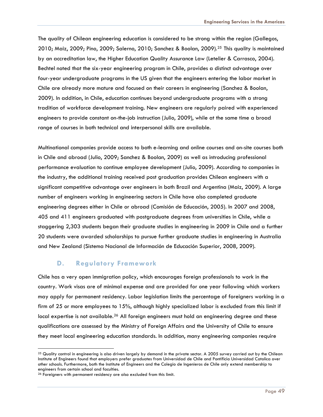The quality of Chilean engineering education is considered to be strong within the region (Gallegos, 2010; Maiz, 2009; Pino, 2009; Salerno, 2010; Sanchez & Boolan, 2009).[25](#page-49-0) This quality is maintained by an accreditation law, the Higher Education Quality Assurance Law (Letelier & Carrasco, 2004). Bechtel noted that the six-year engineering program in Chile, provides a distinct advantage over four-year undergraduate programs in the US given that the engineers entering the labor market in Chile are already more mature and focused on their careers in engineering (Sanchez & Boolan, 2009). In addition, in Chile, education continues beyond undergraduate programs with a strong tradition of workforce development training. New engineers are regularly paired with experienced engineers to provide constant on-the-job instruction (Julio, 2009), while at the same time a broad range of courses in both technical and interpersonal skills are available.

Multinational companies provide access to both e-learning and online courses and on-site courses both in Chile and abroad (Julio, 2009; Sanchez & Boolan, 2009) as well as introducing professional performance evaluation to continue employee development (Julio, 2009). According to companies in the industry, the additional training received post graduation provides Chilean engineers with a significant competitive advantage over engineers in both Brazil and Argentina (Maiz, 2009). A large number of engineers working in engineering sectors in Chile have also completed graduate engineering degrees either in Chile or abroad (Comisión de Educación, 2005). In 2007 and 2008, 405 and 411 engineers graduated with postgraduate degrees from universities in Chile, while a staggering 2,303 students began their graduate studies in engineering in 2009 in Chile and a further 20 students were awarded scholarships to pursue further graduate studies in engineering in Australia and New Zealand (Sistema Nacional de Información de Educación Superior, 2008, 2009).

### **D. Regulatory Framework**

Chile has a very open immigration policy, which encourages foreign professionals to work in the country. Work visas are of minimal expense and are provided for one year following which workers may apply for permanent residency. Labor legislation limits the percentage of foreigners working in a firm of 25 or more employees to 15%, although highly specialized labor is excluded from this limit if local expertise is not available.<sup>[26](#page-49-1)</sup> All foreign engineers must hold an engineering degree and these qualifications are assessed by the Ministry of Foreign Affairs and the University of Chile to ensure they meet local engineering education standards. In addition, many engineering companies require

<span id="page-49-0"></span><sup>&</sup>lt;sup>25</sup> Quality control in engineering is also driven largely by demand in the private sector. A 2005 survey carried out by the Chilean Institute of Engineers found that employers prefer graduates from Universidad de Chile and Pontificia Universidad Catolica over other schools. Furthermore, both the Institute of Engineers and the Colegio de Ingenieros de Chile only extend membership to engineers from certain school and faculties.

<span id="page-49-1"></span><sup>26</sup> Foreigners with permanent residency are also excluded from this limit.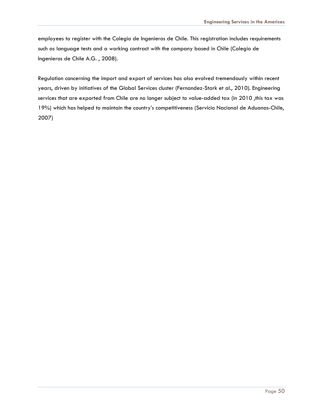employees to register with the Colegio de Ingenieros de Chile. This registration includes requirements such as language tests and a working contract with the company based in Chile (Colegio de Ingenieros de Chile A.G. , 2008).

Regulation concerning the import and export of services has also evolved tremendously within recent years, driven by initiatives of the Global Services cluster (Fernandez-Stark et al., 2010). Engineering services that are exported from Chile are no longer subject to value-added tax (in 2010 ,this tax was 19%) which has helped to maintain the country's competitiveness (Servicio Nacional de Aduanas-Chile, 2007)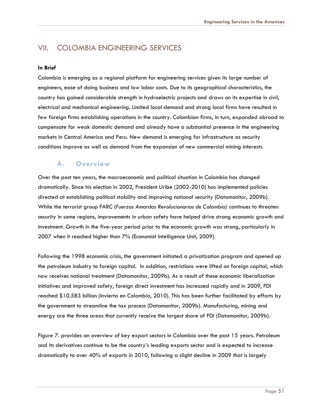## VII. COLOMBIA ENGINEERING SERVICES

#### **In Brief**

Colombia is emerging as a regional platform for engineering services given its large number of engineers, ease of doing business and low labor costs. Due to its geographical characteristics, the country has gained considerable strength in hydroelectric projects and draws on its expertise in civil, electrical and mechanical engineering. Limited local demand and strong local firms have resulted in few foreign firms establishing operations in the country. Colombian firms, in turn, expanded abroad to compensate for weak domestic demand and already have a substantial presence in the engineering markets in Central America and Peru. New demand is emerging for infrastructure as security conditions improve as well as demand from the expansion of new commercial mining interests.

## **A. Overview**

Over the past ten years, the macroeconomic and political situation in Colombia has changed dramatically. Since his election in 2002, President Uribe (2002-2010) has implemented policies directed at establishing political stability and improving national security (Datamonitor, 2009b). While the terrorist group FARC (*Fuerzas Amardas Revolucionarias de Colombia)* continues to threaten security in some regions, improvements in urban safety have helped drive strong economic growth and investment. Growth in the five-year period prior to the economic growth was strong, particularly in 2007 when it reached higher than 7% (Economist Intelligence Unit, 2009).

Following the 1998 economic crisis, the government initiated a privatization program and opened up the petroleum industry to foreign capital. In addition, restrictions were lifted on foreign capital, which now receives national treatment (Datamonitor, 2009b). As a result of these economic liberalization initiatives and improved safety, foreign direct investment has increased rapidly and in 2009, FDI reached \$10.583 billion (Invierta en Colombia, 2010). This has been further facilitated by efforts by the government to streamline the tax process (Datamonitor, 2009b). Manufacturing, mining and energy are the three areas that currently receive the largest share of FDI (Datamonitor, 2009b).

Figure 7. provides an overview of key export sectors in Colombia over the past 15 years. Petroleum and its derivatives continue to be the country's leading exports sector and is expected to increase dramatically to over 40% of exports in 2010, following a slight decline in 2009 that is largely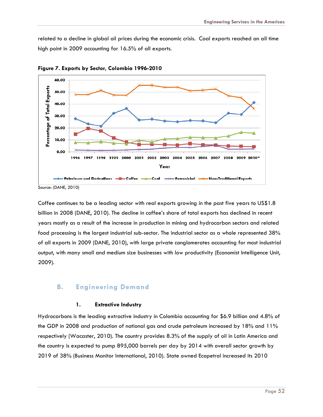related to a decline in global oil prices during the economic crisis. Coal exports reached an all time high point in 2009 accounting for 16.5% of all exports.



**Figure 7. Exports by Sector, Colombia 1996-2010** 

Coffee continues to be a leading sector with real exports growing in the past five years to US\$1.8 billion in 2008 (DANE, 2010). The decline in coffee's share of total exports has declined in recent years mostly as a result of the increase in production in mining and hydrocarbon sectors and related food processing is the largest industrial sub-sector. The industrial sector as a whole represented 38% of all exports in 2009 (DANE, 2010), with large private conglomerates accounting for most industrial output, with many small and medium size businesses with low productivity (Economist Intelligence Unit, 2009).

### **B. Engineering Demand**

#### **1. Extractive Industry**

Hydrocarbons is the leading extractive industry in Colombia accounting for \$6.9 billion and 4.8% of the GDP in 2008 and production of national gas and crude petroleum increased by 18% and 11% respectively (Wacaster, 2010). The country provides 8.3% of the supply of oil in Latin America and the country is expected to pump 895,000 barrels per day by 2014 with overall sector growth by 2019 of 38% (Business Monitor International, 2010). State owned Ecopetrol increased its 2010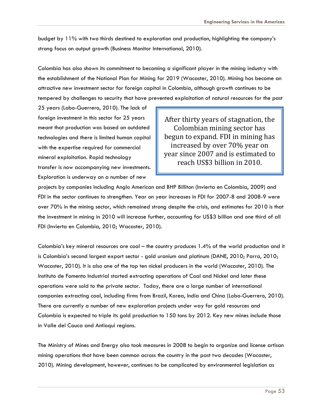budget by 11% with two thirds destined to exploration and production, highlighting the company's strong focus on output growth (Business Monitor International, 2010).

Colombia has also shown its commitment to becoming a significant player in the mining industry with the establishment of the National Plan for Mining for 2019 (Wacaster, 2010). Mining has become an attractive new investment sector for foreign capital in Colombia, although growth continues to be tempered by challenges to security that have prevented exploitation of natural resources for the past

25 years (Lobo-Guerrero, 2010). The lack of foreign investment in this sector for 25 years meant that production was based on outdated technologies and there is limited human capital with the expertise required for commercial mineral exploitation. Rapid technology transfer is now accompanying new investments. Exploration is underway on a number of new

After thirty years of stagnation, the Colombian mining sector has begun to expand. FDI in mining has increased by over 70% year on year since 2007 and is estimated to reach US\$3 billion in 2010.

projects by companies including Anglo American and BHP Billiton (Invierta en Colombia, 2009) and FDI in the sector continues to strengthen. Year on year increases in FDI for 2007-8 and 2008-9 were over 70% in the mining sector, which remained strong despite the crisis, and estimates for 2010 is that the investment in mining in 2010 will increase further, accounting for US\$3 billion and one third of all FDI (Invierta en Colombia, 2010; Wacaster, 2010).

Colombia's key mineral resources are coal – the country produces 1.4% of the world production and it is Colombia's second largest export sector - gold uranium and platinum (DANE, 2010; Parra, 2010; Wacaster, 2010). It is also one of the top ten nickel producers in the world (Wacaster, 2010). The Instituto de Fomento Industrial started extracting operations of Coal and Nickel and later these operations were sold to the private sector. Today, there are a large number of international companies extracting coal, including firms from Brazil, Korea, India and China (Lobo-Guerrero, 2010). There are currently a number of new exploration projects under way for gold resources and Colombia is expected to triple its gold production to 150 tons by 2012. Key new mines include those in Valle del Cauca and Antioqui regions.

The Ministry of Mines and Energy also took measures in 2008 to begin to organize and license artisan mining operations that have been common across the country in the past two decades (Wacaster, 2010). Mining development, however, continues to be complicated by environmental legislation as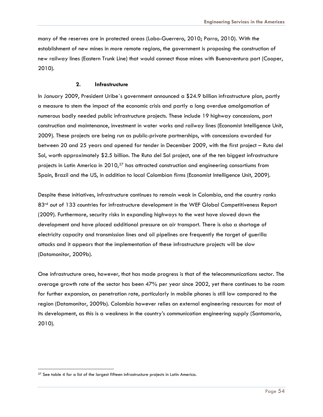many of the reserves are in protected areas (Lobo-Guerrero, 2010; Parra, 2010). With the establishment of new mines in more remote regions, the government is proposing the construction of new railway lines (Eastern Trunk Line) that would connect those mines with Buenaventura port (Cooper, 2010).

#### **2. Infrastructure**

In January 2009, President Uribe´s government announced a \$24.9 billion infrastructure plan, partly a measure to stem the impact of the economic crisis and partly a long overdue amalgamation of numerous badly needed public infrastructure projects. These include 19 highway concessions, port construction and maintenance, investment in water works and railway lines (Economist Intelligence Unit, 2009). These projects are being run as public-private partnerships, with concessions awarded for between 20 and 25 years and opened for tender in December 2009, with the first project – Ruta del Sol, worth approximately \$2.5 billion. The Ruta del Sol project, one of the ten biggest infrastructure projects in Latin America in 2010,[27](#page-54-0) has attracted construction and engineering consortiums from Spain, Brazil and the US, in addition to local Colombian firms (Economist Intelligence Unit, 2009).

Despite these initiatives, infrastructure continues to remain weak in Colombia, and the country ranks 83<sup>rd</sup> out of 133 countries for infrastructure development in the WEF Global Competitiveness Report (2009). Furthermore, security risks in expanding highways to the west have slowed down the development and have placed additional pressure on air transport. There is also a shortage of electricity capacity and transmission lines and oil pipelines are frequently the target of guerilla attacks and it appears that the implementation of these infrastructure projects will be slow (Datamonitor, 2009b).

One infrastructure area, however, that has made progress is that of the telecommunications sector. The average growth rate of the sector has been 47% per year since 2002, yet there continues to be room for further expansion, as penetration rate, particularly in mobile phones is still low compared to the region (Datamonitor, 2009b). Colombia however relies on external engineering resources for most of its development, as this is a weakness in the country's communication engineering supply (Santamaria, 2010).

<span id="page-54-0"></span><sup>27</sup> See table 4 for a list of the largest fifteen infrastructure projects in Latin America.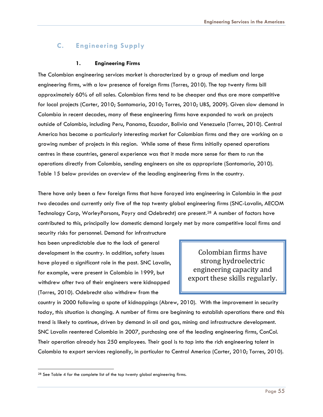## **C. Engineering Supply**

### **1. Engineering Firms**

The Colombian engineering services market is characterized by a group of medium and large engineering firms, with a low presence of foreign firms (Torres, 2010). The top twenty firms bill approximately 60% of all sales. Colombian firms tend to be cheaper and thus are more competitive for local projects (Carter, 2010; Santamaria, 2010; Torres, 2010; UBS, 2009). Given slow demand in Colombia in recent decades, many of these engineering firms have expanded to work on projects outside of Colombia, including Peru, Panama, Ecuador, Bolivia and Venezuela (Torres, 2010). Central America has become a particularly interesting market for Colombian firms and they are working on a growing number of projects in this region. While some of these firms initially opened operations centres in these countries, general experience was that it made more sense for them to run the operations directly from Colombia, sending engineers on site as appropriate (Santamaria, 2010). Table 15 below provides an overview of the leading engineering firms in the country.

There have only been a few foreign firms that have forayed into engineering in Colombia in the past two decades and currently only five of the top twenty global engineering firms (SNC-Lavalin, AECOM Technology Corp, WorleyParsons, Poyry and Odebrecht) are present.[28](#page-55-0) A number of factors have contributed to this, principally low domestic demand largely met by more competitive local firms and

security risks for personnel. Demand for infrastructure has been unpredictable due to the lack of general development in the country. In addition, safety issues have played a significant role in the past. SNC Lavalin, for example, were present in Colombia in 1999, but withdrew after two of their engineers were kidnapped (Torres, 2010). Odebrecht also withdrew from the

Colombian firms have strong hydroelectric engineering capacity and export these skills regularly.

country in 2000 following a spate of kidnappings (Abrew, 2010). With the improvement in security today, this situation is changing. A number of firms are beginning to establish operations there and this trend is likely to continue, driven by demand in oil and gas, mining and infrastructure development. SNC Lavalin reentered Colombia in 2007, purchasing one of the leading engineering firms, ConCol. Their operation already has 250 employees. Their goal is to tap into the rich engineering talent in Colombia to export services regionally, in particular to Central America (Carter, 2010; Torres, 2010).

<span id="page-55-0"></span><sup>28</sup> See Table 4 for the complete list of the top twenty global engineering firms.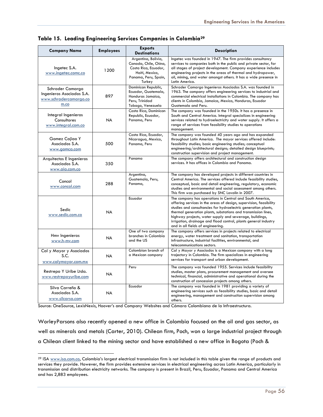| <b>Company Name</b>                                                             | <b>Employees</b> | <b>Exports</b><br><b>Destinations</b>                                                                                    | <b>Description</b>                                                                                                                                                                                                                                                                                                                                                                                                                    |
|---------------------------------------------------------------------------------|------------------|--------------------------------------------------------------------------------------------------------------------------|---------------------------------------------------------------------------------------------------------------------------------------------------------------------------------------------------------------------------------------------------------------------------------------------------------------------------------------------------------------------------------------------------------------------------------------|
| Ingetec S.A.<br>www.ingetec.comc.co                                             | 1200             | Argentina, Bolivia,<br>Canada, Chile, China,<br>Costa Rica, Ecuador,<br>Haiti, Mexico,<br>Panama, Peru, Spain,<br>Turkey | Ingetec was founded in 1947. The firm provides consultancy<br>services to companies both in the public and private sector, for<br>all stages of project development. Company experience includes<br>engineering projects in the areas of thermal and hydropower,<br>oil, mining, and water amongst others. It has a wide presence in<br>Latin America.                                                                                |
| Schrader Camargo<br>Ingenieros Asociados S.A.<br>www.schradercamargo.co<br>m.co | 897              | Dominican Republic,<br>Ecuador, Guatemala,<br>Honduras Jamaica,<br>Peru, Trinidad<br>Tobago, Venezuela                   | Schrader Camargo Ingenieros Asociados S.A. was founded in<br>1963. The company offers engineering services to industrial and<br>commercial electrical installations in Colombia. The company has<br>clients in Colombia, Jamaica, Mexico, Honduras, Ecuador<br>Guatemala and Peru.                                                                                                                                                    |
| Integral Ingenieros<br>Consultores<br>www.integral.com.co                       | <b>NA</b>        | Costa Rica, Dominican<br>Republic, Ecuador,<br>Panama, Peru                                                              | The company was founded in the 1950s. It has a presence in<br>South and Central America. Integral specializes in engineering<br>services related to hydroelectricity and water supply. It offers a<br>range of services from feasibility studies to operations<br>management.                                                                                                                                                         |
| Gomez Cajiao Y<br>Asociados S.A.<br>www.gomca.com                               | 500              | Costa Rica, Ecuador,<br>Nicaragua, Mexico,<br>Panama, Peru                                                               | The company was founded 40 years ago and has expanded<br>throughout Latin America. The mayor services offered include:<br>feasibility studies; basic engineering studies; conceptual<br>engineering/architectural designs; detailed design blueprints;<br>construction supervision and project management.                                                                                                                            |
| Arquitectos E Ingenieros<br>Asociados S.A.<br>www.aia.com.co                    | 350              | Panama                                                                                                                   | The company offers architectural and construction desian<br>services. It has offices in Colombia and Panama.                                                                                                                                                                                                                                                                                                                          |
| Concol<br>www.concol.com                                                        | 288              | Argentina,<br>Guatemala, Peru,<br>Panama,                                                                                | The company has developed projects in different countries in<br>Central America. The services offered include feasibility studies,<br>conceptual, basic and detail engineering, regulatory, economic<br>studies and environmental and social assessment among others.<br>This firm was purchased by SNC Lavalin in 2007.                                                                                                              |
| Sedic<br>www.sedic.com.co                                                       | <b>NA</b>        | Ecuador                                                                                                                  | The company has operations in Central and South America,<br>offering services in the areas of design, supervision, feasibility<br>studies and consultancies for hydroelectric generation plants,<br>thermal generation plants, substations and transmission lines,<br>highway projects, water supply and sewerage, buildings,<br>irrigation, drainage and flood control, plants general industry<br>and in all fields of engineering. |
| Hmy Ingenieros<br>www.h-mv.com                                                  | <b>NA</b>        | One of two company<br>branches in Colombia<br>and the US                                                                 | The company offers services in projects related to electrical<br>energy, water treatment and sanitation, transportation<br>infrastructure, industrial facilities, environmental, and<br>telecommunications sectors.                                                                                                                                                                                                                   |
| Cal y Mayor y Asociados<br>S.C.<br>www.calymayor.com.mx                         | <b>NA</b>        | Colombian branch of<br>a Mexican company                                                                                 | Cal y Mayor y Asociados is a Mexican company with a long<br>trajectory in Colombia. The firm specializes in engineering<br>services for transport and urban development.                                                                                                                                                                                                                                                              |
| Restrepo Y Uribe Ltda.<br>www.restrepoyuribe.com                                | <b>NA</b>        | Peru                                                                                                                     | The company was founded 1955. Services include feasibility<br>studies, master plans, procurement management and oversee<br>technical, financial, administrative and operational during the<br>construction of concession projects among others.                                                                                                                                                                                       |
| Silva Carreño &<br>Asociados S.A.<br>www.silcarsa.com                           | <b>NA</b>        | Ecuador                                                                                                                  | The company was founded in 1981 providing a variety of<br>engineering services such as feasibility studies, basic and detail<br>engineering, management and construction supervision among<br>others.                                                                                                                                                                                                                                 |

**Table 15. Leading Engineering Services Companies in Colombia[29](#page-56-0)**

Source: OneSource, LexisNexis, Hoover's and Company Websites and Cámara Colombiana de la Infraestructura.

WorleyParsons also recently opened a new office in Colombia focused on the oil and gas sector, as well as minerals and metals (Carter, 2010). Chilean firm, Poch, won a large industrial project through a Chilean client linked to the mining sector and have established a new office in Bogota (Poch &

<span id="page-56-0"></span><sup>&</sup>lt;sup>29</sup> ISA [www.isa.com.co](http://www.isa.com.co/), Colombia's largest electrical transmission firm is not included in this table given the range of products and services they provide. However, the firm provides extensive services in electrical engineering across Latin America, particularly in transmission and distribution electricity networks. The company is present in Brazil, Peru, Ecuador, Panama and Central America and has 2,883 employees.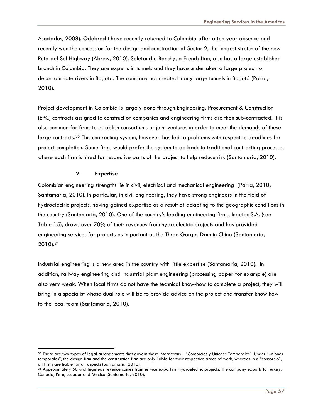Asociados, 2008). Odebrecht have recently returned to Colombia after a ten year absence and recently won the concession for the design and construction of Sector 2, the longest stretch of the new Ruta del Sol Highway (Abrew, 2010). Soletanche Banchy, a French firm, also has a large established branch in Colombia. They are experts in tunnels and they have undertaken a large project to decontaminate rivers in Bogota. The company has created many large tunnels in Bogotá (Parra, 2010).

Project development in Colombia is largely done through Engineering, Procurement & Construction (EPC) contracts assigned to construction companies and engineering firms are then sub-contracted. It is also common for firms to establish consortiums or joint ventures in order to meet the demands of these large contracts.<sup>[30](#page-57-0)</sup> This contracting system, however, has led to problems with respect to deadlines for project completion. Some firms would prefer the system to go back to traditional contracting processes where each firm is hired for respective parts of the project to help reduce risk (Santamaria, 2010).

### **2. Expertise**

Colombian engineering strengths lie in civil, electrical and mechanical engineering (Parra, 2010; Santamaria, 2010). In particular, in civil engineering, they have strong engineers in the field of hydroelectric projects, having gained expertise as a result of adapting to the geographic conditions in the country (Santamaria, 2010). One of the country's leading engineering firms, Ingetec S.A. (see Table 15), draws over 70% of their revenues from hydroelectric projects and has provided engineering services for projects as important as the Three Gorges Dam in China (Santamaria, 2010).[31](#page-57-1)

Industrial engineering is a new area in the country with little expertise (Santamaria, 2010). In addition, railway engineering and industrial plant engineering (processing paper for example) are also very weak. When local firms do not have the technical know-how to complete a project, they will bring in a specialist whose dual role will be to provide advice on the project and transfer know how to the local team (Santamaria, 2010).

<span id="page-57-0"></span><sup>30</sup> There are two types of legal arrangements that govern these interactions – "Consorcios y Uniones Temporales". Under "Uniones temporales", the design firm and the construction firm are only liable for their respective areas of work, whereas in a "consorcio", all firms are liable for all aspects (Santamaria, 2010).

<span id="page-57-1"></span><sup>31</sup> Approximately 50% of Ingetec's revenue comes from service exports in hydroelectric projects. The company exports to Turkey, Canada, Peru, Ecuador and Mexico (Santamaria, 2010).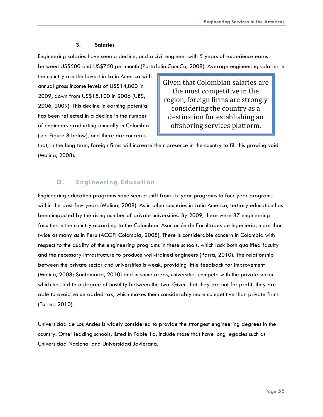### **3. Salaries**

Engineering salaries have seen a decline, and a civil engineer with 5 years of experience earns between US\$500 and US\$750 per month (Portafolio.Com.Co, 2008). Average engineering salaries in

the country are the lowest in Latin America with annual gross income levels of US\$14,800 in 2009, down from US\$15,100 in 2006 (UBS, 2006, 2009). This decline in earning potential has been reflected in a decline in the number of engineers graduating annually in Colombia (see Figure 8 below), and there are concerns

Given that Colombian salaries are the most competitive in the region, foreign firms are strongly considering the country as a destination for establishing an offshoring services platform.

that, in the long term, foreign firms will increase their presence in the country to fill this growing void (Molina, 2008).

## **D. Engineering Education**

Engineering education programs have seen a shift from six year programs to four year programs within the past few years (Molina, 2008). As in other countries in Latin America, tertiary education has been impacted by the rising number of private universities. By 2009, there were 87 engineering faculties in the country according to the Colombian Asociación de Facultades de Ingeniería, more than twice as many as in Peru (ACOFI Colombia, 2008). There is considerable concern in Colombia with respect to the quality of the engineering programs in these schools, which lack both qualified faculty and the necessary infrastructure to produce well-trained engineers (Parra, 2010). The relationship between the private sector and universities is weak, providing little feedback for improvement (Molina, 2008; Santamaria, 2010) and in some areas, universities compete with the private sector which has led to a degree of hostility between the two. Given that they are not for profit, they are able to avoid value added tax, which makes them considerably more competitive than private firms (Torres, 2010).

Universidad de Los Andes is widely considered to provide the strongest engineering degrees in the country. Other leading schools, listed in Table 16, include those that have long legacies such as Universidad Nacional and Universidad Javierana.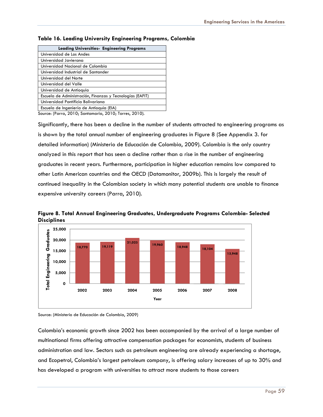| <b>Leading Universities- Engineering Programs</b>         |
|-----------------------------------------------------------|
| Universidad de Los Andes                                  |
| Universidad Javierana                                     |
| Universidad Nacional de Colombia                          |
| Universidad Industrial de Santander                       |
| Universidad del Norte                                     |
| Universidad del Valle                                     |
| Universidad de Antioquia                                  |
| Escuela de Administración, Finanzas y Tecnologías (EAFIT) |
| Universidad Pontificia Bolivariana                        |
| Escuela de Ingeniería de Antioquia (EIA)                  |

### **Table 16. Leading University Engineering Programs, Colombia**

Source: (Parra, 2010; Santamaria, 2010; Torres, 2010).

Significantly, there has been a decline in the number of students attracted to engineering programs as is shown by the total annual number of engineering graduates in Figure 8 (See Appendix 3. for detailed information) (Ministerio de Educación de Colombia, 2009). Colombia is the only country analyzed in this report that has seen a decline rather than a rise in the number of engineering graduates in recent years. Furthermore, participation in higher education remains low compared to other Latin American countries and the OECD (Datamonitor, 2009b). This is largely the result of continued inequality in the Colombian society in which many potential students are unable to finance expensive university careers (Parra, 2010).



**Figure 8. Total Annual Engineering Graduates, Undergraduate Programs Colombia- Selected Disciplines** 

Source: (Ministerio de Educación de Colombia, 2009)

Colombia's economic growth since 2002 has been accompanied by the arrival of a large number of multinational firms offering attractive compensation packages for economists, students of business administration and law. Sectors such as petroleum engineering are already experiencing a shortage, and Ecopetrol, Colombia's largest petroleum company, is offering salary increases of up to 30% and has developed a program with universities to attract more students to those careers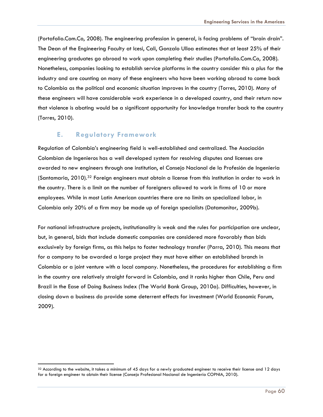(Portafolio.Com.Co, 2008). The engineering profession in general, is facing problems of "brain drain". The Dean of the Engineering Faculty at Icesi, Cali, Gonzalo Ulloa estimates that at least 25% of their engineering graduates go abroad to work upon completing their studies (Portafolio.Com.Co, 2008). Nonetheless, companies looking to establish service platforms in the country consider this a plus for the industry and are counting on many of these engineers who have been working abroad to come back to Colombia as the political and economic situation improves in the country (Torres, 2010). Many of these engineers will have considerable work experience in a developed country, and their return now that violence is abating would be a significant opportunity for knowledge transfer back to the country (Torres, 2010).

### **E. Regulatory Framework**

-

Regulation of Colombia's engineering field is well-established and centralized. The Asociación Colombian de Ingenieros has a well developed system for resolving disputes and licenses are awarded to new engineers through one institution, el Consejo Nacional de la Profesión de Ingenieria (Santamaria, 2010).[32](#page-60-0) Foreign engineers must obtain a license from this institution in order to work in the country. There is a limit on the number of foreigners allowed to work in firms of 10 or more employees. While in most Latin American countries there are no limits on specialized labor, in Colombia only 20% of a firm may be made up of foreign specialists (Datamonitor, 2009b).

For national infrastructure projects, institutionality is weak and the rules for participation are unclear, but, in general, bids that include domestic companies are considered more favorably than bids exclusively by foreign firms, as this helps to foster technology transfer (Parra, 2010). This means that for a company to be awarded a large project they must have either an established branch in Colombia or a joint venture with a local company. Nonetheless, the procedures for establishing a firm in the country are relatively straight forward in Colombia, and it ranks higher than Chile, Peru and Brazil in the Ease of Doing Business Index (The World Bank Group, 2010a). Difficulties, however, in closing down a business do provide some deterrent effects for investment (World Economic Forum, 2009).

<span id="page-60-0"></span> $32$  According to the website, it takes a minimum of 45 days for a newly graduated engineer to receive their license and 12 days for a foreign engineer to obtain their license (Consejo Profesional Nacional de Ingeniería COPNIA, 2010).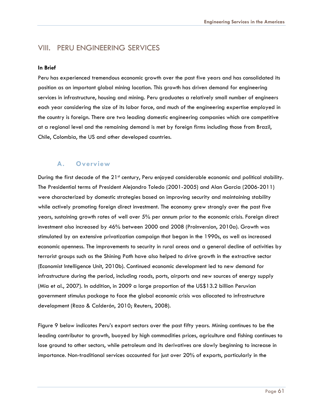## VIII. PERU ENGINEERING SERVICES

#### **In Brief**

Peru has experienced tremendous economic growth over the past five years and has consolidated its position as an important global mining location. This growth has driven demand for engineering services in infrastructure, housing and mining. Peru graduates a relatively small number of engineers each year considering the size of its labor force, and much of the engineering expertise employed in the country is foreign. There are two leading domestic engineering companies which are competitive at a regional level and the remaining demand is met by foreign firms including those from Brazil, Chile, Colombia, the US and other developed countries.

### **A. Overview**

During the first decade of the 21<sup>st</sup> century, Peru enjoyed considerable economic and political stability. The Presidential terms of President Alejandro Toledo (2001-2005) and Alan Garcia (2006-2011) were characterized by domestic strategies based on improving security and maintaining stability while actively promoting foreign direct investment. The economy grew strongly over the past five years, sustaining growth rates of well over 5% per annum prior to the economic crisis. Foreign direct investment also increased by 46% between 2000 and 2008 (ProInversion, 2010a). Growth was stimulated by an extensive privatization campaign that began in the 1990s, as well as increased economic openness. The improvements to security in rural areas and a general decline of activities by terrorist groups such as the Shining Path have also helped to drive growth in the extractive sector (Economist Intelligence Unit, 2010b). Continued economic development led to new demand for infrastructure during the period, including roads, ports, airports and new sources of energy supply (Mia et al., 2007). In addition, in 2009 a large proportion of the US\$13.2 billion Peruvian government stimulus package to face the global economic crisis was allocated to infrastructure development (Razo & Calderón, 2010; Reuters, 2008).

Figure 9 below indicates Peru's export sectors over the past fifty years. Mining continues to be the leading contributor to growth, buoyed by high commodities prices, agriculture and fishing continues to lose ground to other sectors, while petroleum and its derivatives are slowly beginning to increase in importance. Non-traditional services accounted for just over 20% of exports, particularly in the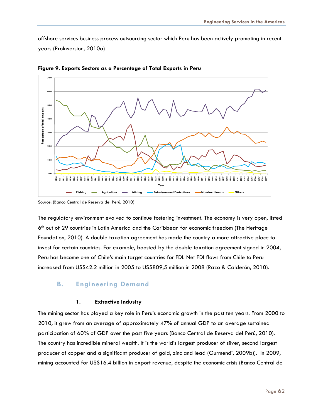offshore services business process outsourcing sector which Peru has been actively promoting in recent years (ProInversion, 2010a)



**Figure 9. Exports Sectors as a Percentage of Total Exports in Peru** 

Source: (Banco Central de Reserva del Perú, 2010)

The regulatory environment evolved to continue fostering investment. The economy is very open, listed 6<sup>th</sup> out of 29 countries in Latin America and the Caribbean for economic freedom (The Heritage Foundation, 2010). A double taxation agreement has made the country a more attractive place to invest for certain countries. For example, boosted by the double taxation agreement signed in 2004, Peru has become one of Chile's main target countries for FDI. Net FDI flows from Chile to Peru increased from US\$42.2 million in 2005 to US\$809,5 million in 2008 (Razo & Calderón, 2010).

### **B. Engineering Demand**

#### **1. Extractive Industry**

The mining sector has played a key role in Peru's economic growth in the past ten years. From 2000 to 2010, it grew from an average of approximately 47% of annual GDP to an average sustained participation of 60% of GDP over the past five years (Banco Central de Reserva del Perú, 2010). The country has incredible mineral wealth. It is the world's largest producer of silver, second largest producer of copper and a significant producer of gold, zinc and lead (Gurmendi, 2009b)). In 2009, mining accounted for US\$16.4 billion in export revenue, despite the economic crisis (Banco Central de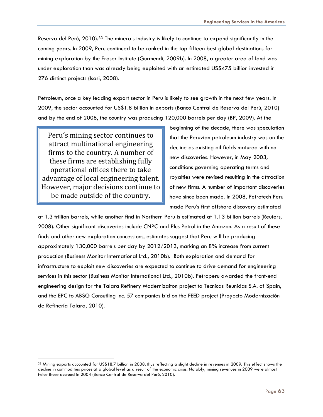Reserva del Perú, 2010).<sup>[33](#page-63-0)</sup> The minerals industry is likely to continue to expand significantly in the coming years. In 2009, Peru continued to be ranked in the top fifteen best global destinations for mining exploration by the Fraser Institute (Gurmendi, 2009b). In 2008, a greater area of land was under exploration than was already being exploited with an estimated US\$475 billion invested in 276 distinct projects (Isasi, 2008).

Petroleum, once a key leading export sector in Peru is likely to see growth in the next few years. In 2009, the sector accounted for US\$1.8 billion in exports (Banco Central de Reserva del Perú, 2010) and by the end of 2008, the country was producing 120,000 barrels per day (BP, 2009). At the

Peru´s mining sector continues to attract multinational engineering firms to the country. A number of these firms are establishing fully operational offices there to take advantage of local engineering talent. However, major decisions continue to be made outside of the country.

-

beginning of the decade, there was speculation that the Peruvian petroleum industry was on the decline as existing oil fields matured with no new discoveries. However, in May 2003, conditions governing operating terms and royalties were revised resulting in the attraction of new firms. A number of important discoveries have since been made. In 2008, Petrotech Peru made Peru's first offshore discovery estimated

at 1.3 trillion barrels, while another find in Northern Peru is estimated at 1.13 billion barrels (Reuters, 2008). Other significant discoveries include CNPC and Plus Petrol in the Amazon. As a result of these finds and other new exploration concessions, estimates suggest that Peru will be producing approximately 130,000 barrels per day by 2012/2013, marking an 8% increase from current production (Business Monitor International Ltd., 2010b). Both exploration and demand for infrastructure to exploit new discoveries are expected to continue to drive demand for engineering services in this sector (Business Monitor International Ltd., 2010b). Petroperu awarded the front-end engineering design for the Talara Refinery Modernizaiton project to Tecnicas Reunidas S.A. of Spain, and the EPC to ABSG Consutling Inc. 57 companies bid on the FEED project (Proyecto Modernización de Refinería Talara, 2010).

<span id="page-63-0"></span><sup>33</sup> Mining exports accounted for US\$18.7 billion in 2008, thus reflecting a slight decline in revenues in 2009. This effect shows the decline in commodities prices at a global level as a result of the economic crisis. Notably, mining revenues in 2009 were almost twice those accrued in 2004 (Banco Central de Reserva del Perú, 2010).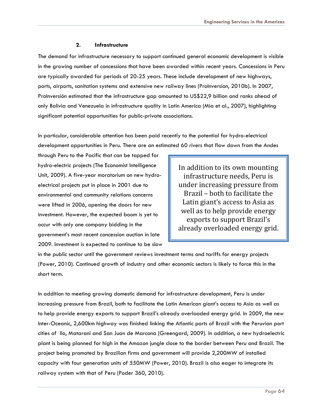### **2. Infrastructure**

The demand for infrastructure necessary to support continued general economic development is visible in the growing number of concessions that have been awarded within recent years. Concessions in Peru are typically awarded for periods of 20-25 years. These include development of new highways, ports, airports, sanitation systems and extensive new railway lines (ProInversion, 2010b). In 2007, ProInversión estimated that the infrastructure gap amounted to US\$22,9 billion and ranks ahead of only Bolivia and Venezuela in infrastructure quality in Latin America (Mia et al., 2007), highlighting significant potential opportunities for public-private associations.

In particular, considerable attention has been paid recently to the potential for hydro-electrical development opportunities in Peru. There are an estimated 60 rivers that flow down from the Andes

through Peru to the Pacific that can be tapped for hydro-electric projects (The Economist Intelligence Unit, 2009). A five-year moratorium on new hydroelectrical projects put in place in 2001 due to environmental and community relations concerns were lifted in 2006, opening the doors for new investment. However, the expected boom is yet to occur with only one company bidding in the government's most recent concession auction in late 2009. Investment is expected to continue to be slow

In addition to its own mounting infrastructure needs, Peru is under increasing pressure from Brazil – both to facilitate the Latin giant's access to Asia as well as to help provide energy exports to support Brazil's already overloaded energy grid.

in the public sector until the government reviews investment terms and tariffs for energy projects (Power, 2010). Continued growth of industry and other economic sectors is likely to force this in the short term.

In addition to meeting growing domestic demand for infrastructure development, Peru is under increasing pressure from Brazil, both to facilitate the Latin American giant's access to Asia as well as to help provide energy exports to support Brazil's already overloaded energy grid. In 2009, the new Inter-Oceanic, 2,600km highway was finished linking the Atlantic ports of Brazil with the Peruvian port cities of Ilo, Matarani and San Juan de Marcona (Greengard, 2009). In addition, a new hydroelectric plant is being planned for high in the Amazon jungle close to the border between Peru and Brazil. The project being promoted by Brazilian firms and government will provide 2,200MW of installed capacity with four generation units of 550MW (Power, 2010). Brazil is also eager to integrate its railway system with that of Peru (Poder 360, 2010).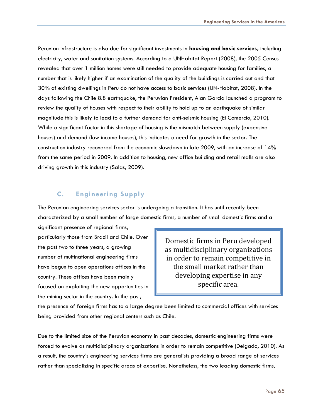Peruvian infrastructure is also due for significant investments in **housing and basic services,** including electricity, water and sanitation systems. According to a UNHabitat Report (2008), the 2005 Census revealed that over 1 million homes were still needed to provide adequate housing for families, a number that is likely higher if an examination of the quality of the buildings is carried out and that 30% of existing dwellings in Peru do not have access to basic services (UN-Habitat, 2008). In the days following the Chile 8.8 earthquake, the Peruvian President, Alan Garcia launched a program to review the quality of houses with respect to their ability to hold up to an earthquake of similar magnitude this is likely to lead to a further demand for anti-seismic housing (El Comercio, 2010). While a significant factor in this shortage of housing is the mismatch between supply (expensive houses) and demand (low income houses), this indicates a need for growth in the sector. The construction industry recovered from the economic slowdown in late 2009, with an increase of 14% from the same period in 2009. In addition to housing, new office building and retail malls are also driving growth in this industry (Salas, 2009).

## **C. Engineering Supply**

The Peruvian engineering services sector is undergoing a transition. It has until recently been characterized by a small number of large domestic firms, a number of small domestic firms and a

significant presence of regional firms, particularly those from Brazil and Chile. Over the past two to three years, a growing number of multinational engineering firms have begun to open operations offices in the country. These offices have been mainly focused on exploiting the new opportunities in the mining sector in the country. In the past,

Domestic firms in Peru developed as multidisciplinary organizations in order to remain competitive in the small market rather than developing expertise in any specific area.

the presence of foreign firms has to a large degree been limited to commercial offices with services being provided from other regional centers such as Chile.

Due to the limited size of the Peruvian economy in past decades, domestic engineering firms were forced to evolve as multidisciplinary organizations in order to remain competitive (Delgado, 2010). As a result, the country's engineering services firms are generalists providing a broad range of services rather than specializing in specific areas of expertise. Nonetheless, the two leading domestic firms,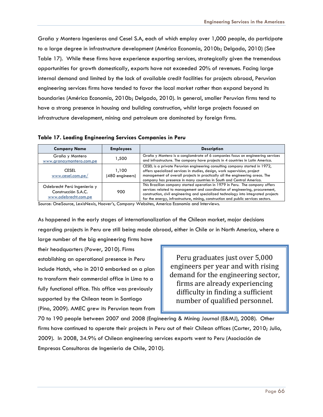Graña y Montero Ingenieros and Cesel S.A, each of which employ over 1,000 people, do participate to a large degree in infrastructure development (América Economía, 2010b; Delgado, 2010) (See Table 17). While these firms have experience exporting services, strategically given the tremendous opportunities for growth domestically, exports have not exceeded 20% of revenues. Facing large internal demand and limited by the lack of available credit facilities for projects abroad, Peruvian engineering services firms have tended to favor the local market rather than expand beyond its boundaries (América Economía, 2010b; Delgado, 2010). In general, smaller Peruvian firms tend to have a strong presence in housing and building construction, whilst large projects focused on infrastructure development, mining and petroleum are dominated by foreign firms.

|  |  |  |  |  |  | Table 17. Leading Engineering Services Companies in Peru |  |  |
|--|--|--|--|--|--|----------------------------------------------------------|--|--|
|--|--|--|--|--|--|----------------------------------------------------------|--|--|

| <b>Company Name</b>                                                        | <b>Employees</b>         | <b>Description</b>                                                                                                                                                                                                                                                                                                                       |
|----------------------------------------------------------------------------|--------------------------|------------------------------------------------------------------------------------------------------------------------------------------------------------------------------------------------------------------------------------------------------------------------------------------------------------------------------------------|
| Graña y Montero<br>www.granaymontero.com.pe                                | 1,500                    | Graña y Montero is a conglomérate of 6 companies focus on engineering services<br>and infrastructure. The company have projects in 4 countries in Latin America.                                                                                                                                                                         |
| <b>CESEL</b><br>www.cesel.com.pe/                                          | 1.100<br>(480 engineers) | CESEL is a private Peruvian engineering consulting company started in 1972,<br>offers specialized services in studies, design, work supervision, project<br>management of overall projects in practically all the engineering areas. The<br>company has presence in many countries in South and Central America.                         |
| Odebrecht Perú Ingeniería y<br>Construcción S.A.C.<br>www.odebrecht.com.pe | 900                      | This Brazilian company started operation in 1979 in Peru. The company offers<br>services related to management and coordination of engineering, procurement,<br>construction, civil engineering and specialized technology into integrated projects<br>for the energy, infrastructure, mining, construction and public services sectors. |

Source: OneSource, LexisNexis, Hoover's, Company Websites, America Economía and Interviews.

As happened in the early stages of internationalization of the Chilean market, major decisions regarding projects in Peru are still being made abroad, either in Chile or in North America, where a large number of the big engineering firms have

their headquarters (Power, 2010). Firms establishing an operational presence in Peru include Hatch, who in 2010 embarked on a plan to transform their commercial office in Lima to a fully functional office. This office was previously supported by the Chilean team in Santiago (Pino, 2009). AMEC grew its Peruvian team from

Peru graduates just over 5,000 engineers per year and with rising demand for the engineering sector, firms are already experiencing difficulty in finding a sufficient number of qualified personnel.

70 to 190 people between 2007 and 2008 (Engineering & Mining Journal (E&MJ), 2008). Other firms have continued to operate their projects in Peru out of their Chilean offices (Carter, 2010; Julio, 2009). In 2008, 34.9% of Chilean engineering services exports went to Peru (Asociación de Empresas Consultoras de Ingenieria de Chile, 2010).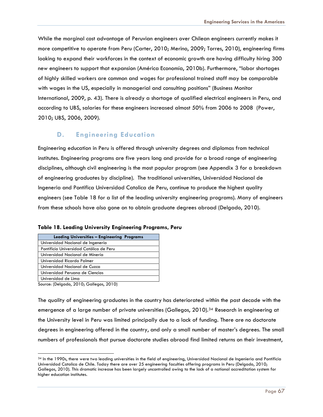While the marginal cost advantage of Peruvian engineers over Chilean engineers currently makes it more competitive to operate from Peru (Carter, 2010; Merino, 2009; Torres, 2010), engineering firms looking to expand their workforces in the context of economic growth are having difficulty hiring 300 new engineers to support that expansion (América Economía, 2010b). Furthermore, "labor shortages of highly skilled workers are common and wages for professional trained staff may be comparable with wages in the US, especially in managerial and consulting positions" (Business Monitor International, 2009, p. 43). There is already a shortage of qualified electrical engineers in Peru, and according to UBS, salaries for these engineers increased almost 50% from 2006 to 2008 (Power, 2010; UBS, 2006, 2009).

## **D. Engineering Education**

Engineering education in Peru is offered through university degrees and diplomas from technical institutes. Engineering programs are five years long and provide for a broad range of engineering disciplines, although civil engineering is the most popular program (see Appendix 3 for a breakdown of engineering graduates by discipline). The traditional universities, Universidad Nacional de Ingeneria and Pontifica Universidad Catolica de Peru, continue to produce the highest quality engineers (see Table 18 for a list of the leading university engineering programs). Many of engineers from these schools have also gone on to obtain graduate degrees abroad (Delgado, 2010).

**Table 18. Leading University Engineering Programs, Peru** 

| <b>Leading Universities - Engineering Programs</b> |
|----------------------------------------------------|
| Universidad Nacional de Ingenería                  |
| Pontificía Universidad Católica de Peru            |
| Universidad Nacional de Minería                    |
| Universidad Ricardo Palmer                         |
| Universidad Nacional de Cuzco                      |
| Universidad Peruana de Ciencias                    |
| Universidad de Lima                                |

Source: (Delgado, 2010; Gallegos, 2010)

The quality of engineering graduates in the country has deteriorated within the past decade with the emergence of a large number of private universities (Gallegos, 2010).<sup>[34](#page-67-0)</sup> Research in engineering at the University level in Peru was limited principally due to a lack of funding. There are no doctorate degrees in engineering offered in the country, and only a small number of master's degrees. The small numbers of professionals that pursue doctorate studies abroad find limited returns on their investment,

<span id="page-67-0"></span><sup>34</sup> In the 1990s, there were two leading universities in the field of engineering, Universidad Nacional de Ingenieria and Pontificia Universidad Catolica de Chile. Today there are over 25 engineering faculties offering programs in Peru (Delgado, 2010; Gallegos, 2010). This dramatic increase has been largely uncontrolled owing to the lack of a national accreditation system for higher education institutes.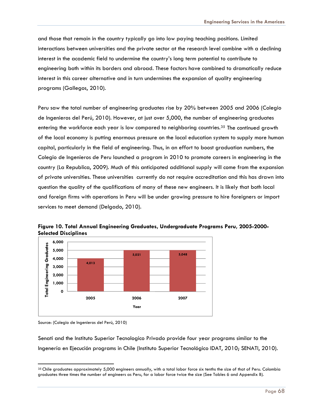and those that remain in the country typically go into low paying teaching positions. Limited interactions between universities and the private sector at the research level combine with a declining interest in the academic field to undermine the country's long term potential to contribute to engineering both within its borders and abroad. These factors have combined to dramatically reduce interest in this career alternative and in turn undermines the expansion of quality engineering programs (Gallegos, 2010).

Peru saw the total number of engineering graduates rise by 20% between 2005 and 2006 (Colegio de Ingenieros del Perú, 2010). However, at just over 5,000, the number of engineering graduates entering the workforce each year is low compared to neighboring countries.<sup>[35](#page-68-0)</sup> The continued growth of the local economy is putting enormous pressure on the local education system to supply more huma n capital, particularly in the field of engineering. Thus, in an effort to boost graduation numbers, the Colegio de Ingenieros de Peru launched a program in 2010 to promote careers in engineering in the country (La Republica, 2009). Much of this anticipated additional supply will come from the expansion of private universities. These universities currently do not require accreditation and this has drawn into question the quality of the qualifications of many of these new engineers. It is likely that both local and foreign firms with operations in Peru will be under growing pressure to hire foreigners or import services to meet demand (Delgado, 2010).



**Figure 10. Total Annual Engineering Graduates, Undergraduate Programs Peru, 2005-2000- Selected Disciplines** 

Senati and the Instituto Superior Tecnologico Privado provide four year programs similar to the Ingenería en Ejecución programs in Chile (Instituto Superior Tecnológico IDAT, 2010; SENATI, 2010).

Source: (Colegio de Ingenieros del Perú, 2010)

<span id="page-68-0"></span><sup>35</sup> Chile graduates approximately 5,000 engineers annually, with a total labor force six tenths the size of that of Peru. Colombia graduates three times the number of engineers as Peru, for a labor force twice the size (See Tables 6 and Appendix B).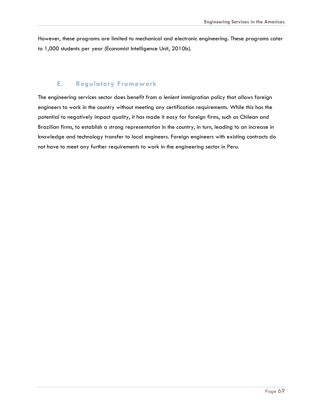However, these programs are limited to mechanical and electronic engineering. These programs cater to 1,000 students per year (Economist Intelligence Unit, 2010b).

### **E. Regulatory Framework**

The engineering services sector does benefit from a lenient immigration policy that allows foreign engineers to work in the country without meeting any certification requirements. While this has the potential to negatively impact quality, it has made it easy for foreign firms, such as Chilean and Brazilian firms, to establish a strong representation in the country, in turn, leading to an increase in knowledge and technology transfer to local engineers. Foreign engineers with existing contracts do not have to meet any further requirements to work in the engineering sector in Peru.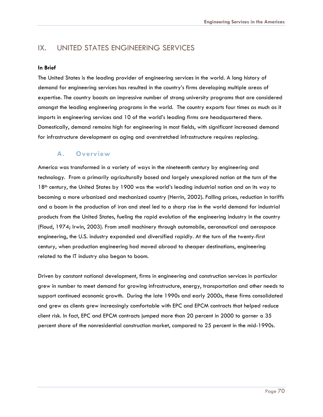## IX. UNITED STATES ENGINEERING SERVICES

#### **In Brief**

The United States is the leading provider of engineering services in the world. A long history of demand for engineering services has resulted in the country's firms developing multiple areas of expertise. The country boasts an impressive number of strong university programs that are considered amongst the leading engineering programs in the world. The country exports four times as much as it imports in engineering services and 10 of the world's leading firms are headquartered there. Domestically, demand remains high for engineering in most fields, with significant increased demand for infrastructure development as aging and overstretched infrastructure requires replacing.

### **A. Overview**

America was transformed in a variety of ways in the nineteenth century by engineering and technology. From a primarily agriculturally based and largely unexplored nation at the turn of the 18<sup>th</sup> century, the United States by 1900 was the world's leading industrial nation and on its way to becoming a more urbanized and mechanized country (Herrin, 2002)**.** Falling prices, reduction in tariffs and a boom in the production of iron and steel led to a sharp rise in the world demand for industrial products from the United States, fueling the rapid evolution of the engineering industry in the country (Floud, 1974; Irwin, 2003). From small machinery through automobile, aeronautical and aerospace engineering, the U.S. industry expanded and diversified rapidly. At the turn of the twenty-first century, when production engineering had moved abroad to cheaper destinations, engineering related to the IT industry also began to boom.

Driven by constant national development, firms in engineering and construction services in particular grew in number to meet demand for growing infrastructure, energy, transportation and other needs to support continued economic growth. During the late 1990s and early 2000s, these firms consolidated and grew as clients grew increasingly comfortable with EPC and EPCM contracts that helped reduce client risk. In fact, EPC and EPCM contracts jumped more than 20 percent in 2000 to garner a 35 percent share of the nonresidential construction market, compared to 25 percent in the mid-1990s.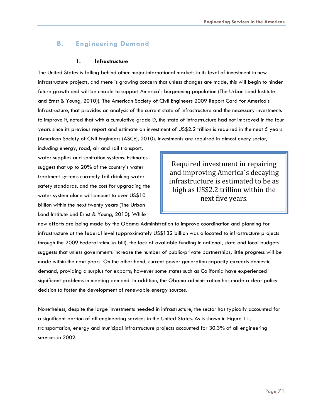## **B. Engineering Demand**

### **1. Infrastructure**

The United States is falling behind other major international markets in its level of investment in new infrastructure projects, and there is growing concern that unless changes are made, this will begin to hinder future growth and will be unable to support America's burgeoning population (The Urban Land Institute and Ernst & Young, 2010)). The American Society of Civil Engineers 2009 Report Card for America's Infrastructure, that provides an analysis of the current state of infrastructure and the necessary investments to improve it, noted that with a cumulative grade D, the state of infrastructure had not improved in the four years since its previous report and estimate an investment of US\$2.2 trillion is required in the next 5 years (American Society of Civil Engineers (ASCE), 2010). Investments are required in almost every sector,

including energy, road, air and rail transport, water supplies and sanitation systems. Estimates suggest that up to 20% of the country's water treatment systems currently fail drinking water safety standards, and the cost for upgrading the water system alone will amount to over US\$10 billion within the next twenty years (The Urban Land Institute and Ernst & Young, 2010). While

Required investment in repairing and improving America´s decaying infrastructure is estimated to be as high as US\$2.2 trillion within the next five years.

new efforts are being made by the Obama Administration to improve coordination and planning for infrastructure at the federal level (approximately US\$132 billion was allocated to infrastructure projects through the 2009 Federal stimulus bill), the lack of available funding in national, state and local budgets suggests that unless governments increase the number of public-private partnerships, little progress will be made within the next years. On the other hand, current power generation capacity exceeds domestic demand, providing a surplus for exports; however some states such as California have experienced significant problems in meeting demand. In addition, the Obama administration has made a clear policy decision to foster the development of renewable energy sources.

Nonetheless, despite the large investments needed in infrastructure, the sector has typically accounted for a significant portion of all engineering services in the United States. As is shown in Figure 11, transportation, energy and municipal infrastructure projects accounted for 30.3% of all engineering services in 2002.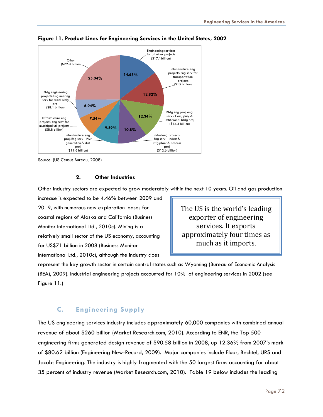

**Figure 11. Product Lines for Engineering Services in the United States, 2002** 

Source: (US Census Bureau, 2008)

### **2. Other Industries**

Other industry sectors are expected to grow moderately within the next 10 years. Oil and gas production

increase is expected to be 4.46% between 2009 and 2019, with numerous new exploration leases for coastal regions of Alaska and California (Business Monitor International Ltd., 2010c). Mining is a relatively small sector of the US economy, accounting for US\$71 billion in 2008 (Business Monitor International Ltd., 2010c), although the industry does

The US is the world's leading exporter of engineering services. It exports approximately four times as much as it imports.

represent the key growth sector in certain central states such as Wyoming (Bureau of Economic Analysis (BEA), 2009). Industrial engineering projects accounted for 10% of engineering services in 2002 (see Figure 11.)

## **C. Engineering Supply**

The US engineering services industry includes approximately 60,000 companies with combined annual revenue of about \$260 billion (Market Research.com, 2010). According to ENR, the Top 500 engineering firms generated design revenue of \$90.58 billion in 2008, up 12.36% from 2007's mark of \$80.62 billion (Engineering New-Record, 2009). Major companies include Fluor, Bechtel, URS and Jacobs Engineering. The industry is highly fragmented with the 50 largest firms accounting for about 35 percent of industry revenue (Market Research.com, 2010). Table 19 below includes the leading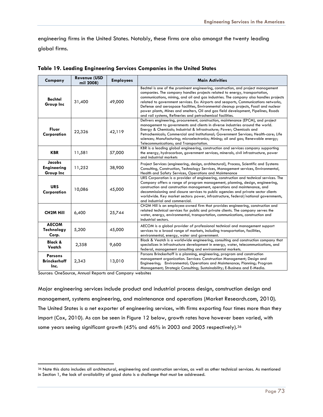engineering firms in the United States. Notably, these firms are also amongst the twenty leading global firms.

| Company                                       | <b>Revenue (USD</b><br>mil 2008) | <b>Employees</b> | <b>Main Activities</b>                                                                                                                                                                                                                                                                                                                                                                                                                                                                                                                                                                     |
|-----------------------------------------------|----------------------------------|------------------|--------------------------------------------------------------------------------------------------------------------------------------------------------------------------------------------------------------------------------------------------------------------------------------------------------------------------------------------------------------------------------------------------------------------------------------------------------------------------------------------------------------------------------------------------------------------------------------------|
| <b>Bechtel</b><br>Group Inc                   | 31,400                           | 49,000           | Bechtel is one of the prominent engineering, construction, and project management<br>companies. The company handles projects related to energy, transportation,<br>communications, mining, and oil and gas industries. The company also handles projects<br>related to government services. Ex: Airports and seaports, Communications networks,<br>Defense and aerospace facilities, Environmental cleanup projects, Fossil and nuclear<br>power plants, Mines and smelters, Oil and gas field development, Pipelines, Roads<br>and rail systems, Refineries and petrochemical facilities. |
| Fluor<br>Corporation                          | 22,326                           | 42,119           | Delivers engineering, procurement, construction, maintenance (EPCM), and project<br>management to governments and clients in diverse industries around the world.<br>Energy & Chemicals; Industrial & Infrastructure; Power; Chemicals and<br>Petrochemicals; Commercial and Institutional; Government Services; Health-care; Life<br>sciences; Manufacturing; microelectronics; Mining; oil and gas; Renewable energy;<br>Telecommunications; and Transportation.                                                                                                                         |
| <b>KBR</b>                                    | 11,581                           | 57,000           | KBR is a leading global engineering, construction and services company supporting<br>the energy, hydrocarbon, government services, minerals, civil infrastructure, power<br>and industrial markets                                                                                                                                                                                                                                                                                                                                                                                         |
| Jacobs<br><b>Engineering</b><br>Group Inc     | 11,252                           | 38,900           | Project Services (engineering, design, architectural), Process, Scientific and Systems<br>Consulting, Construction, Technology Services, Management services, Environmental,<br>Health and Safety Services, Operations and Maintenance                                                                                                                                                                                                                                                                                                                                                     |
| <b>URS</b><br>Corporation                     | 10,086                           | 45,000           | URS Corporation is a provider of engineering, construction and technical services. The<br>Company offers a range of program management, planning, design, engineering,<br>construction and construction management, operations and maintenance, and<br>decommissioning and closure services to public agencies and private sector clients<br>worldwide. Key market sectors: power, infrastructure, federal/national governments,<br>and industrial and commercial.                                                                                                                         |
| <b>CH2M Hill</b>                              | 6,400                            | 25,744           | CH2M Hill is an employee-owned firm that provides engineering, construction and<br>related technical services for public and private clients. The company serves the<br>water, energy, environmental, transportation, communications, construction and<br>industrial sectors.                                                                                                                                                                                                                                                                                                              |
| <b>AECOM</b><br>Technology<br>Corp.           | 5,200                            | 45,000           | AECOM is a global provider of professional technical and management support<br>services to a broad range of markets, including transportation, facilities,<br>environmental, energy, water and government.                                                                                                                                                                                                                                                                                                                                                                                 |
| <b>Black &amp;</b><br>Veatch                  | 2,358                            | 9,600            | Black & Veatch is a worldwide engineering, consulting and construction company that<br>specializes in infrastructure development in energy, water, telecommunications, and<br>federal, management consulting and environmental markets.                                                                                                                                                                                                                                                                                                                                                    |
| <b>Parsons</b><br><b>Brinckerhoff</b><br>Inc. | 2,343                            | 13,010           | Parsons Brinckerhoff is a planning, engineering, program and construction<br>management organization. Services: Construction Management; Design and<br>Engineering; Environmental; Operations and Maintenance; Planning; Program<br>Management; Strategic Consulting; Sustainability; E-Business and E-Media.                                                                                                                                                                                                                                                                              |

| Table 19. Leading Engineering Services Companies in the United States |  |  |  |  |
|-----------------------------------------------------------------------|--|--|--|--|
|-----------------------------------------------------------------------|--|--|--|--|

Sources: OneSource, Annual Reports and Company websites

Major engineering services include product and industrial process design, construction design and management, systems engineering, and maintenance and operations (Market Research.com, 2010). The United States is a net exporter of engineering services, with firms exporting four times more than they import (Cox, 2010). As can be seen in Figure 12 below, growth rates have however been varied, with some years seeing significant growth (45% and 46% in 2003 and 2005 respectively).[36](#page-73-0)

<span id="page-73-0"></span><sup>36</sup> Note this data includes all architectural, engineering and construction services, as well as other technical services. As mentioned in Section 1, the lack of availability of good data is a challenge that must be addressed.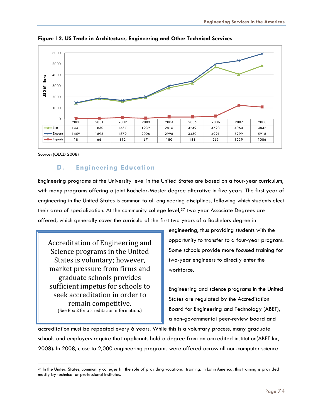

**Figure 12. US Trade in Architecture, Engineering and Other Technical Services** 

Source: (OECD 2008)

-

## **D. Engineering Education**

Engineering programs at the University level in the United States are based on a four-year curriculum, with many programs offering a joint Bachelor-Master degree alterative in five years. The first year of engineering in the United States is common to all engineering disciplines, following which students elect their area of specialization. At the community college level,<sup>[37](#page-74-0)</sup> two year Associate Degrees are offered, which generally cover the curricula of the first two years of a Bachelors degree in

Accreditation of Engineering and Science programs in the United States is voluntary; however, market pressure from firms and graduate schools provides sufficient impetus for schools to seek accreditation in order to remain competitive. (See Box 2 for accreditation information.)

engineering, thus providing students with the opportunity to transfer to a four-year program. Some schools provide more focused training for two-year engineers to directly enter the workforce.

Engineering and science programs in the United States are regulated by the Accreditation Board for Engineering and Technology (ABET), a non-governmental peer-review board and

accreditation must be repeated every 6 years. While this is a voluntary process, many graduate schools and employers require that applicants hold a degree from an accredited institution(ABET Inc, 2008). In 2008, close to 2,000 engineering programs were offered across all non-computer science

<span id="page-74-0"></span><sup>37</sup> In the United States, community colleges fill the role of providing vocational training. In Latin America, this training is provided mostly by technical or professional institutes.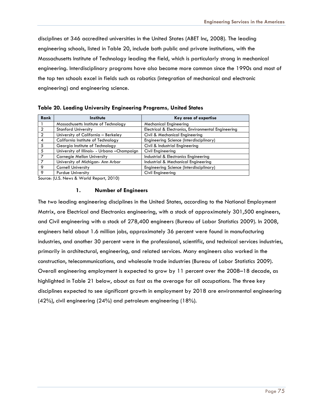disciplines at 346 accredited universities in the United States (ABET Inc, 2008). The leading engineering schools, listed in Table 20, include both public and private institutions, with the Massachusetts Institute of Technology leading the field, which is particularly strong in mechanical engineering. Interdisciplinary programs have also become more common since the 1990s and most of the top ten schools excel in fields such as robotics (integration of mechanical and electronic engineering) and engineering science.

**Table 20. Leading University Engineering Programs, United States** 

| Rank    | Institute                                    | Key area of expertise                               |  |  |  |  |
|---------|----------------------------------------------|-----------------------------------------------------|--|--|--|--|
|         | Massachusetts Institute of Technology        | <b>Mechanical Engineering</b>                       |  |  |  |  |
|         | <b>Stanford University</b>                   | Electrical & Electronics, Environmental Engineering |  |  |  |  |
|         | University of California - Berkeley          | Civil & Mechanical Engineering                      |  |  |  |  |
|         | California Institute of Technology           | Engineering Science (Interdisciplinary)             |  |  |  |  |
| 5       | Georgia Institute of Technology              | Civil & Industrial Engineering                      |  |  |  |  |
| 5       | University of Illinois- - Urbana - Champaign | Civil Engineering                                   |  |  |  |  |
|         | <b>Carnegie Mellon University</b>            | Industrial & Electronics Engineering                |  |  |  |  |
|         | University of Michigan- Ann Arbor            | Industrial & Mechanical Engineering                 |  |  |  |  |
| $\circ$ | <b>Cornell University</b>                    | Engineering Science (Interdisciplinary)             |  |  |  |  |
| 9       | <b>Purdue University</b>                     | Civil Engineering                                   |  |  |  |  |

Source: (U.S. News & World Report, 2010)

### **1. Number of Engineers**

The two leading engineering disciplines in the United States, according to the National Employment Matrix, are Electrical and Electronics engineering, with a stock of approximately 301,500 engineers, and Civil engineering with a stock of 278,400 engineers (Bureau of Labor Statistics 2009). In 2008, engineers held about 1.6 million jobs, approximately 36 percent were found in manufacturing industries, and another 30 percent were in the professional, scientific, and technical services industries, primarily in architectural, engineering, and related services. Many engineers also worked in the construction, telecommunications, and wholesale trade industries (Bureau of Labor Statistics 2009). Overall engineering employment is expected to grow by 11 percent over the 2008–18 decade, as highlighted in Table 21 below, about as fast as the average for all occupations. The three key disciplines expected to see significant growth in employment by 2018 are environmental engineering (42%), civil engineering (24%) and petroleum engineering (18%).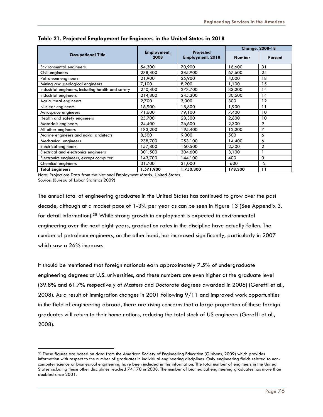|                                                   |                     |                                      | <b>Change, 2008-18</b> |                |  |
|---------------------------------------------------|---------------------|--------------------------------------|------------------------|----------------|--|
| <b>Occupational Title</b>                         | Employment,<br>2008 | Projected<br><b>Employment, 2018</b> | <b>Number</b>          | Percent        |  |
| <b>Environmental engineers</b>                    | 54,300              | 70,900                               | 16,600                 | 31             |  |
| Civil engineers                                   | 278,400             | 345,900                              | 67,600                 | 24             |  |
| Petroleum engineers                               | 21,900              | 25,900                               | 4,000                  | 18             |  |
| Mining and geological engineers                   | 7,100               | 8,200                                | 1,100                  | 15             |  |
| Industrial engineers, including health and safety | 240,400             | 273,700                              | 33,200                 | 14             |  |
| Industrial engineers                              | 214,800             | 245,300                              | 30,600                 | 14             |  |
| Agricultural engineers                            | 2,700               | 3,000                                | 300                    | 12             |  |
| Nuclear engineers                                 | 16,900              | 18,800                               | 1,900                  | 11             |  |
| Aerospace engineers                               | 71,600              | 79,100                               | 7,400                  | 10             |  |
| Health and safety engineers                       | 25,700              | 28,300                               | 2,600                  | 10             |  |
| Materials engineers                               | 24,400              | 26,600                               | 2,300                  | 9              |  |
| All other engineers                               | 183,200             | 195,400                              | 12,200                 | 7              |  |
| Marine engineers and naval architects             | 8,500               | 9,000                                | 500                    | 6              |  |
| Mechanical engineers                              | 238,700             | 253,100                              | 14,400                 | 6              |  |
| <b>Electrical engineers</b>                       | 157,800             | 160,500                              | 2,700                  | $\overline{2}$ |  |
| Electrical and electronics engineers              | 301,500             | 304,600                              | 3,100                  |                |  |
| Electronics engineers, except computer            | 143,700             | 144,100                              | 400                    | 0              |  |
| Chemical engineers                                | 31,700              | 31,000                               | $-600$                 | $-2$           |  |
| <b>Total Engineers</b>                            | 1,571,900           | 1,750,300                            | 178,300                | 11             |  |

### **Table 21. Projected Employment for Engineers in the United States in 2018**

Note: Projections Data from the National Employment Matrix, United States.

Source: (Bureau of Labor Statistics 2009)

The annual total of engineering graduates in the United States has continued to grow over the past decade, although at a modest pace of 1-3% per year as can be seen in Figure 13 (See Appendix 3. for detail information).[38](#page-76-0) While strong growth in employment is expected in environmental engineering over the next eight years, graduation rates in the discipline have actually fallen. The number of petroleum engineers, on the other hand, has increased significantly, particularly in 2007 which saw a 26% increase.

It should be mentioned that foreign nationals earn approximately 7.5% of undergraduate engineering degrees at U.S. universities, and these numbers are even higher at the graduate level (39.8% and 61.7% respectively of Masters and Doctorate degrees awarded in 2006) (Gereffi et al., 2008). As a result of immigration changes in 2001 following 9/11 and improved work opportunities in the field of engineering abroad, there are rising concerns that a large proportion of these foreign graduates will return to their home nations, reducing the total stock of US engineers (Gereffi et al., 2008).

<span id="page-76-0"></span><sup>38</sup> These figures are based on data from the American Society of Engineering Education (Gibbons, 2009) which provides information with respect to the number of graduates in individual engineering disciplines. Only engineering fields related to noncomputer science or biomedical engineering have been included in this information. The total number of engineers in the United States including these other disciplines reached 74,170 in 2008. The number of biomedical engineering graduates has more than doubled since 2001.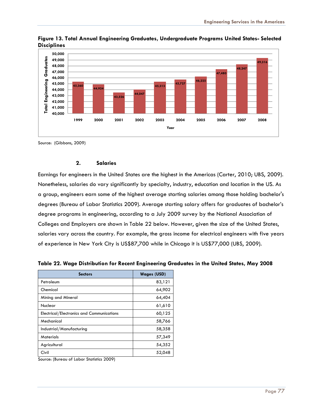

**Figure 13. Total Annual Engineering Graduates, Undergraduate Programs United States- Selected Disciplines** 

Source: (Gibbons, 2009)

### **2. Salaries**

Earnings for engineers in the United States are the highest in the Americas (Carter, 2010; UBS, 2009). Nonetheless, salaries do vary significantly by specialty, industry, education and location in the US. As a group, engineers earn some of the highest average starting salaries among those holding bachelor's degrees (Bureau of Labor Statistics 2009). Average starting salary offers for graduates of bachelor's degree programs in engineering, according to a July 2009 survey by the National Association of Colleges and Employers are shown in Table 22 below. However, given the size of the United States, salaries vary across the country. For example, the gross income for electrical engineers with five years of experience in New York City is US\$87,700 while in Chicago it is US\$77,000 (UBS, 2009).

| <b>Sectors</b>                                   | <b>Wages (USD)</b> |
|--------------------------------------------------|--------------------|
| Petroleum                                        | 83,121             |
| Chemical                                         | 64,902             |
| Mining and Mineral                               | 64,404             |
| Nuclear                                          | 61,610             |
| <b>Electrical/Electronics and Communications</b> | 60,125             |
| Mechanical                                       | 58,766             |
| Industrial/Manufacturing                         | 58,358             |
| <b>Materials</b>                                 | 57,349             |
| Agricultural                                     | 54,352             |
| Civil                                            | 52,048             |

**Table 22. Wage Distribution for Recent Engineering Graduates in the United States, May 2008** 

Source: (Bureau of Labor Statistics 2009)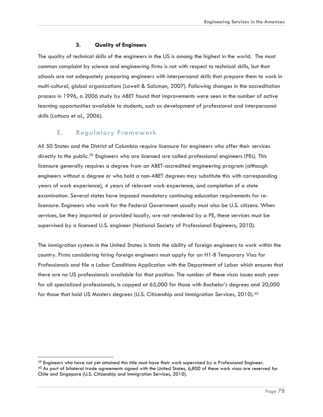### **3. Quality of Engineers**

The quality of technical skills of the engineers in the US is among the highest in the world. The most common complaint by science and engineering firms is not with respect to technical skills, but that schools are not adequately preparing engineers with interpersonal skills that prepare them to work in multi-cultural, global organizations (Lowell & Salzman, 2007). Following changes in the accreditation process in 1996, a 2006 study by ABET found that improvements were seen in the number of active learning opportunities available to students, such as development of professional and interpersonal skills (Lattuca et al., 2006).

## **E. Regulatory Framework**

-

All 50 States and the District of Columbia require licensure for engineers who offer their services directly to the public.[39](#page-78-0) Engineers who are licensed are called professional engineers (PEs). This licensure generally requires a degree from an ABET-accredited engineering program (although engineers without a degree or who hold a non-ABET degrees may substitute this with corresponding years of work experience), 4 years of relevant work experience, and completion of a state examination. Several states have imposed mandatory continuing education requirements for relicensure. Engineers who work for the Federal Government usually must also be U.S. citizens. When services, be they imported or provided locally, are not rendered by a PE, these services must be supervised by a licensed U.S. engineer (National Society of Professional Engineers, 2010).

The immigration system in the United States is limits the ability of foreign engineers to work within the country. Firms considering hiring foreign engineers must apply for an H1-B Temporary Visa for Professionals and file a Labor Conditions Application with the Department of Labor which ensures that there are no US professionals available for that position. The number of these visas issues each year for all specialized professionals, is capped at 65,000 for those with Bachelor's degrees and 20,000 for those that hold US Masters degrees (U.S. Citizenship and Immigration Services, 2010).<sup>[40](#page-78-1)</sup>

<span id="page-78-0"></span><sup>&</sup>lt;sup>39</sup> Engineers who have not yet attained this title must have their work supervised by a Professional Engineer.<br><sup>40</sup> As part of bilateral trade agreements signed with the United States, 6,800 of these work visas are reser

<span id="page-78-1"></span>Chile and Singapore (U.S. Citizenship and Immigration Services, 2010).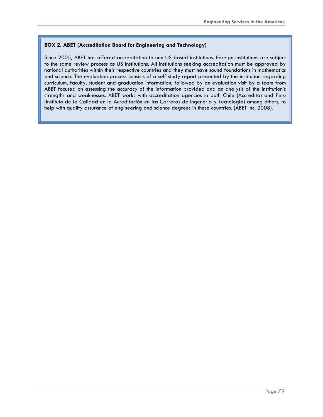## **BOX 2. ABET (Accreditation Board for Engineering and Technology)**

Since 2005, ABET has offered accreditation to non-US based institutions. Foreign institutions are subject to the same review process as US institutions. All institutions seeking accreditation must be approved by national authorities within their respective countries and they must have sound foundations in mathematics and science. The evaluation process consists of a self-study report presented by the institution regarding curriculum, faculty, student and graduation information, followed by an evaluation visit by a team from ABET focused on assessing the accuracy of the information provided and an analysis of the institution's strengths and weaknesses. ABET works with accreditation agencies in both Chile (Accredita) and Peru (Instituto de la Calidad en la Acreditación en las Carreras de Ingenería y Tecnología) among others, to help with quality assurance of engineering and science degrees in these countries. (ABET Inc, 2008).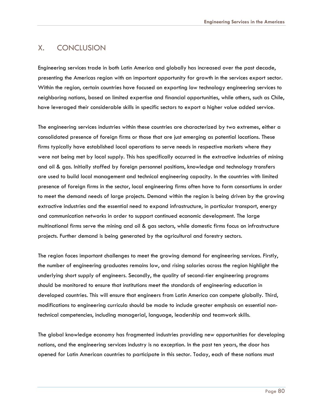# X. CONCLUSION

Engineering services trade in both Latin America and globally has increased over the past decade, presenting the Americas region with an important opportunity for growth in the services export sector. Within the region, certain countries have focused on exporting low technology engineering services to neighboring nations, based on limited expertise and financial opportunities, while others, such as Chile, have leveraged their considerable skills in specific sectors to export a higher value added service.

The engineering services industries within these countries are characterized by two extremes, either a consolidated presence of foreign firms or those that are just emerging as potential locations. These firms typically have established local operations to serve needs in respective markets where they were not being met by local supply. This has specifically occurred in the extractive industries of mining and oil & gas. Initially staffed by foreign personnel positions, knowledge and technology transfers are used to build local management and technical engineering capacity. In the countries with limited presence of foreign firms in the sector, local engineering firms often have to form consortiums in order to meet the demand needs of large projects. Demand within the region is being driven by the growing extractive industries and the essential need to expand infrastructure, in particular transport, energy and communication networks in order to support continued economic development. The large multinational firms serve the mining and oil & gas sectors, while domestic firms focus on infrastructure projects. Further demand is being generated by the agricultural and forestry sectors.

The region faces important challenges to meet the growing demand for engineering services. Firstly, the number of engineering graduates remains low, and rising salaries across the region highlight the underlying short supply of engineers. Secondly, the quality of second-tier engineering programs should be monitored to ensure that institutions meet the standards of engineering education in developed countries. This will ensure that engineers from Latin America can compete globally. Third, modifications to engineering curricula should be made to include greater emphasis on essential nontechnical competencies, including managerial, language, leadership and teamwork skills.

The global knowledge economy has fragmented industries providing new opportunities for developing nations, and the engineering services industry is no exception. In the past ten years, the door has opened for Latin American countries to participate in this sector. Today, each of these nations must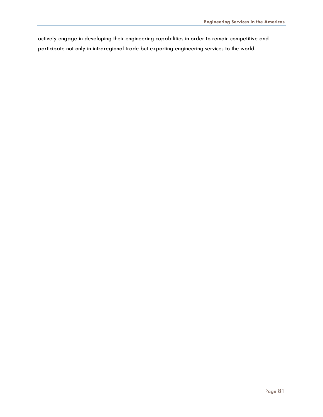actively engage in developing their engineering capabilities in order to remain competitive and participate not only in intraregional trade but exporting engineering services to the world.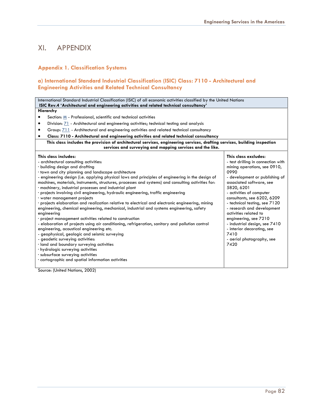# XI. APPENDIX

## **Appendix 1. Classification Systems**

### **a) International Standard Industrial Classification (ISIC) Class: 7110 - Architectural and Engineering Activities and Related Technical Consultancy**

| International Standard Industrial Classification (ISIC) of all economic activities classified by the United Nations<br>ISIC Rev.4 'Architectural and engineering activities and related technical consultancy'                                                                                                                                                                                                                                                                                                                                                                                                                                                                                                                                                                                                                                                                                                                                                                                                                                                                                                                                                                                                                              |                                                                                                                                                                                                                                                                                                                                                                                                                                                                        |  |  |  |  |  |
|---------------------------------------------------------------------------------------------------------------------------------------------------------------------------------------------------------------------------------------------------------------------------------------------------------------------------------------------------------------------------------------------------------------------------------------------------------------------------------------------------------------------------------------------------------------------------------------------------------------------------------------------------------------------------------------------------------------------------------------------------------------------------------------------------------------------------------------------------------------------------------------------------------------------------------------------------------------------------------------------------------------------------------------------------------------------------------------------------------------------------------------------------------------------------------------------------------------------------------------------|------------------------------------------------------------------------------------------------------------------------------------------------------------------------------------------------------------------------------------------------------------------------------------------------------------------------------------------------------------------------------------------------------------------------------------------------------------------------|--|--|--|--|--|
| Hierarchy                                                                                                                                                                                                                                                                                                                                                                                                                                                                                                                                                                                                                                                                                                                                                                                                                                                                                                                                                                                                                                                                                                                                                                                                                                   |                                                                                                                                                                                                                                                                                                                                                                                                                                                                        |  |  |  |  |  |
| Section: M - Professional, scientific and technical activities<br>٠                                                                                                                                                                                                                                                                                                                                                                                                                                                                                                                                                                                                                                                                                                                                                                                                                                                                                                                                                                                                                                                                                                                                                                         |                                                                                                                                                                                                                                                                                                                                                                                                                                                                        |  |  |  |  |  |
| Division: 71 - Architectural and engineering activities; technical testing and analysis<br>$\bullet$                                                                                                                                                                                                                                                                                                                                                                                                                                                                                                                                                                                                                                                                                                                                                                                                                                                                                                                                                                                                                                                                                                                                        |                                                                                                                                                                                                                                                                                                                                                                                                                                                                        |  |  |  |  |  |
| Group: 711 - Architectural and engineering activities and related technical consultancy<br>٠                                                                                                                                                                                                                                                                                                                                                                                                                                                                                                                                                                                                                                                                                                                                                                                                                                                                                                                                                                                                                                                                                                                                                |                                                                                                                                                                                                                                                                                                                                                                                                                                                                        |  |  |  |  |  |
| Class: 7110 - Architectural and engineering activities and related technical consultancy                                                                                                                                                                                                                                                                                                                                                                                                                                                                                                                                                                                                                                                                                                                                                                                                                                                                                                                                                                                                                                                                                                                                                    |                                                                                                                                                                                                                                                                                                                                                                                                                                                                        |  |  |  |  |  |
| This class includes the provision of architectural services, engineering services, drafting services, building inspection<br>services and surveying and mapping services and the like.                                                                                                                                                                                                                                                                                                                                                                                                                                                                                                                                                                                                                                                                                                                                                                                                                                                                                                                                                                                                                                                      |                                                                                                                                                                                                                                                                                                                                                                                                                                                                        |  |  |  |  |  |
| This class includes:<br>- architectural consulting activities:<br>· building design and drafting<br>· town and city planning and landscape architecture<br>- engineering design (i.e. applying physical laws and principles of engineering in the design of<br>machines, materials, instruments, structures, processes and systems) and consulting activities for:<br>· machinery, industrial processes and industrial plant<br>· projects involving civil engineering, hydraulic engineering, traffic engineering<br>· water management projects<br>· projects elaboration and realization relative to electrical and electronic engineering, mining<br>engineering, chemical engineering, mechanical, industrial and systems engineering, safety<br>engineering<br>· project management activities related to construction<br>- elaboration of projects using air conditioning, refrigeration, sanitary and pollution control<br>engineering, acoustical engineering etc.<br>- geophysical, geologic and seismic surveying<br>- geodetic surveying activities:<br>· land and boundary surveying activities<br>· hydrologic surveying activities<br>· subsurface surveying activities<br>· cartographic and spatial information activities | This class excludes:<br>- test drilling in connection with<br>mining operations, see 0910,<br>0990<br>- development or publishing of<br>associated software, see<br>5820, 6201<br>- activities of computer<br>consultants, see 6202, 6209<br>- technical testing, see 7120<br>- research and development<br>activities related to<br>engineering, see 7210<br>- industrial design, see 7410<br>- interior decorating, see<br>7410<br>- aerial photography, see<br>7420 |  |  |  |  |  |

Source: (United Nations, 2002)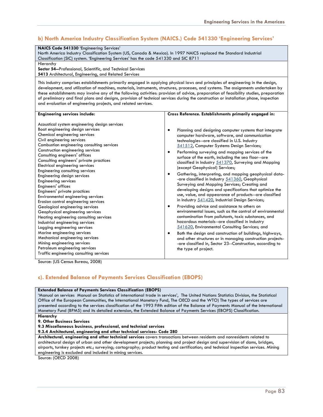### **b) North America Industry Classification System (NAICS.) Code 541330 'Engineering Services'**

#### **NAICS Code 541330** 'Engineering Services'

North America Industry Classification System (US, Canada & Mexico). In 1997 NAICS replaced the Standard Industrial Classification (SIC) system. 'Engineering Services' has the code 541330 and SIC 8711

Hierarchy

**Sector 54--**Professional, Scientific, and Technical Services **5413** Architectural, Engineering, and Related Services

This industry comprises establishments primarily engaged in applying physical laws and principles of engineering in the design, development, and utilization of machines, materials, instruments, structures, processes, and systems. The assignments undertaken by these establishments may involve any of the following activities: provision of advice, preparation of feasibility studies, preparation of preliminary and final plans and designs, provision of technical services during the construction or installation phase, inspection and evaluation of engineering projects, and related services.

| <b>Engineering services include:</b>                                                                                                                                                                                                                                                                            | Cross Reference. Establishments primarily engaged in:                                                                                                                                                                                                                                                                                                                         |  |  |  |  |
|-----------------------------------------------------------------------------------------------------------------------------------------------------------------------------------------------------------------------------------------------------------------------------------------------------------------|-------------------------------------------------------------------------------------------------------------------------------------------------------------------------------------------------------------------------------------------------------------------------------------------------------------------------------------------------------------------------------|--|--|--|--|
| Acoustical system engineering design services<br>Boat engineering design services<br>Chemical engineering services<br>Civil engineering services<br>Combustion engineering consulting services<br>Construction engineering services<br>Consulting engineers' offices<br>Consulting engineers' private practices | Planning and designing computer systems that integrate<br>computer hardware, software, and communication<br>technologies--are classified in U.S. Industry<br>541512, Computer Systems Design Services;<br>Performing surveying and mapping services of the<br>٠<br>surface of the earth, including the sea floor--are<br>classified in Industry 541370, Surveying and Mapping |  |  |  |  |
| Electrical engineering services<br>Engineering consulting services<br>Engineering design services<br><b>Engineering services</b><br>Engineers' offices<br>Engineers' private practices<br>Environmental engineering services<br>Erosion control engineering services                                            | (except Geophysical) Services;<br>Gathering, interpreting, and mapping geophysical data-<br>٠<br>-are classified in Industry 541360, Geophysical<br>Surveying and Mapping Services; Creating and<br>developing designs and specifications that optimize the<br>use, value, and appearance of products--are classified<br>in Industry 541420, Industrial Design Services;      |  |  |  |  |
| Geological engineering services<br>Geophysical engineering services<br>Heating engineering consulting services<br>Industrial engineering services<br>Logging engineering services                                                                                                                               | Providing advice and assistance to others on<br>$\bullet$<br>environmental issues, such as the control of environmental<br>contamination from pollutants, toxic substances, and<br>hazardous materials--are classified in Industry<br>541620, Environmental Consulting Services; and                                                                                          |  |  |  |  |
| Marine engineering services<br>Mechanical engineering services<br>Mining engineering services<br>Petroleum engineering services<br>Traffic engineering consulting services                                                                                                                                      | Both the design and construction of buildings, highways,<br>and other structures or in managing construction projects-<br>-are classified in, Sector 23--Construction, according to<br>the type of project.                                                                                                                                                                   |  |  |  |  |

Source: (US Census Bureau, 2008)

### **c). Extended Balance of Payments Services Classification (EBOPS)**

#### **Extended Balance of Payments Services Classification (EBOPS)**

'Manual on services Manual on Statistics of international trade in services', The United Nations Statistics Division, the Statistical Office of the European Communities, the International Monetary Fund, The OECD and the WTO) The types of services are presented according to the services classification of the 1993 Fifth edition of the Balance of Payments Manual of the International Monetary Fund (BPM5) and its detailed extension, the Extended Balance of Payments Services (EBOPS) Classification.

**Hierarchy** 

**9. Other Business Services** 

**9.3 Miscellaneous business, professional, and technical services** 

**9.3.4 Architectural, engineering and other technical services- Code 280** 

**Architectural, engineering and other technical services** covers transactions between residents and nonresidents related to architectural design of urban and other development projects; planning and project design and supervision of dams, bridges, airports, turnkey projects etc.; surveying; cartography; product testing and certification; and technical inspection services. Mining engineering is excluded and included in mining services.

Source: (OECD 2008)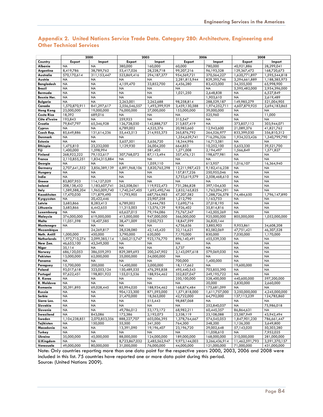|                       |                         | 2000                     |                            | 2003                     | 2006                     |                          | 2008                         |                              |
|-----------------------|-------------------------|--------------------------|----------------------------|--------------------------|--------------------------|--------------------------|------------------------------|------------------------------|
| Country               | <b>Export</b>           | Import                   | Export                     | Import                   | Export                   | Import                   | Export                       | Import                       |
| Albania               | <b>NA</b>               | <b>NA</b>                | 380,000                    | 160.000                  | 60.000                   | 780.000                  | 40,921,886                   | 28,299,041                   |
| Argentina             | 8,419,786               | 38,789,762               | 53,417,026                 | 28,228,718               | 99,207,216               | 96,193,328               | 129,367,472                  | 168,720,673                  |
| Australia             | 570,170,614             | 311,153,447              | 523,869,416                | 294, 187, 377            | 954,569,721              | 370,564,227              | 1,620,771,897                | 1,595,544,818                |
| Austria               | NA                      | <b>NA</b>                | <b>NA</b>                  | <b>NA</b>                | 2,281,815,944            | 829,395,746              | 3,294,661,889                | 1,188,385,975                |
| Bangladesh            | <b>NA</b>               | <b>NA</b>                | 4,159,470                  | 33,852,700               | 4,456,280                | 83,423,000               | 34, 355, 500                 | 65,998,900                   |
| Brazil                | <b>NA</b>               | <b>NA</b>                | <b>NA</b>                  | <b>NA</b>                | <b>NA</b>                | <b>NA</b>                | 5,595,482,000                | 2,954,396,000                |
| Bermuda               | <b>NA</b>               | <b>NA</b>                | <b>NA</b>                  | <b>NA</b>                | 1,021,250                | 2,648,838                | <b>NA</b>                    | 6,527,849                    |
| Bosnia Her.           | <b>NA</b>               | <b>NA</b>                | <b>NA</b>                  | <b>NA</b>                |                          | 1,903,610                | <b>NA</b>                    | 2,619,489                    |
| Bulgaria              | <b>NA</b>               | <b>NA</b>                | 2,263,001                  | 2,262,688                | 98,258,814               | 288,529,187              | 149,985,279                  | 521,004,905                  |
| Canada                | 1,570,870,911           | 841,297,617              | 2,556,546,557              | 1,493,399,929            | 3,459,130,588            | 1,974,252,711            | 4,607,879,925                | 2,694,183,865                |
| <b>Hong Kong</b>      | 23.000.000              | 19,000,000               | 76,000,000                 | 27,000,000               | 153,000,000              | 39,000,000               | <b>NA</b>                    | <b>NA</b>                    |
| Costa Rica            | 18,392                  | 689.016                  | <b>NA</b>                  | <b>NA</b>                | <b>NA</b>                | 525,960                  | <b>NA</b>                    | 11,000                       |
| Côte d'Ivoire         | 193,843                 | <b>NA</b>                | 259,923                    | <b>NA</b>                | 315,547                  | <b>NA</b>                | <b>NA</b>                    | <b>NA</b>                    |
| Croatia               | 79,847,797              | 65,346,928               | 126,728,030                | 142,888,757              | 213,857,419              | <b>NA</b>                | 373,857,112                  | 303,944,071                  |
| Cyprus                | <b>NA</b>               | <b>NA</b>                | 6,789,002                  | 4,525,376                | 20,983,660               | 12,943,600               | 21,089,376                   | 41,821,762                   |
| Czech Rep.<br>Denmark | 85,649,886<br><b>NA</b> | 131,614,236<br><b>NA</b> | 55,443,513<br><b>NA</b>    | 214,955,375              | 265,876,792              | 264,526,977              | 833,399,030<br>1,934,323,426 | 356,810,312<br>1,340,799,790 |
|                       | <b>NA</b>               | <b>NA</b>                |                            |                          | 1,354,639,741            | 716,296,326              | <b>NA</b>                    | <b>NA</b>                    |
| Estonia<br>Ethiopia   | 1,475,810               | 23,232,000               | 5,657,501<br>1,129,930     | 5,656,720<br>26,004,200  | 18,344,996<br>664,853    | 16,713,581<br>10,252,100 | 5,653,330                    | 39,521,700                   |
| Fiji                  | 1,400,000               | 1,598,994                |                            | 581,405                  | 1,271,008                | 2,194,497                | 1,566,849                    | 1,571,827                    |
| Finland               | 268,922,222             | 79,152,617               | 307,768,072                | 87,113,494               | 357,476,121              | 198,677,981              | <b>NA</b>                    | <b>NA</b>                    |
| <b>France</b>         | 2,110,855,251           | 1,834,315,884            | <b>NA</b>                  | <b>NA</b>                | <b>NA</b>                | <b>NA</b>                | <b>NA</b>                    | <b>NA</b>                    |
| Georgia               | <b>NA</b>               | <b>NA</b>                | <b>NA</b>                  | 1,059,110                | <b>NA</b>                | 613,957                  | 1,016,107                    | 16,364,940                   |
| Germany               | 2,707,641,552           | 3,856,389,139            | 6,891,968,106              | 5,820,765,298            | 12,211,987,423           | 9,182,416,238            | <b>NA</b>                    | <b>NA</b>                    |
| Hungary               | <b>NA</b>               | <b>NA</b>                | <b>NA</b>                  | <b>NA</b>                | 157,817,226              | 250,955,046              | <b>NA</b>                    | <b>NA</b>                    |
| India                 | <b>NA</b>               | <b>NA</b>                | <b>NA</b>                  | <b>NA</b>                | 5,753,619,579            | 2,508,468,610            | <b>NA</b>                    | <b>NA</b>                    |
| Greece                | 83,807,953              | 114,127,029              | <b>NA</b>                  | <b>NA</b>                | <b>NA</b>                | <b>NA</b>                | <b>NA</b>                    | <b>NA</b>                    |
| Ireland               | 208,138,432             | 1,183,607,741            | 262,508,061                | 119,922,473              | 731,286,828              | 397,104,630              | <b>NA</b>                    | <b>NA</b>                    |
| ltaly                 | 1,589,588,204           | 1,965,009,740            | 1,740,247,405              | 1,692,490,746            | 2,832,165,825            | 1,763,094,291            | <b>NA</b>                    | <b>NA</b>                    |
| Kazakhstan            | 17,470,030              | 171,879,490              | 11,793,905                 | 687,764,983              | 47,207,582               | 1,288,726,578            | 74,484,650                   | 1,796,147,890                |
| Kyrgyzstan            | <b>NA</b>               | 20,422,446               |                            | 23,907,258               | 1,212,790                | 1,163,753                | <b>NA</b>                    | <b>NA</b>                    |
| Latvia                | 3,683,866               | 8,283,413                | 6,789,002                  | 12,444,785               | 12,690,716               | 27,018,195               | <b>NA</b>                    | <b>NA</b>                    |
| Lithuania             | 3,683,866               | 6,442,655                | 11,315,003                 | 13,576,129               | 9,926,402                | 35,814,816               | <b>NA</b>                    | <b>NA</b>                    |
| Luxembourg            | <b>NA</b>               | <b>NA</b>                | 65,627,015                 | 79,194,086               | 75,767,347               | 142,505,269              | <b>NA</b>                    | <b>NA</b>                    |
| Malaysia              | 374,000,000             | 619,000,000              | 413,000,000                | 947,000,000              | 566,000,000              | 925,000,000              | 805,000,000                  | 1,052,000,000                |
| Malta                 | 11,051,598              | 18,407,585               | 38,471,009                 | 9,050,753                | 18,847,599               | 36,820,144               |                              |                              |
| Montenegro            | <b>NA</b>               | <b>NA</b>                | <b>NA</b>                  | <b>NA</b>                | 4,756,636                | 3,885,903                | 9,953,861                    | 34,608,208                   |
| Mozambique            |                         | 24,269,817               | 28,528,080                 | 42,145,420               | 32,116,621               | 82,582,069               | 47,751,421                   | 46,307,528                   |
| Neth. Antill          | 1,000,000               | 450,000                  | 3,790,000                  | 620,000                  | 7,170,000                | 830,000                  | 7,030,000                    | 1,170,000                    |
| <b>Netherlands</b>    | 1,972,710,274           | 2,099,385,114            | 1,060,215,747<br><b>NA</b> | 923,176,770<br><b>NA</b> | 896,140,491<br><b>NA</b> | 455,539,330<br><b>NA</b> | <b>NA</b><br><b>NA</b>       | <b>NA</b><br><b>NA</b>       |
| New Zea.              | 46,653,100<br>35,114    | 43,349,500<br><b>NA</b>  | <b>NA</b>                  | <b>NA</b>                | 5,737                    | <b>NA</b>                | <b>NA</b>                    | <b>NA</b>                    |
| Niger<br>Norway       | 686,120,053             | 386,559,293              | 829,389,693                | 200,247,902              | 2,143,097,618            | 579,069,030              | <b>NA</b>                    | <b>NA</b>                    |
| Pakistan              | 13,000,000              | 62,000,000               | 25,000,000                 | 54,000,000               | <b>NA</b>                | <b>NA</b>                | <b>NA</b>                    | <b>NA</b>                    |
| Panama                | <b>NA</b>               | <b>NA</b>                | <b>NA</b>                  | <b>NA</b>                | 700,000                  | 1,400,000                | <b>NA</b>                    | <b>NA</b>                    |
| Paraguay              | 15,700,000              | 200,000                  | 14,400,000                 | 2,000,000                | 18,117,662               | <b>NA</b>                | 19,600,000                   | <b>NA</b>                    |
| Poland                | 93,017,618              | 323,053,124              | 150,489,535                | 476,295,858              | 495,440,543              | 703,855,390              | <b>NA</b>                    | <b>NA</b>                    |
| Portugal              | 97,622,451              | 198,801,922              | 155,015,536                | 188,934,462              | 352,827,047              | 249,195,722              | <b>NA</b>                    | <b>NA</b>                    |
| R. Korea              | NA                      | <b>NA</b>                | <b>NA</b>                  | <b>NA</b>                | 250,100,000              | 528,400,000              | 440,600,000                  | 597,200,000                  |
| R. Moldova            | <b>NA</b>               | <b>NA</b>                | <b>NA</b>                  | <b>NA</b>                | <b>NA</b>                | 20,000                   | 2,830,000                    | 2,660,000                    |
| Romania               | 30,391,895              | 69,028,445               | 85,994,020                 | 188,934,462              | 168,874,484              | 175,681,099              | <b>NA</b>                    | <b>NA</b>                    |
| Russia                | NA                      | <b>NA</b>                | 904,123,300                | 871,593,000              | 1,571,818,000            | 1,611,757,000            | 3,250,000,000                | 4,245,000,000                |
| Serbia                | <b>NA</b>               | <b>NA</b>                | 21,470,000                 | 18,563,000               | 42,722,000               | 64,792,000               | 137, 113, 239                | 124,785,860                  |
| Sierra Leo.           | <b>NA</b>               | <b>NA</b>                | <b>NA</b>                  | 515,443                  | 98,887,068               | <b>NA</b>                | <b>NA</b>                    | <b>NA</b>                    |
| Slovakia              | <b>NA</b>               | <b>NA</b>                | <b>NA</b>                  | <b>NA</b>                | <b>NA</b>                | 252,840,037              | <b>NA</b>                    | 75,986,018                   |
| Slovenia              | <b>NA</b>               | <b>NA</b>                | 49,786,012                 | 53,173,172               | 68,982,211               | 60,445,357               | 86,864,631                   | <b>NA</b>                    |
| Swaziland             | <b>NA</b>               | 843,086                  | 172,386                    | 2,192,073                | 2,338,119                | 23,108,088               | 23,587,949                   | 43,942,494                   |
| Sweden                | 1,104,238,851           | 2,070,853,356            | 888,227,707                | 603,006,395              | 1,378,764,667            | 574,545,053              | 1,847,901,230                | 786,661,447                  |
| Tajikistan            | <b>NA</b>               | 150,000                  | 55,500                     | 341,500                  | 764,300                  | 248,200                  | 1,126,200                    | 3,649,800                    |
| Macedonia             | <b>NA</b>               | <b>NA</b>                | 13,391,090                 | 19,196,407               | 23,196,720               | 29,002,648               | 57,143,020                   | 50,303,280                   |
| Turkey                | <b>NA</b>               | <b>NA</b>                | <b>NA</b>                  | <b>NA</b>                | <b>NA</b>                | 11,058,610               | <b>NA</b>                    | 7,952,025                    |
| Ukraine               | 35,000,000              | 45,000,000               | 88,000,000                 | 124,000,000              | 189,000,000              | 168,000,000              | 310,000,000                  | 281,000,000                  |
| U.Kingdom             | <b>NA</b>               | <b>NA</b>                | 8,723,867,032              | 2,485,562,947            | 9,973,144,003            | 3,266,436,914            | 11,462,591,793               | 3,591,370,157                |
| Venezuela             | 49,000,000              | 80,000,000               | 31,000,000                 | 76,000,000               | 44,000,000               | 121,000,000              | 71,000,000                   | 431,000,000                  |

## **Appendix 2. United Nations Service Trade Data. Category 280: Architecture, Engineering and Other Technical Services**

Note: Only countries reporting more than one data point for the respective years 2000, 2003, 2006 and 2008 were included in this list. 75 countries have reported one or more data point during this period. Source: (United Nations 2009).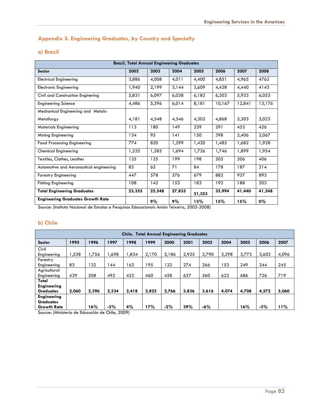## **Appendix 3. Engineering Graduates, by Country and Specialty**

## **a) Brazil**

| <b>Brazil, Total Annual Engineering Graduates</b> |          |        |        |        |        |        |        |  |
|---------------------------------------------------|----------|--------|--------|--------|--------|--------|--------|--|
| <b>Sector</b>                                     | 2002     | 2003   | 2004   | 2005   | 2006   | 2007   | 2008   |  |
| <b>Electrical Engineering</b>                     | 3,886    | 4,008  | 4,011  | 4,400  | 4,851  | 4,965  | 4762   |  |
| <b>Electronic Engineering</b>                     | 1,940    | 2,199  | 3,144  | 3,609  | 4,428  | 4,440  | 4143   |  |
| Civil and Construction Enginering                 | 5,831    | 6,097  | 6,038  | 6,182  | 6,303  | 5,933  | 6,053  |  |
| <b>Engineering Science</b>                        | 4,486    | 5,396  | 6,014  | 8,181  | 10,167 | 12,841 | 13,176 |  |
| Mechanical Engineering and Metals-                |          |        |        |        |        |        |        |  |
| Metalluray                                        | 4,181    | 4,548  | 4,346  | 4,302  | 4,868  | 5,303  | 5,023  |  |
| <b>Materials Engineering</b>                      | 113      | 180    | 149    | 239    | 291    | 453    | 426    |  |
| Mining Engineering                                | 134      | 95     | 141    | 150    | 398    | 2,406  | 2,067  |  |
| <b>Food Processing Engineering</b>                | 774      | 820    | 1,299  | 1,420  | 1,485  | 1,682  | 1,928  |  |
| <b>Chemical Engineering</b>                       | 1,235    | 1,285  | 1,694  | 1,726  | 1,746  | 1,899  | 1,954  |  |
| Textiles, Clothes, Leather                        | 135      | 135    | 199    | 198    | 205    | 206    | 406    |  |
| Automotive and Aeronautical engineering           | 85       | 65     | 71     | 84     | 178    | 187    | 214    |  |
| Forestry Engineering                              | 447      | 578    | 576    | 679    | 882    | 937    | 893    |  |
| <b>Fishing Engineering</b>                        | 108      | 142    | 153    | 183    | 192    | 188    | 203    |  |
| <b>Total Engineering Graduates</b>                | 23,355   | 25,548 | 27,835 | 31,353 | 35,994 | 41,440 | 41,248 |  |
| <b>Engineering Graduates Growth Rate</b>          | $ \cdot$ | 9%     | 9%     | 13%    | 15%    | 15%    | $0\%$  |  |

Source: (Instituto Nacional de Estudos e Pesquisas Educacionais Anísio Teixeira, 2002-2008)

### **b) Chile**

| <b>Chile, Total Annual Engineering Graduates</b> |       |       |       |       |       |       |       |       |       |       |       |       |
|--------------------------------------------------|-------|-------|-------|-------|-------|-------|-------|-------|-------|-------|-------|-------|
| <b>Sector</b>                                    | 1995  | 1996  | 1997  | 1998  | 1999  | 2000  | 2001  | 2002  | 2004  | 2005  | 2006  | 2007  |
| Civil                                            |       |       |       |       |       |       |       |       |       |       |       |       |
| Engineering                                      | 1,538 | .756  | 1.698 | ,834  | 2,170 | 2,186 | 2,925 | 2,790 | 3,298 | 3,773 | 3,602 | 4,096 |
| Forestry                                         |       |       |       |       |       |       |       |       |       |       |       |       |
| Engineering                                      | 83    | 132   | 144   | 62    | 195   | 122   | 274   | 266   | 153   | 249   | 244   | 245   |
| Agricultural                                     |       |       |       |       |       |       |       |       |       |       |       |       |
| Engineering                                      | 439   | 508   | 492   | 422   | 460   | 458   | 637   | 560   | 623   | 686   | 726   | 719   |
| Total                                            |       |       |       |       |       |       |       |       |       |       |       |       |
| <b>Engineering</b>                               |       |       |       |       |       |       |       |       |       |       |       |       |
| <b>Graduates</b>                                 | 2.060 | 2.396 | 2,334 | 2,418 | 2,825 | 2.766 | 3,836 | 3,616 | 4,074 | 4,708 | 4,572 | 5,060 |
| <b>Engineering</b>                               |       |       |       |       |       |       |       |       |       |       |       |       |
| <b>Graduates</b>                                 |       |       |       |       |       |       |       |       |       |       |       |       |
| <b>Growth Rate</b>                               |       | 16%   | $-3%$ | 4%    | 17%   | $-2%$ | 39%   | $-6%$ |       | 16%   | $-3%$ | 11%   |

Source: (Ministerio de Educación de Chile, 2009)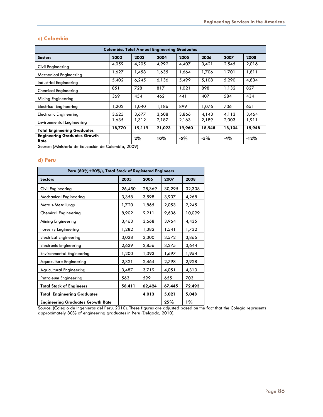## **c) Colombia**

| <b>Colombia, Total Annual Engineering Graduates</b> |        |        |        |        |        |        |        |  |  |
|-----------------------------------------------------|--------|--------|--------|--------|--------|--------|--------|--|--|
| <b>Sectors</b>                                      | 2002   | 2003   | 2004   | 2005   | 2006   | 2007   | 2008   |  |  |
| Civil Engineering                                   | 4,059  | 4,205  | 4,992  | 4,407  | 3,421  | 2,545  | 2,016  |  |  |
| Mechanical Engineering                              | 1,627  | 1,458  | 1,635  | 1,664  | 1,706  | 1,701  | 1,811  |  |  |
| Industrial Engineering                              | 5,402  | 6,245  | 6,136  | 5,499  | 5,108  | 5,290  | 4,834  |  |  |
| <b>Chemical Engineering</b>                         | 851    | 728    | 817    | 1,021  | 898    | 1,132  | 827    |  |  |
| Mining Engineering                                  | 369    | 454    | 462    | 441    | 407    | 584    | 434    |  |  |
| <b>Electrical Engineering</b>                       | 1.202  | 1,040  | 1,186  | 899    | 1,076  | 736    | 651    |  |  |
| <b>Electronic Engineering</b>                       | 3,625  | 3,677  | 3,608  | 3,866  | 4,143  | 4,113  | 3,464  |  |  |
| <b>Environmental Engineering</b>                    | 1,635  | 1,312  | 2,187  | 2,163  | 2,189  | 2,003  | 1,911  |  |  |
| <b>Total Engineering Graduates</b>                  | 18,770 | 19,119 | 21,023 | 19,960 | 18,948 | 18,104 | 15,948 |  |  |
| <b>Engineering Graduates Growth</b><br>Rate         |        | 2%     | 10%    | $-5%$  | $-5\%$ | -4%    | $-12%$ |  |  |

Source: (Ministerio de Educación de Colombia, 2009)

### **d) Peru**

|                                          | Peru (80%+20%), Total Stock of Registered Engineers |        |        |        |  |  |  |  |  |
|------------------------------------------|-----------------------------------------------------|--------|--------|--------|--|--|--|--|--|
| <b>Sectors</b>                           | 2005                                                | 2006   | 2007   | 2008   |  |  |  |  |  |
| Civil Engineering                        | 26,450                                              | 28,369 | 30,295 | 32,308 |  |  |  |  |  |
| <b>Mechanical Engineering</b>            | 3,358                                               | 3,598  | 3,907  | 4,268  |  |  |  |  |  |
| Metals-Metallurgy                        | 1,720                                               | 1,865  | 2,053  | 2,245  |  |  |  |  |  |
| <b>Chemical Engineering</b>              | 8,902                                               | 9,211  | 9,636  | 10,099 |  |  |  |  |  |
| Mining Engineering                       | 3,463                                               | 3,668  | 3,964  | 4,435  |  |  |  |  |  |
| <b>Forestry Engineering</b>              | 1,282                                               | 1,382  | 1,541  | 1,732  |  |  |  |  |  |
| <b>Electrical Engineering</b>            | 3,028                                               | 3,300  | 3,572  | 3,866  |  |  |  |  |  |
| <b>Electronic Engineering</b>            | 2,639                                               | 2,856  | 3,275  | 3,644  |  |  |  |  |  |
| <b>Environmental Engineering</b>         | 1,200                                               | 1,393  | 1,697  | 1,954  |  |  |  |  |  |
| Aquaculture Engineering                  | 2,321                                               | 2,464  | 2,798  | 2,928  |  |  |  |  |  |
| <b>Agricultural Engineering</b>          | 3,487                                               | 3,719  | 4,051  | 4,310  |  |  |  |  |  |
| Petroleum Engineering                    | 563                                                 | 599    | 655    | 703    |  |  |  |  |  |
| <b>Total Stock of Engineers</b>          | 58,411                                              | 62,424 | 67,445 | 72,493 |  |  |  |  |  |
| <b>Total Engineering Graduates</b>       |                                                     | 4,013  | 5,021  | 5,048  |  |  |  |  |  |
| <b>Engineering Graduates Growth Rate</b> |                                                     |        | 25%    | $1\%$  |  |  |  |  |  |

Source: (Colegio de Ingenieros del Perú, 2010). These figures are adjusted based on the fact that the Colegio represents approximately 80% of engineering graduates in Peru (Delgado, 2010).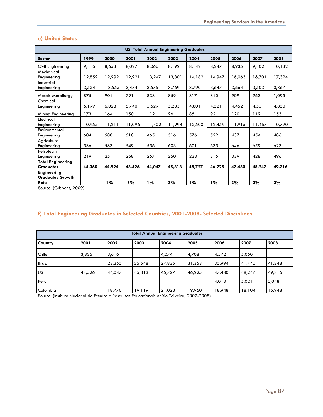| <b>US, Total Annual Engineering Graduates</b>         |        |        |        |        |        |        |        |        |        |        |
|-------------------------------------------------------|--------|--------|--------|--------|--------|--------|--------|--------|--------|--------|
| <b>Sector</b>                                         | 1999   | 2000   | 2001   | 2002   | 2003   | 2004   | 2005   | 2006   | 2007   | 2008   |
| Civil Engineering                                     | 9,416  | 8,653  | 8,027  | 8,066  | 8,192  | 8,142  | 8,247  | 8,935  | 9,402  | 10,132 |
| Mechanical<br>Engineering                             | 12,859 | 12,992 | 12,921 | 13,247 | 13,801 | 14,182 | 14,947 | 16,063 | 16,701 | 17,324 |
| Industrial<br>Engineering                             | 3,524  | 3,555  | 3,474  | 3,575  | 3,769  | 3,790  | 3,647  | 3,664  | 3,503  | 3,367  |
| Metals-Metallurgy                                     | 875    | 904    | 791    | 838    | 859    | 817    | 840    | 909    | 963    | 1,095  |
| Chemical<br>Engineering                               | 6,199  | 6,023  | 5,740  | 5,529  | 5,233  | 4,801  | 4,521  | 4,452  | 4,551  | 4,850  |
| Mining Engineering                                    | 173    | 164    | 150    | 112    | 96     | 85     | 92     | 120    | 119    | 153    |
| Electrical<br>Engineering                             | 10,955 | 11,211 | 11,096 | 11,402 | 11,994 | 12,500 | 12,459 | 11,915 | 11,467 | 10,790 |
| Environmental<br>Engineering                          | 604    | 588    | 510    | 465    | 516    | 576    | 522    | 437    | 454    | 486    |
| Agricultural<br>Engineering                           | 536    | 583    | 549    | 556    | 603    | 601    | 635    | 646    | 659    | 623    |
| Petroleum<br>Engineering                              | 219    | 251    | 268    | 257    | 250    | 233    | 315    | 339    | 428    | 496    |
| <b>Total Engineering</b><br><b>Graduates</b>          | 45,360 | 44,924 | 43,526 | 44,047 | 45,313 | 45,727 | 46,225 | 47,480 | 48,247 | 49,316 |
| <b>Engineering</b><br><b>Graduates Growth</b><br>Rate |        | $-1\%$ | $-3%$  | $1\%$  | 3%     | $1\%$  | $1\%$  | 3%     | 2%     | 2%     |

### **e) United States**

Source: (Gibbons, 2009)

## **f) Total Engineering Graduates in Selected Countries, 2001-2008- Selected Disciplines**

| <b>Total Annual Engineering Graduates</b> |        |        |        |        |        |        |        |        |
|-------------------------------------------|--------|--------|--------|--------|--------|--------|--------|--------|
| Country                                   | 2001   | 2002   | 2003   | 2004   | 2005   | 2006   | 2007   | 2008   |
| Chile                                     | 3,836  | 3,616  |        | 4,074  | 4,708  | 4,572  | 5,060  |        |
| <b>Brazil</b>                             |        | 23,355 | 25,548 | 27,835 | 31,353 | 35,994 | 41,440 | 41,248 |
| <b>US</b>                                 | 43,526 | 44,047 | 45,313 | 45,727 | 46,225 | 47,480 | 48,247 | 49,316 |
| Peru                                      |        |        |        |        |        | 4,013  | 5,021  | 5,048  |
| Colombia                                  |        | 18,770 | 19,119 | 21,023 | 19,960 | 18,948 | 18,104 | 15,948 |

Source: (Instituto Nacional de Estudos e Pesquisas Educacionais Anísio Teixeira, 2002-2008)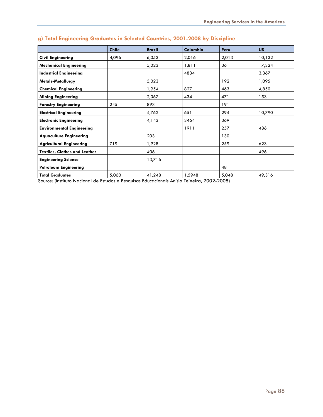|                                      | <b>Chile</b> | <b>Brazil</b> | Colombia | Peru  | <b>US</b> |
|--------------------------------------|--------------|---------------|----------|-------|-----------|
| <b>Civil Engineering</b>             | 4,096        | 6,053         | 2,016    | 2,013 | 10,132    |
| <b>Mechanical Engineering</b>        |              | 5,023         | 1,811    | 361   | 17,324    |
| <b>Industrial Engineering</b>        |              |               | 4834     |       | 3,367     |
| Metals-Metallurgy                    |              | 5,023         |          | 192   | 1,095     |
| <b>Chemical Engineering</b>          |              | 1,954         | 827      | 463   | 4,850     |
| <b>Mining Engineering</b>            |              | 2,067         | 434      | 471   | 153       |
| <b>Forestry Engineering</b>          | 245          | 893           |          | 191   |           |
| <b>Electrical Engineering</b>        |              | 4,762         | 651      | 294   | 10,790    |
| <b>Electronic Engineering</b>        |              | 4,143         | 3464     | 369   |           |
| <b>Environmental Engineering</b>     |              |               | 1911     | 257   | 486       |
| <b>Aquaculture Engineering</b>       |              | 203           |          | 130   |           |
| <b>Agricultural Engineering</b>      | 719          | 1,928         |          | 259   | 623       |
| <b>Textiles, Clothes and Leather</b> |              | 406           |          |       | 496       |
| <b>Engineering Science</b>           |              | 13,716        |          |       |           |
| <b>Petroleum Engineering</b>         |              |               |          | 48    |           |
| <b>Total Graduates</b>               | 5,060        | 41,248        | 1,5948   | 5,048 | 49,316    |

## **g) Total Engineering Graduates in Selected Countries, 2001-2008 by Discipline**

Source: (Instituto Nacional de Estudos e Pesquisas Educacionais Anísio Teixeira, 2002-2008)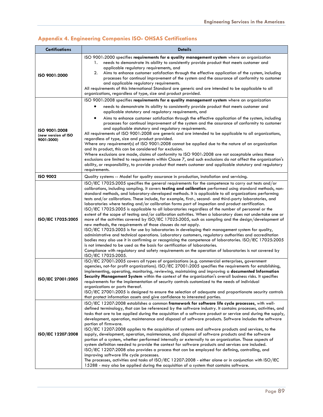## **Appendix 4. Engineering Companies ISO- OHSAS Certifications**

| <b>Certifications</b>                              | <b>Details</b>                                                                                                                                                                                                                                                                                                                                                                                                                                                                                                                                                                                                                                                                                                                                                                                                                                                                                                                                                                                                                                                                                                                                                                                                                                                                                                                                                                                                                                                             |
|----------------------------------------------------|----------------------------------------------------------------------------------------------------------------------------------------------------------------------------------------------------------------------------------------------------------------------------------------------------------------------------------------------------------------------------------------------------------------------------------------------------------------------------------------------------------------------------------------------------------------------------------------------------------------------------------------------------------------------------------------------------------------------------------------------------------------------------------------------------------------------------------------------------------------------------------------------------------------------------------------------------------------------------------------------------------------------------------------------------------------------------------------------------------------------------------------------------------------------------------------------------------------------------------------------------------------------------------------------------------------------------------------------------------------------------------------------------------------------------------------------------------------------------|
| ISO 9001:2000                                      | ISO 9001:2000 specifies requirements for a quality management system where an organization<br>needs to demonstrate its ability to consistently provide product that meets customer and<br>1.<br>applicable regulatory requirements, and<br>Aims to enhance customer satisfaction through the effective application of the system, including<br>2.<br>processes for continual improvement of the system and the assurance of conformity to customer<br>and applicable regulatory requirements.<br>All requirements of this International Standard are generic and are intended to be applicable to all<br>organizations, regardless of type, size and product provided.                                                                                                                                                                                                                                                                                                                                                                                                                                                                                                                                                                                                                                                                                                                                                                                                     |
|                                                    | ISO 9001:2008 specifies requirements for a quality management system where an organization                                                                                                                                                                                                                                                                                                                                                                                                                                                                                                                                                                                                                                                                                                                                                                                                                                                                                                                                                                                                                                                                                                                                                                                                                                                                                                                                                                                 |
| ISO 9001:2008<br>(new version of ISO<br>9001:2000) | needs to demonstrate its ability to consistently provide product that meets customer and<br>applicable statutory and regulatory requirements, and                                                                                                                                                                                                                                                                                                                                                                                                                                                                                                                                                                                                                                                                                                                                                                                                                                                                                                                                                                                                                                                                                                                                                                                                                                                                                                                          |
|                                                    | Aims to enhance customer satisfaction through the effective application of the system, including<br>processes for continual improvement of the system and the assurance of conformity to customer<br>and applicable statutory and regulatory requirements.<br>All requirements of ISO 9001:2008 are generic and are intended to be applicable to all organizations,<br>regardless of type, size and product provided.<br>Where any requirement(s) of ISO 9001:2008 cannot be applied due to the nature of an organization<br>and its product, this can be considered for exclusion.<br>Where exclusions are made, claims of conformity to ISO 9001:2008 are not acceptable unless these<br>exclusions are limited to requirements within Clause 7, and such exclusions do not affect the organization's                                                                                                                                                                                                                                                                                                                                                                                                                                                                                                                                                                                                                                                                    |
|                                                    | ability, or responsibility, to provide product that meets customer and applicable statutory and regulatory<br>requirements.                                                                                                                                                                                                                                                                                                                                                                                                                                                                                                                                                                                                                                                                                                                                                                                                                                                                                                                                                                                                                                                                                                                                                                                                                                                                                                                                                |
| <b>ISO 9002</b>                                    | Quality systems -- Model for quality assurance in production, installation and servicing.                                                                                                                                                                                                                                                                                                                                                                                                                                                                                                                                                                                                                                                                                                                                                                                                                                                                                                                                                                                                                                                                                                                                                                                                                                                                                                                                                                                  |
| ISO/IEC 17025:2005                                 | ISO/IEC 17025:2005 specifies the general requirements for the competence to carry out tests and/or<br>calibrations, including sampling. It covers testing and calibration performed using standard methods, non-<br>standard methods, and laboratory-developed methods. It is applicable to all organizations performing<br>tests and/or calibrations. These include, for example, first-, second- and third-party laboratories, and<br>laboratories where testing and/or calibration forms part of inspection and product certification.<br>ISO/IEC 17025:2005 is applicable to all laboratories regardless of the number of personnel or the<br>extent of the scope of testing and/or calibration activities. When a laboratory does not undertake one or<br>more of the activities covered by ISO/IEC 17025:2005, such as sampling and the design/development of<br>new methods, the requirements of those clauses do not apply.<br>ISO/IEC 17025:2005 is for use by laboratories in developing their management system for quality,<br>administrative and technical operations. Laboratory customers, regulatory authorities and accreditation<br>bodies may also use it in confirming or recognizing the competence of laboratories. ISO/IEC 17025:2005<br>is not intended to be used as the basis for certification of laboratories.<br>Compliance with regulatory and safety requirements on the operation of laboratories is not covered by<br>ISO/IEC 17025:2005. |
| ISO/IEC 27001:2005                                 | ISO/IEC 27001:2005 covers all types of organizations (e.g. commercial enterprises, government<br>agencies, not-for profit organizations). ISO/IEC 27001:2005 specifies the requirements for establishing,<br>implementing, operating, monitoring, reviewing, maintaining and improving a documented Information<br>Security Management System within the context of the organization's overall business risks. It specifies<br>requirements for the implementation of security controls customized to the needs of individual<br>organizations or parts thereof.<br>ISO/IEC 27001:2005 is designed to ensure the selection of adequate and proportionate security controls<br>that protect information assets and give confidence to interested parties.                                                                                                                                                                                                                                                                                                                                                                                                                                                                                                                                                                                                                                                                                                                   |
| ISO/IEC 12207:2008                                 | ISO/IEC 12207:2008 establishes a common framework for software life cycle processes, with well-<br>defined terminology, that can be referenced by the software industry. It contains processes, activities, and<br>tasks that are to be applied during the acquisition of a software product or service and during the supply,<br>development, operation, maintenance and disposal of software products. Software includes the software<br>portion of firmware.<br>ISO/IEC 12207:2008 applies to the acquisition of systems and software products and services, to the<br>supply, development, operation, maintenance, and disposal of software products and the software<br>portion of a system, whether performed internally or externally to an organization. Those aspects of<br>system definition needed to provide the context for software products and services are included.<br>ISO/IEC 12207:2008 also provides a process that can be employed for defining, controlling, and<br>improving software life cycle processes.<br>The processes, activities and tasks of ISO/IEC 12207:2008 - either alone or in conjunction with ISO/IEC<br>15288 - may also be applied during the acquisition of a system that contains software.                                                                                                                                                                                                                                   |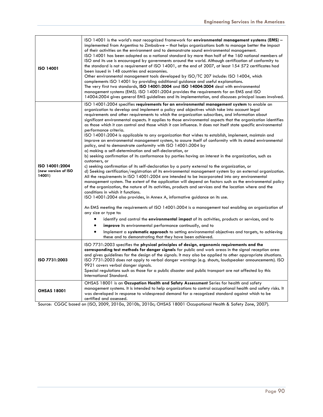| <b>ISO 14001</b>                                | ISO 14001 is the world's most recognized framework for environmental management systems (EMS) -<br>implemented from Argentina to Zimbabwe - that helps organizations both to manage better the impact<br>of their activities on the environment and to demonstrate sound environmental management.<br>ISO 14001 has been adopted as a national standard by more than half of the 160 national members of<br>ISO and its use is encouraged by governments around the world. Although certification of conformity to<br>the standard is not a requirement of ISO 14001, at the end of 2007, at least 154 572 certificates had<br>been issued in 148 countries and economies.<br>Other environmental management tools developed by ISO/TC 207 include: ISO 14004, which<br>complements ISO 14001 by providing additional guidance and useful explanations.<br>The very first two standards, ISO 14001:2004 and ISO 14004:2004 deal with environmental<br>management systems (EMS). ISO 14001:2004 provides the requirements for an EMS and ISO<br>14004:2004 gives general EMS guidelines and its implementation, and discusses principal issues involved.                                                                                                                                                                                                                                                                                                                                                                                                                                                                                                                                                                                                                                                                                                                                                                                                                                                                                                                                                                                                              |  |  |  |  |
|-------------------------------------------------|----------------------------------------------------------------------------------------------------------------------------------------------------------------------------------------------------------------------------------------------------------------------------------------------------------------------------------------------------------------------------------------------------------------------------------------------------------------------------------------------------------------------------------------------------------------------------------------------------------------------------------------------------------------------------------------------------------------------------------------------------------------------------------------------------------------------------------------------------------------------------------------------------------------------------------------------------------------------------------------------------------------------------------------------------------------------------------------------------------------------------------------------------------------------------------------------------------------------------------------------------------------------------------------------------------------------------------------------------------------------------------------------------------------------------------------------------------------------------------------------------------------------------------------------------------------------------------------------------------------------------------------------------------------------------------------------------------------------------------------------------------------------------------------------------------------------------------------------------------------------------------------------------------------------------------------------------------------------------------------------------------------------------------------------------------------------------------------------------------------------------------------------------------------------|--|--|--|--|
| ISO 14001:2004<br>(new version of ISO<br>14001) | ISO 14001:2004 specifies requirements for an environmental management system to enable an<br>organization to develop and implement a policy and objectives which take into account legal<br>requirements and other requirements to which the organization subscribes, and information about<br>significant environmental aspects. It applies to those environmental aspects that the organization identifies<br>as those which it can control and those which it can influence. It does not itself state specific environmental<br>performance criteria.<br>ISO 14001:2004 is applicable to any organization that wishes to establish, implement, maintain and<br>improve an environmental management system, to assure itself of conformity with its stated environmental<br>policy, and to demonstrate conformity with ISO 14001:2004 by<br>a) making a self-determination and self-declaration, or<br>b) seeking confirmation of its conformance by parties having an interest in the organization, such as<br>customers, or<br>c) seeking confirmation of its self-declaration by a party external to the organization, or<br>d) Seeking certification/registration of its environmental management system by an external organization.<br>All the requirements in ISO 14001:2004 are intended to be incorporated into any environmental<br>management system. The extent of the application will depend on factors such as the environmental policy<br>of the organization, the nature of its activities, products and services and the location where and the<br>conditions in which it functions.<br>ISO 14001:2004 also provides, in Annex A, informative guidance on its use.<br>An EMS meeting the requirements of ISO 14001:2004 is a management tool enabling an organization of<br>any size or type to:<br>identify and control the <b>environmental impact</b> of its activities, products or services, and to<br><b>improve</b> its environmental performance continually, and to<br>Implement a <b>systematic approach</b> to setting environmental objectives and targets, to achieving<br>these and to demonstrating that they have been achieved. |  |  |  |  |
| ISO 7731:2003                                   | ISO 7731:2003 specifies the physical principles of design, ergonomic requirements and the<br>corresponding test methods for danger signals for public and work areas in the signal reception area<br>and gives guidelines for the design of the signals. It may also be applied to other appropriate situations.<br>ISO 7731:2003 does not apply to verbal danger warnings (e.g. shouts, loudspeaker announcements). ISO<br>9921 covers verbal danger signals.<br>Special regulations such as those for a public disaster and public transport are not affected by this<br>International Standard.                                                                                                                                                                                                                                                                                                                                                                                                                                                                                                                                                                                                                                                                                                                                                                                                                                                                                                                                                                                                                                                                                                                                                                                                                                                                                                                                                                                                                                                                                                                                                                   |  |  |  |  |
| <b>OHSAS 18001</b>                              | OHSAS 18001 is an Occupation Health and Safety Assessment Series for health and safety<br>management systems. It is intended to help organizations to control occupational health and safety risks. It<br>was developed in response to widespread demand for a recognized standard against which to be<br>certified and assessed.                                                                                                                                                                                                                                                                                                                                                                                                                                                                                                                                                                                                                                                                                                                                                                                                                                                                                                                                                                                                                                                                                                                                                                                                                                                                                                                                                                                                                                                                                                                                                                                                                                                                                                                                                                                                                                    |  |  |  |  |

Source: CGGC based on (ISO, 2009, 2010a, 2010b, 2010c; OHSAS 18001 Occupational Health & Safety Zone, 2007).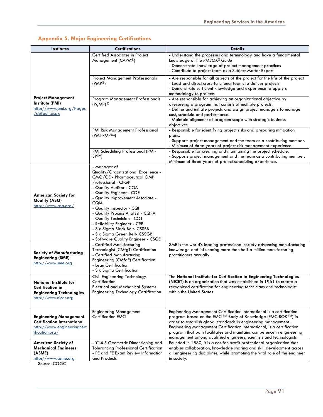## **Appendix 5. Major Engineering Certifications**

| <b>Institutes</b>                                                                                                   | <b>Certifications</b>                                                                                                                                                                                                                                                                                                                                                                                                                                              | <b>Details</b>                                                                                                                                                                                                                                                                                                                                                                                                                 |
|---------------------------------------------------------------------------------------------------------------------|--------------------------------------------------------------------------------------------------------------------------------------------------------------------------------------------------------------------------------------------------------------------------------------------------------------------------------------------------------------------------------------------------------------------------------------------------------------------|--------------------------------------------------------------------------------------------------------------------------------------------------------------------------------------------------------------------------------------------------------------------------------------------------------------------------------------------------------------------------------------------------------------------------------|
|                                                                                                                     | Certified Associates in Project<br>Management (CAPM®)                                                                                                                                                                                                                                                                                                                                                                                                              | - Understand the processes and terminology and have a fundamental<br>knowledge of the PMBOK® Guide<br>- Demonstrate knowledge of project management practices<br>- Contribute to project team as a Subject Matter Expert                                                                                                                                                                                                       |
|                                                                                                                     | <b>Project Management Professionals</b><br>$(PMP^{\circledR})$                                                                                                                                                                                                                                                                                                                                                                                                     | - Are responsible for all aspects of the project for the life of the project<br>- Lead and direct cross-functional teams to deliver projects<br>- Demonstrate sufficient knowledge and experience to apply a<br>methodology to projects                                                                                                                                                                                        |
| <b>Project Management</b><br>Institute (PMI)<br>http://www.pmi.org/Pages<br>/default.aspx                           | Program Management Professionals<br>$(PgMP)$ <sup>®</sup>                                                                                                                                                                                                                                                                                                                                                                                                          | - Are responsible for achieving an organizational objective by<br>overseeing a program that consists of multiple projects.<br>- Define and initiate projects and assign project managers to manage<br>cost, schedule and performance.<br>- Maintain alignment of program scope with strategic business<br>objectives.                                                                                                          |
|                                                                                                                     | PMI Risk Management Professional<br>(PMI-RMPSM)                                                                                                                                                                                                                                                                                                                                                                                                                    | - Responsible for identifying project risks and preparing mitigation<br>plans.<br>- Supports project management and the team as a contributing member.<br>- Minimum of three years of project risk management experience.                                                                                                                                                                                                      |
|                                                                                                                     | PMI Scheduling Professional (PMI-<br>SP <sub>SM</sub>                                                                                                                                                                                                                                                                                                                                                                                                              | - Responsible for creating and maintaining the project schedule.<br>- Supports project management and the team as a contributing member.<br>Minimum of three years of project scheduling experience.                                                                                                                                                                                                                           |
| <b>American Society for</b><br><b>Quality (ASQ)</b><br>$\frac{http://www.asq.org/}{$                                | - Manager of<br>Quality/Organizational Excellence -<br>CMQ/OE - Pharmaceutical GMP<br><b>Professional - CPGP</b><br>- Quality Auditor - CQA<br>- Quality Engineer - CQE<br>- Quality Improvement Associate -<br><b>CQIA</b><br>- Quality Inspector - CQI<br>- Quality Process Analyst - CQPA<br>- Quality Technician - CQT<br>- Reliability Engineer - CRE<br>- Six Sigma Black Belt- CSSBB<br>- Six Sigma Green Belt- CSSGB<br>- Software Quality Engineer - CSQE |                                                                                                                                                                                                                                                                                                                                                                                                                                |
| <b>Society of Manufacturing</b><br><b>Engineering (SME)</b><br>http://www.sme.org                                   | - Certified Manufacturing<br>Technologist (CMfgT) Certification<br>- Certified Manufacturing<br>Engineering (CMfgE) Certification<br>- Lean Certification<br>- Six Sigma Certification                                                                                                                                                                                                                                                                             | SME is the world's leading professional society advancing manufacturing<br>knowledge and influencing more than half a million manufacturing<br>practitioners annually.                                                                                                                                                                                                                                                         |
| <b>National Institute for</b><br><b>Certification in</b><br><b>Engineering Technologies</b><br>http://www.nicet.org | Civil Engineering Technology<br>Certitication<br><b>Electrical and Mechanical Systems</b><br><b>Engineering Technology Certification</b>                                                                                                                                                                                                                                                                                                                           | The National Institute for Certification in Engineering Technologies<br>(NICET) is an organization that was established in 1961 to create a<br>recognized certification for engineering technicians and technologist<br>within the United States.                                                                                                                                                                              |
| <b>Engineering Management</b><br><b>Certification International</b><br>http://www.engineeringcert<br>ification.org/ | <b>Engineering Management</b><br><b>Certification EMCI</b>                                                                                                                                                                                                                                                                                                                                                                                                         | Engineering Management Certification International is a certification<br>program based on the EMCI™ Body of Knowledge (EMC-BOK™) in<br>order to establish global standards in engineering management.<br>Engineering Management Certification International, is a certification<br>program that both facilitates and maintains competence in engineering<br>management among qualified engineers, scientists and technologists |
| <b>American Society of</b><br><b>Mechanical Engineers</b><br>(ASME)<br>http://www.asme.org                          | - Y14.5 Geometric Dimensioning and<br><b>Tolerancing Professional Certification</b><br>- PE and FE Exam Review Information<br>and Products                                                                                                                                                                                                                                                                                                                         | Founded in 1880, it is a not-for-profit professional organization that<br>enables collaboration, knowledge sharing and skill development across<br>all engineering disciplines, while promoting the vital role of the engineer<br>in society.                                                                                                                                                                                  |

Source: CGGC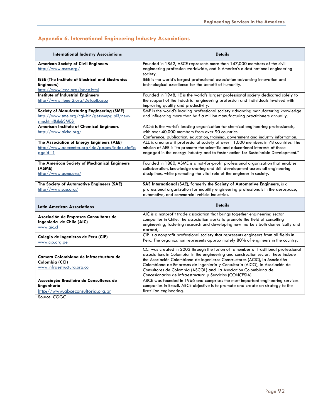| <b>International Industry Associations</b>                                                                           | <b>Details</b>                                                                                                                                                                                                                                                                                                                                                                                                                                                         |
|----------------------------------------------------------------------------------------------------------------------|------------------------------------------------------------------------------------------------------------------------------------------------------------------------------------------------------------------------------------------------------------------------------------------------------------------------------------------------------------------------------------------------------------------------------------------------------------------------|
| <b>American Society of Civil Engineers</b><br>http://www.asce.org/                                                   | Founded in 1852, ASCE represents more than 147,000 members of the civil<br>engineering profession worldwide, and is America's oldest national engineering<br>society.                                                                                                                                                                                                                                                                                                  |
| <b>IEEE (The Institute of Electrical and Electronics</b><br>Engineers)<br>http://www.ieee.org/index.html             | IEEE is the world's largest professional association advancing innovation and<br>technological excellence for the benefit of humanity.                                                                                                                                                                                                                                                                                                                                 |
| <b>Institute of Industrial Engineers</b><br>http://www.iienet2.org/Default.aspx                                      | Founded in 1948, IIE is the world's largest professional society dedicated solely to<br>the support of the industrial engineering profession and individuals involved with<br>improving quality and productivity.                                                                                                                                                                                                                                                      |
| <b>Society of Manufacturing Engineering (SME)</b><br>http://www.sme.org/cgi-bin/getsmepg.pl?/new-<br>sme.html&&&SME& | SME is the world's leading professional society advancing manufacturing knowledge<br>and influencing more than half a million manufacturing practitioners annually.                                                                                                                                                                                                                                                                                                    |
| <b>American Institute of Chemical Engineers</b><br>http://www.aiche.org/                                             | AIChE is the world's leading organization for chemical engineering professionals,<br>with over 40,000 members from over 90 countries.<br>Conference, publication, education, training, government and industry information.                                                                                                                                                                                                                                            |
| The Association of Energy Engineers (AEE)<br>http://www.aeecenter.org/i4a/pages/index.cfm?p<br>$q$ ageid= $1$        | AEE is a nonprofit professional society of over 11,000 members in 78 countries. The<br>mission of AEE is "to promote the scientific and educational interests of those<br>engaged in the energy industry and to foster action for Sustainable Development."                                                                                                                                                                                                            |
| The American Society of Mechanical Engineers<br>(ASME)<br>http://www.asme.org/                                       | Founded in 1880, ASME is a not-for-profit professional organization that enables<br>collaboration, knowledge sharing and skill development across all engineering<br>disciplines, while promoting the vital role of the engineer in society.                                                                                                                                                                                                                           |
| The Society of Automotive Engineers (SAE)<br>http://www.sae.org/                                                     | SAE International (SAE), formerly the Society of Automotive Engineers, is a<br>professional organization for mobility engineering professionals in the aerospace,<br>automotive, and commercial vehicle industries.                                                                                                                                                                                                                                                    |
| <b>Latin American Associations</b>                                                                                   | <b>Details</b>                                                                                                                                                                                                                                                                                                                                                                                                                                                         |
| Asociación de Empresas Consultoras de<br>Ingenieria de Chile (AIC)<br>www.aic.cl                                     | AIC is a nonprofit trade association that brings together engineering sector<br>companies in Chile. The association works to promote the field of consulting<br>engineering, fostering research and developing new markets both domestically and<br>abroad,                                                                                                                                                                                                            |
| Colegio de Ingenieros de Peru (CIP)<br>www.cip.org.pe                                                                | CIP is a nonprofit professional society that represents engineers from all fields in<br>Peru. The organization represents approximately 80% of engineers in the country.                                                                                                                                                                                                                                                                                               |
| Camera Colombiana de Infraestructura de<br>Colombia (CCI)<br>www.infraestructura.org.co                              | CCI was created in 2003 through the fusion of a number of traditional professional<br>associations in Colombia in the engineering and construction sector. These include<br>the Asociación Colombiana de Ingenieros Constructores (ACIC), la Asociación<br>Colombiana de Empresas de Ingeniería y Consultoría (AICO), la Asociación de<br>Consultores de Colombia (ASCOL) and la Asociación Colombiana de<br>Concesionarios de Infraestructura y Servicios (CONCESIA). |
| Associação Brasileira de Consultoras de                                                                              | ABCE was founded in 1966 and comprises the most important engineering services                                                                                                                                                                                                                                                                                                                                                                                         |

Brazilian engineering.

## **Appendix 6. International Engineering Industry Associations**

[http://www.abceconsultoria.org.br](http://www.abceconsultoria.org.br/) Source: CGGC

**Engenharia** 

companies in Brazil. ABCE objective is to promote and create an strategy to the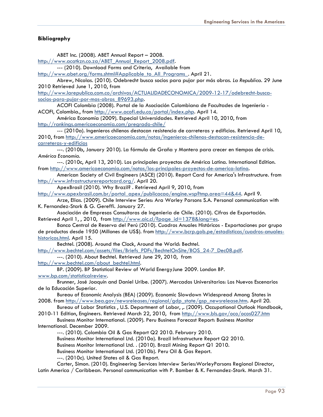### **Bibliography**

ABET Inc. (2008). ABET Annual Report – 2008. [http://www.acatkzn.co.za/ABET\\_Annual\\_Report\\_2008.pdf](http://www.acatkzn.co.za/ABET_Annual_Report_2008.pdf). --- (2010). Download Forms and Criteria, Available from [http://www.abet.org/forms.shtml#Applicable\\_to\\_All\\_Programs\\_.](http://www.abet.org/forms.shtml#Applicable_to_All_Programs_) April 21. Abrew, Nicolas. (2010). Odebrecht busca socios para pujar por más obras*. La Republica*. 29 June 2010 Retrieved June 1, 2010, from [http://www.larepublica.com.co/archivos/ACTUALIDADECONOMICA/2009-12-17/odebrecht-busca](http://www.larepublica.com.co/archivos/ACTUALIDADECONOMICA/2009-12-17/odebrecht-busca-socios-para-pujar-por-mas-obras_89693.php)[socios-para-pujar-por-mas-obras\\_89693.php.](http://www.larepublica.com.co/archivos/ACTUALIDADECONOMICA/2009-12-17/odebrecht-busca-socios-para-pujar-por-mas-obras_89693.php) ACOFI Colombia (2008). Portal de la Asociación Colombiana de Facultades de Ingeniería ACOFI, Colombia., from<http://www.acofi.edu.co/portal/index.php>. April 14. América Economía (2009). Especial Universidades. Retrieved April 10, 2010, from <http://rankings.americaeconomia.com/pregrado-chile/> --- (2010a). Ingenieros chilenos destacan resistencia de carreteras y edificios. Retrieved April 10, 2010, from [http://www.americaeconomia.com/notas/ingenieros-chilenos-destacan-resistencia-de](http://www.americaeconomia.com/notas/ingenieros-chilenos-destacan-resistencia-de-carreteras-y-edificios)[carreteras-y-edificios](http://www.americaeconomia.com/notas/ingenieros-chilenos-destacan-resistencia-de-carreteras-y-edificios) ---. (2010b, January 2010). La fórmula de Graña y Montero para crecer en tiempos de crisis. *América Economia*. ---. (2010c, April 13, 2010). Los principales proyectos de América Latina. International Edition. from<http://www.americaeconomia.com/notas/los-principales-proyectos-de-america-latina>. American Society of Civil Engineers (ASCE) (2010). Report Card for America's Infrastructure. from <http://www.infrastructurereportcard.org/>. April 20. ApexBrasil (2010). Why Brazil? . Retrieved April 9, 2010, from [http://www.apexbrasil.com.br/portal\\_apex/publicacao/engine.wsp?tmp.area=44&44](http://www.apexbrasil.com.br/portal_apex/publicacao/engine.wsp?tmp.area=44&44). April 9. Arze, Elias. (2009). Chile Interview Series: Ara Worley Parsons S.A. Personal communication with K. Fernandez-Stark & G. Gereffi. January 27. Asociación de Empresas Consultoras de Ingenieria de Chile. (2010). Cifras de Exportación. Retrieved April 1,, 2010, from [http://www.aic.cl/?page\\_id=1378&lang=es.](http://www.aic.cl/?page_id=1378&lang=es) Banco Central de Reserva del Perú (2010). Cuadros Anuales Históricos - Exportaciones por grupo de productos desde 1950 (Millones de US\$). from [http://www.bcrp.gob.pe/estadisticas/cuadros-anuales](http://www.bcrp.gob.pe/estadisticas/cuadros-anuales-historicos.html)[historicos.html.](http://www.bcrp.gob.pe/estadisticas/cuadros-anuales-historicos.html) April 15. Bechtel. (2008). Around the Clock, Around the World: Bechtel. [http://www.bechtel.com/assets/files/Briefs\\_PDFs/BechtelOnSite/BOS\\_24-7\\_Dec08.pdf.](http://www.bechtel.com/assets/files/Briefs_PDFs/BechtelOnSite/BOS_24-7_Dec08.pdf) ---. (2010). About Bechtel. Retrieved June 29, 2010, from [http://www.bechtel.com/about\\_bechtel.html.](http://www.bechtel.com/about_bechtel.html) BP. (2009). BP Statistical Review of World EnergyJune 2009. London BP. [www.bp.com/statisticalreview.](http://www.bp.com/statisticalreview) Brunner, José Joaquín and Daniel Uribe. (2007). Mercados Universitarios: Los Nuevos Escenarios de la Educación Superior. Bureau of Economic Analysis (BEA) (2009). Economic Slowdown Widespread Among States in 2008. from [http://www.bea.gov/newsreleases/regional/gdp\\_state/gsp\\_newsrelease.htm](http://www.bea.gov/newsreleases/regional/gdp_state/gsp_newsrelease.htm). April 20. Bureau of Labor Statistics, U.S. Department of Labor, ,. (2009). Occupational Outlook Handbook, 2010-11 Edition, Engineers. Retrieved March 22, 2010, from <http://www.bls.gov/oco/ocos027.htm> Business Monitor International. (2009). Peru Business Forecast Report: Business Monitor International. December 2009. ---. (2010). Colombia Oil & Gas Report Q2 2010. February 2010. Business Monitor International Ltd. (2010a). Brazil Infrastructure Report Q2 2010. Business Monitor International Ltd. . (2010). Brazil Mining Report Q1 2010. Business Monitor International Ltd. (2010b). Peru Oil & Gas Report. ---. (2010c). United States oil & Gas Report. Carter, Simon. (2010). Engineering Services Interview Series:WorleyParsons Regional Director, Latin America / Caribbean. Personal communication with P. Bamber & K. Fernandez-Stark. March 31.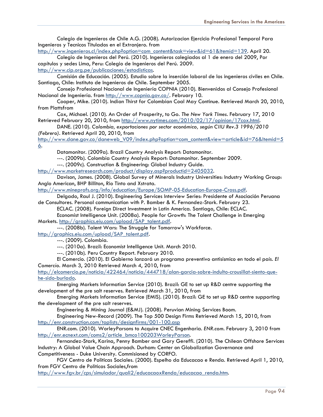Colegio de Ingenieros de Chile A.G. (2008). Autorizacion Ejercicio Profesional Temporal Para Ingenieros y Tecnicos Titulados en el Extranjero. from

[http://www.ingenieros.cl/index.php?option=com\\_content&task=view&id=61&Itemid=139.](http://www.ingenieros.cl/index.php?option=com_content&task=view&id=61&Itemid=139) April 20. Colegio de Ingenieros del Perú. (2010). Ingenieros colegiados al 1 de enero del 2009, Por

capítulos y sedes Lima, Peru: Colegio de Ingenieros del Perú. 2009. [http://www.cip.org.pe/publicaciones/estadisticas.](http://www.cip.org.pe/publicaciones/estadisticas)

Comisión de Educación. (2005). Estudio sobre la inserción laboral de los ingenieros civiles en Chile. Santiago, Chile: Instituto de Ingenieros de Chile. September 2005.

Consejo Profesional Nacional de Ingeniería COPNIA (2010). Bienvenidos al Consejo Profesional Nacional de Ingeniería. from <http://www.copnia.gov.co/>. February 10.

Cooper, Mike. (2010). Indian Thirst for Colombian Coal May Continue. Retrieved March 20, 2010, from Plattsfrom

Cox, Michael. (2010). An Order of Prosperity, to Go*. The New York TImes*. February 17, 2010 Retrieved February 20, 2010, from [http://www.nytimes.com/2010/02/17/opinion/17cox.html.](http://www.nytimes.com/2010/02/17/opinion/17cox.html)

DANE. (2010). *Colombia, exportaciones por sector económico, según CIIU Rev.3 1996/2010 (Febrero)*. Retrieved April 20, 2010, from

[http://www.dane.gov.co/daneweb\\_V09/index.php?option=com\\_content&view=article&id=76&Itemid=5](http://www.dane.gov.co/daneweb_V09/index.php?option=com_content&view=article&id=76&Itemid=56) [6](http://www.dane.gov.co/daneweb_V09/index.php?option=com_content&view=article&id=76&Itemid=56).

Datamonitor. (2009a). Brazil Country Analysis Report: Datamonitor.

---. (2009b). Colombia Country Analysis Report: Datamonitor. September 2009.

---. (2009c). Construction & Engineering: Global Industry Guide.

<http://www.marketresearch.com/product/display.asp?productid=2405032>.

Davison, James. (2008). Global Survey of Minerals Industry Universities: Industry Working Group: Anglo American, BHP Billiton, Rio Tinto and Xstrata.

<http://www.mineprofs.org/info/education/Europe/SOMP-05-Education-Europe-Cross.pdf>.

Delgado, Raul J. (2010). Engineering Services Interview Series: Presidente of Asociación Peruana de Consultores. Personal communication with P. Bamber & K. Fernandez-Stark. February 23.

ECLAC. (2008). Foreign Direct Investment in Latin America. Santiago, Chile: ECLAC.

Economist Intelligence Unit. (2008a). People for Growth: The Talent Challenge in Emerging Markets. [http://graphics.eiu.com/upload/SAP\\_talent.pdf](http://graphics.eiu.com/upload/SAP_talent.pdf).

---. (2008b). Talent Wars: The Struggle for Tomorrow's Workforce.

[http://graphics.eiu.com/upload/SAP\\_talent.pdf.](http://graphics.eiu.com/upload/SAP_talent.pdf)

---. (2009). Colombia.

---. (2010a). Brazil: Economist Intelligence Unit. March 2010.

---. (2010b). Peru Country Report. February 2010.

El Comercio. (2010). El Gobierno lanzará un programa preventivo antisísmico en todo el país*. El Comercio*. March 3, 2010 Retrieved March 4, 2010, from

[http://elcomercio.pe/noticia/422464/noticia/444718/alan-garcia-sobre-indulto-crousillat-siento-que](http://elcomercio.pe/noticia/422464/noticia/444718/alan-garcia-sobre-indulto-crousillat-siento-que-he-sido-burlado)[he-sido-burlado.](http://elcomercio.pe/noticia/422464/noticia/444718/alan-garcia-sobre-indulto-crousillat-siento-que-he-sido-burlado)

Emerging Markets Information Service (2010). Brazil: GE to set up R&D centre supporting the development of the pre salt reserves. Retrieved March 31, 2010, from

Emerging Markets Information Service (EMIS). (2010). Brazil: GE to set up R&D centre supporting the development of the pre salt reserves.

Engineering & Mining Journal (E&MJ). (2008). Peruvian Mining Services Boom.

Engineering New-Record (2009). The Top 500 Design Firms Retrieved March 15, 2010, from <http://enr.construction.com/toplists/designfirms/001-100.asp>

ENR.com. (2010). WorleyParsons to Acquire CNEC Engenharia*. ENR.com*. February 3, 2010 from [http://enr.ecnext.com/coms2/article\\_bmco100203WorleyParson.](http://enr.ecnext.com/coms2/article_bmco100203WorleyParson)

Fernandez-Stark, Karina, Penny Bamber and Gary Gereffi. (2010). The Chilean Offshore Services Industry: A Global Value Chain Approach. Durham: Center on Globalization Governance and Competitiveness - Duke University. Commisioned by CORFO.

FGV Centro de Politicas Sociales. (2000). Espelho da Educacao e Renda. Retrieved April 1, 2010, from FGV Centro de Politicas Sociales,from

[http://www.fgv.br/cps/simulador/quali2/educacaoxRenda/educacao\\_renda.htm](http://www.fgv.br/cps/simulador/quali2/educacaoxRenda/educacao_renda.htm).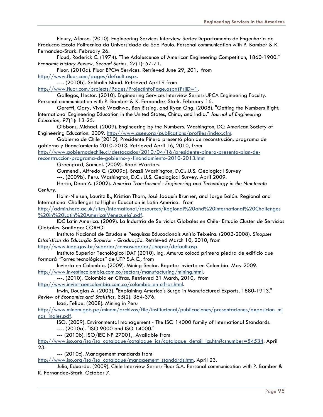Fleury, Afonso. (2010). Engineering Services Interview Series:Departamento de Engenharia de Producao Escola Politecnica da Universidade de Sao Paulo. Personal communication with P. Bamber & K. Fernandez-Stark. February 26.

Floud, Roderick C. (1974). "The Adolescence of American Engineering Competition, 1860-1900." *Economic History Review, Second Series, 27*(1): 57-71.

Fluor. (2010a). Fluor EPCM Services. Retrieved June 29, 201, from

[http://www.fluor.com/pages/default.aspx.](http://www.fluor.com/pages/default.aspx)

---. (2010b). Sakhalin Island. Retrieved April 9 from

[http://www.fluor.com/projects/Pages/ProjectInfoPage.aspx?PrjID=1.](http://www.fluor.com/projects/Pages/ProjectInfoPage.aspx?PrjID=1)

Gallegos, Hector. (2010). Engineering Services Interview Series: UPCA Engineering Faculty. Personal communication with P. Bamber & K. Fernandez-Stark. February 16.

Gereffi, Gary, Vivek Wadhwa, Ben Rissing, and Ryan Ong. (2008). "Getting the Numbers Right: International Engineering Education in the United States, China, and India." *Journal of Engineering Education, 97*(1): 13-25.

Gibbons, Michael. (2009). Engineering by the Numbers. Washington, DC: American Society of Engineering Education. 2009. [http://www.asee.org/publications/profiles/index.cfm.](http://www.asee.org/publications/profiles/index.cfm)

Gobierno de Chile (2010). Presidente Piñera presentó plan de reconstrución, programa de gobierno y financiamiento 2010-2013. Retrieved April 16, 2010, from

[http://www.gobiernodechile.cl/destacados/2010/04/16/presidente-pinera-presento-plan-de](http://www.gobiernodechile.cl/destacados/2010/04/16/presidente-pinera-presento-plan-de-reconstruccion-programa-de-gobierno-y-financiamiento-2010-2013.htm)[reconstruccion-programa-de-gobierno-y-financiamiento-2010-2013.htm](http://www.gobiernodechile.cl/destacados/2010/04/16/presidente-pinera-presento-plan-de-reconstruccion-programa-de-gobierno-y-financiamiento-2010-2013.htm)

Greengard, Samuel. (2009). Road Warriors.

Gurmendi, Alfredo C. (2009a). Brazil Washington, D.C.: U.S. Geological Survey

---. (2009b). Peru. Washington, D.C.: U.S. Geological Survey. April 2009.

Herrin, Dean A. (2002). *America Transformed : Engineering and Technology in the Nineteenth Century*.

Holm-Nielsen, Lauritz B., Kristian Thorn, José Joaquín Brunner, and Jorge Balán. Regional and International Challenges to Higher Education in Latin America. from

[http://admin.hero.ac.uk/sites/international/resources/Regional%20and%20International%20Challenges](http://admin.hero.ac.uk/sites/international/resources/Regional%20and%20International%20Challenges%20in%20Latin%20America(Venezuela).pdf) [%20in%20Latin%20America\(Venezuela\).pdf.](http://admin.hero.ac.uk/sites/international/resources/Regional%20and%20International%20Challenges%20in%20Latin%20America(Venezuela).pdf)

IDC Latin America. (2009). La Industria de Servicios Globales en Chile- Estudio Cluster de Servicios Globales. Santiago: CORFO.

Instituto Nacional de Estudos e Pesquisas Educacionais Anísio Teixeira. (2002-2008). *Sinopses Estatísticas da Educação Superior - Graduação*. Retrieved March 10, 2010, from

<http://www.inep.gov.br/superior/censosuperior/sinopse/default.asp>.

Instituto Superior Tecnológico IDAT (2010). Ing. Amuruz colocó primera piedra de edificio que formará "Torres tecnológicas" de UTP S.A.C., from

Invierta en Colombia. (2009). Mining Sector. Bogota: Invierta en Colombia. May 2009. [http://www.investincolombia.com.co/sectors/manufacturing/mining.html.](http://www.investincolombia.com.co/sectors/manufacturing/mining.html)

---. (2010). Colombia en Cifras. Retrieved 31 March, 2010, from

<http://www.inviertaencolombia.com.co/colombia-en-cifras.html>.

Irwin, Douglas A. (2003). "Explaining America's Surge in Manufactured Exports, 1880-1913." *Review of Economics and Statistics, 85*(2): 364-376.

Isasi, Felipe. (2008). Mining in Peru

[http://www.minem.gob.pe/minem/archivos/file/institucional/publicaciones/presentaciones/exposicion\\_mi](http://www.minem.gob.pe/minem/archivos/file/institucional/publicaciones/presentaciones/exposicion_minas_ingles.pdf) [nas\\_ingles.pdf](http://www.minem.gob.pe/minem/archivos/file/institucional/publicaciones/presentaciones/exposicion_minas_ingles.pdf).

ISO. (2009). Environmental management - The ISO 14000 family of International Standards. ---. (2010a). "ISO 9000 and ISO 14000."

--- (2010b). ISO/IEC NP 27001, Available from

[http://www.iso.org/iso/iso\\_catalogue/catalogue\\_ics/catalogue\\_detail\\_ics.htm?csnumber=54534.](http://www.iso.org/iso/iso_catalogue/catalogue_ics/catalogue_detail_ics.htm?csnumber=54534) April 23.

--- (2010c). Management standards from

[http://www.iso.org/iso/iso\\_catalogue/management\\_standards.htm](http://www.iso.org/iso/iso_catalogue/management_standards.htm). April 23.

Julio, Eduardo. (2009). Chile Interview Series: Fluor S.A. Personal communication with P. Bamber & K. Fernandez-Stark. October 7.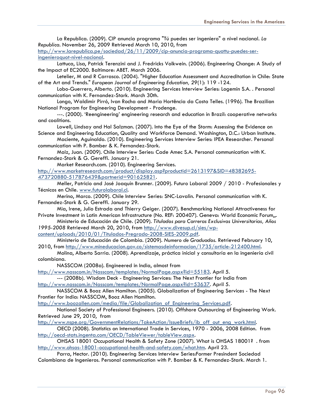La Republica. (2009). CIP anuncia programa "Tú puedes ser ingeniero" a nivel nacional*. La Republica*. November 26, 2009 Retrieved March 10, 2010, from

[http://www.larepublica.pe/sociedad/26/11/2009/cip-anuncia-programa-quottu-puedes-ser](http://www.larepublica.pe/sociedad/26/11/2009/cip-anuncia-programa-quottu-puedes-ser-ingenieroquot-nivel-nacional)[ingenieroquot-nivel-nacional.](http://www.larepublica.pe/sociedad/26/11/2009/cip-anuncia-programa-quottu-puedes-ser-ingenieroquot-nivel-nacional)

Lattuca, Lisa, Patrick Terenzini and J. Fredricks Volkwein. (2006). Engineering Change: A Study of the Impact of EC2000. Baltimore: ABET. March 2006.

Letelier, M and R Carrasco. (2004). "Higher Education Assessment and Accreditation in Chile: State of the Art and Trends." *European Journal of Engineering Education, 29*(1): 119 -124.

Lobo-Guerrero, Alberto. (2010). Engineering Services Interview Series: Logemin S.A. . Personal communication with K. Fernandez-Stark. March 30th.

Longo, Waldimir Pirró, Ivan Rocha and Maria Hortência da Costa Telles. (1996). The Brazilian National Program for Engineering Development - Prodenge.

---. (2000). 'Reengineering' engineering research and education in Brazil: cooperative networks and coalitions.

Lowell, Lindsay and Hal Salzman. (2007). Into the Eye of the Storm: Assessing the Evidence on Science and Engineering Education, Quality and Workforce Demand. Washington, D.C.: Urban Institute.

Maciente, Aguinaldo. (2010). Engineering Services Interview Series: IPEA Researcher. Personal communication with P. Bamber & K. Fernandez-Stark.

Maiz, Juan. (2009). Chile Interview Series: Cade Amec S.A. Personal communication with K. Fernandez-Stark & G. Gereffi. January 21.

Market Research.com. (2010). Engineering Services.

[http://www.marketresearch.com/product/display.asp?productid=2613197&SID=48382695-](http://www.marketresearch.com/product/display.asp?productid=2613197&SID=48382695-473720880-517876439&partnerid=901625821) [473720880-517876439&partnerid=901625821](http://www.marketresearch.com/product/display.asp?productid=2613197&SID=48382695-473720880-517876439&partnerid=901625821).

Meller, Patricio and José Joaquín Brunner. (2009). Futuro Laboral 2009 / 2010 - Profesionales y Técnicos en Chile. [www.futurolaboral.cl.](http://www.futurolaboral.cl/)

Merino, Marco. (2009). Chile Interview Series: SNC-Lavalin. Personal communication with K. Fernandez-Stark & G. Gereffi. January 29.

Mia, Irene, Julio Estrada and Thierry Geiger. (2007). Benchmarking National Attractiveness for Private Investment in Latin American Infrastructure (No. REF: 200407). Geneva: World Economic Forum,,.

Ministerio de Educación de Chile. (2009). *Titulados para Carreras Exclusivas Universitarias, Años 1995-2008* Retrieved March 20, 2010, from [http://www.divesup.cl/sies/wp-](http://www.divesup.cl/sies/wp-content/uploads/2010/01/Titulados-Pregrado-2008-SIES-2009.pdf)

[content/uploads/2010/01/Titulados-Pregrado-2008-SIES-2009.pdf](http://www.divesup.cl/sies/wp-content/uploads/2010/01/Titulados-Pregrado-2008-SIES-2009.pdf).

Ministerio de Educación de Colombia. (2009). *Numero de Graduados*. Retrieved February 10, 2010, from <http://www.mineducacion.gov.co/sistemasdeinformacion/1735/article-212400.html>.

Molina, Alberto Sarria. (2008). Aprendizaje, práctica inicial y consultoría en la ingeniería civil colombiana.

NASSCOM (2008a). Engineered in India, almost from

[http://www.nasscom.in/Nasscom/templates/NormalPage.aspx?id=55183.](http://www.nasscom.in/Nasscom/templates/NormalPage.aspx?id=55183) April 5.

--- (2008b). Wisdom Deck - Engineering Services: The Next Frontier for India from [http://www.nasscom.in/Nasscom/templates/NormalPage.aspx?id=53637.](http://www.nasscom.in/Nasscom/templates/NormalPage.aspx?id=53637) April 5.

NASSCOM & Booz Allen Hamilton. (2005). Globalization of Engineering Services - The Next Frontier for India: NASSCOM, Booz Allen Hamilton.

[http://www.boozallen.com/media/file/Globalization\\_of\\_Engineering\\_Services.pdf](http://www.boozallen.com/media/file/Globalization_of_Engineering_Services.pdf).

National Society of Professional Engineers. (2010). Offshore Outsourcing of Engineering Work. Retrieved June 29, 2010, from

[http://www.nspe.org/GovernmentRelations/TakeAction/IssueBriefs/ib\\_off\\_out\\_eng\\_work.html](http://www.nspe.org/GovernmentRelations/TakeAction/IssueBriefs/ib_off_out_eng_work.html).

OECD (2008). Statistics on International Trade in Services, 1970 - 2006, 2008 Edition. from [http://oecd-stats.ingenta.com/OECD/TableViewer/tableView.aspx.](http://oecd-stats.ingenta.com/OECD/TableViewer/tableView.aspx)

OHSAS 18001 Occupational Health & Safety Zone (2007). What is OHSAS 18001? . from [http://www.ohsas-18001-occupational-health-and-safety.com/what.htm.](http://www.ohsas-18001-occupational-health-and-safety.com/what.htm) April 23.

Parra, Hector. (2010). Engineering Services Interview Series:Former Presindent Sociedad Colombiana de Ingenieros. Personal communication with P. Bamber & K. Fernandez-Stark. March 1.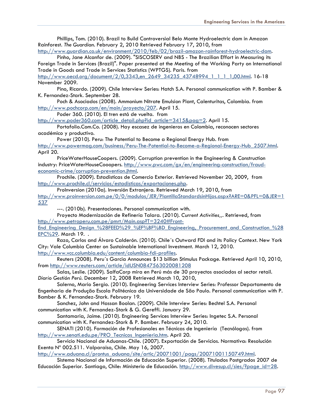Phillips, Tom. (2010). Brazil to Build Controversial Belo Monte Hydroelectric dam in Amazon Rainforest*. The Guardian*. February 2, 2010 Retrieved February 17, 2010, from

[http://www.guardian.co.uk/environment/2010/feb/02/brazil-amazon-rainforest-hydroelectric-dam.](http://www.guardian.co.uk/environment/2010/feb/02/brazil-amazon-rainforest-hydroelectric-dam) Pinho, Jane Alcanfor de. (2009). "SISCOSERV and NBS - The Brazilian Effort in Measuring its

Foreign Trade in Services (Brazil)". Paper presented at the Meeting of the Working Party on International Trade in Goods and Trade in Services Statistics (WPTGS). Paris. from

[http://www.oecd.org/document/2/0,3343,en\\_2649\\_34235\\_43748994\\_1\\_1\\_1\\_1,00.html](http://www.oecd.org/document/2/0,3343,en_2649_34235_43748994_1_1_1_1,00.html). 16-18 November 2009.

Pino, Ricardo. (2009). Chile Interview Series: Hatch S.A. Personal communication with P. Bamber & K. Fernandez-Stark. September 28.

Poch & Asociados (2008). Ammonium Nitrate Emulsion Plant, Calenturitas, Colombia. from <http://www.pochcorp.com/en/main/proyecto/207>. April 15.

Poder 360. (2010). El tren está de vuelta. from

[http://www.poder360.com/article\\_detail.php?id\\_article=3415&pag=2](http://www.poder360.com/article_detail.php?id_article=3415&pag=2). April 15.

Portafolio.Com.Co. (2008). Hay escasez de ingenieros en Colombia, reconocen sectores académico y productivo.

Power (2010). Peru: The Potential to Become a Regional Energy Hub. from

[http://www.powermag.com/business/Peru-The-Potential-to-Become-a-Regional-Energy-Hub\\_2507.html](http://www.powermag.com/business/Peru-The-Potential-to-Become-a-Regional-Energy-Hub_2507.html). April 20.

PriceWaterHouseCoopers. (2009). Corruption prevention in the Engineering & Construction industry: PriceWaterHouseCooopers. [http://www.pwc.com/gx/en/engineering-construction/fraud](http://www.pwc.com/gx/en/engineering-construction/fraud-economic-crime/corruption-prevention.jhtml)[economic-crime/corruption-prevention.jhtml.](http://www.pwc.com/gx/en/engineering-construction/fraud-economic-crime/corruption-prevention.jhtml)

Prochile. (2009). Estadisticas de Comercio Exterior. Retrieved November 20, 2009, from <http://www.prochile.cl/servicios/estadisticas/exportaciones.php>.

ProInversion (2010a). Inversión Extranjera. Retrieved March 19, 2010, from

[http://www.proinversion.com.pe/0/0/modulos/JER/PlantillaStandardsinHijos.aspx?ARE=0&PFL=0&JER=1](http://www.proinversion.com.pe/0/0/modulos/JER/PlantillaStandardsinHijos.aspx?ARE=0&PFL=0&JER=1537) [537](http://www.proinversion.com.pe/0/0/modulos/JER/PlantillaStandardsinHijos.aspx?ARE=0&PFL=0&JER=1537)

---. (2010b). Presentaciones. Personal communication with.

Proyecto Modernización de Refinería Talara. (2010). *Current Activities,,*. Retrieved, from [http://www.petroperu.com.pe/pmrt/Main.asp?T=3240#Front-](http://www.petroperu.com.pe/pmrt/Main.asp?T=3240#Front-End_Engineering_Design_%28FEED%29_%EF%BF%BD_Engineering,_Procurement_and_Construction_%28EPC%29)

End Engineering Design %28FEED%29 %EF%BF%BD Engineering, Procurement and Construction %28 [EPC%29](http://www.petroperu.com.pe/pmrt/Main.asp?T=3240#Front-End_Engineering_Design_%28FEED%29_%EF%BF%BD_Engineering,_Procurement_and_Construction_%28EPC%29). March 19. .

Razo, Carlos and Álvaro Calderón. (2010). Chile´s Outward FDI and its Policy Context. New York City: Vale Columbia Center on Sustainable International Investment. March 12, 2010.

<http://www.vcc.columbia.edu/content/columbia-fdi-profiles>.

Reuters (2008). Peru´s Garcia Announces \$13 billion Stimulus Package. Retrieved April 10, 2010, from<http://www.reuters.com/article/idUSN0847563020081208>

Salas, Leslie. (2009). SalfaCorp mira en Perú más de 30 proyectos asociados al sector retail*. Diario Gestión Perú*. December 12, 2008 Retrieved March 10, 2010,

Salerno, Mario Sergio. (2010). Engineering Services Interview Series: Professor Departamento de Engenharia de Produção Escola Politécnica da Universidade de São Paulo. Personal communication with P. Bamber & K. Fernandez-Stark. February 19.

Sanchez, John and Hassan Boolan. (2009). Chile Interview Series: Bechtel S.A. Personal communication with K. Fernandez-Stark & G. Gereffi. January 29.

Santamaria, Jaime. (2010). Engineering Services Interview Series: Ingetec S.A. Personal communication with K. Fernandez-Stark & P. Bamber. February 24, 2010.

SENATI (2010). Formación de Profesionales en Técnicas de Ingeniería (Tecnólogos). from [http://www.senati.edu.pe/PRO\\_Tecnicos\\_Ingenieria.htm](http://www.senati.edu.pe/PRO_Tecnicos_Ingenieria.htm). April 20.

Servicio Nacional de Aduanas-Chile. (2007). Exportación de Servicios. Normativa: Resolución Exenta Nº 002.511. Valparaiso, Chile. May 16, 2007.

[http://www.aduana.cl/prontus\\_aduana/site/artic/20071001/pags/20071001150749.html.](http://www.aduana.cl/prontus_aduana/site/artic/20071001/pags/20071001150749.html)

Sistema Nacional de Información de Educación Superior. (2008). Titulados Postgrados 2007 de Educación Superior. Santiago, Chile: Ministerio de Educación. [http://www.divesup.cl/sies/?page\\_id=28](http://www.divesup.cl/sies/?page_id=28).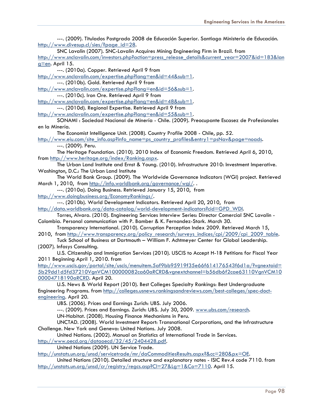---. (2009). Titulados Postgrado 2008 de Educación Superior. Santiago Ministerio de Educación. [http://www.divesup.cl/sies/?page\\_id=28.](http://www.divesup.cl/sies/?page_id=28) SNC Lavalin (2007). SNC-Lavalin Acquires Mining Engineering Firm in Brazil. from [http://www.snclavalin.com/investors.php?action=press\\_release\\_details&current\\_year=2007&id=183&lan](http://www.snclavalin.com/investors.php?action=press_release_details¤t_year=2007&id=183&lang=en)  $g=en.$  April 15. ---. (2010a). Copper. Retrieved April 9 from <http://www.snclavalin.com/expertise.php?lang=en&id=44&sub=1>. ---. (2010b). Gold. Retrieved April 9 from <http://www.snclavalin.com/expertise.php?lang=en&id=56&sub=1>. ---. (2010c). Iron Ore. Retrieved April 9 from <http://www.snclavalin.com/expertise.php?lang=en&id=48&sub=1>. ---. (2010d). Regional Expertise. Retrieved April 9 from <http://www.snclavalin.com/expertise.php?lang=en&id=55&sub=1>. SONAMI : Sociedad Nacional de Minería - Chile. (2009). Preocupante Escasez de Profesionales en la Minería. The Economist Intelligence Unit. (2008). Country Profile 2008 - Chile, pp. 52. [http://www.eiu.com/site\\_info.asp?info\\_name=ps\\_country\\_profiles&entry1=psNav&page=noads.](http://www.eiu.com/site_info.asp?info_name=ps_country_profiles&entry1=psNav&page=noads) ---. (2009). Peru. The Heritage Foundation. (2010). 2010 Index of Economic Freedom. Retrieved April 6, 2010, from<http://www.heritage.org/index/Ranking.aspx>. The Urban Land Institute and Ernst & Young. (2010). Infrastructure 2010: Investment Imperative. Washington, D.C.: The Urban Land Institute The World Bank Group. (2009). The Worldwide Governance Indicators (WGI) project. Retrieved March 1, 2010, from <http://info.worldbank.org/governance/wgi/>.. ---. (2010a). Doing Business. Retrieved January 15, 2010, from [http://www.doingbusiness.org/EconomyRankings/.](http://www.doingbusiness.org/EconomyRankings/) ---. (2010b). World Development Indicators. Retrieved April 20, 2010, from [http://data.worldbank.org/data-catalog/world-development-indicators?cid=GPD\\_WDI.](http://data.worldbank.org/data-catalog/world-development-indicators?cid=GPD_WDI) Torres, Alvaro. (2010). Engineering Services Interview Series: Director Comercial SNC Lavalin - Colombia. Personal communication with P. Bamber & K. Fernandez-Stark. March 30. Transparency International. (2010). Corruption Perception Index 2009. Retrieved March 15, 2010, from [http://www.transparency.org/policy\\_research/surveys\\_indices/cpi/2009/cpi\\_2009\\_table.](http://www.transparency.org/policy_research/surveys_indices/cpi/2009/cpi_2009_table) Tuck School of Business at Dartmouth – William F. Achtmeyer Center for Global Leadership. (2007). Infosys Consulting. U.S. Citizenship and Immigration Services (2010). USCIS to Accept H-1B Petitions for Fiscal Year 2011 Beginning April 1, 2010. from [http://www.uscis.gov/portal/site/uscis/menuitem.5af9bb95919f35e66f614176543f6d1a/?vgnextoid=](http://www.uscis.gov/portal/site/uscis/menuitem.5af9bb95919f35e66f614176543f6d1a/?vgnextoid=5b29dd1d5fd37210VgnVCM100000082ca60aRCRD&vgnextchannel=b56db6f2cae63110VgnVCM1000004718190aRCRD) [5b29dd1d5fd37210VgnVCM100000082ca60aRCRD&vgnextchannel=b56db6f2cae63110VgnVCM10](http://www.uscis.gov/portal/site/uscis/menuitem.5af9bb95919f35e66f614176543f6d1a/?vgnextoid=5b29dd1d5fd37210VgnVCM100000082ca60aRCRD&vgnextchannel=b56db6f2cae63110VgnVCM1000004718190aRCRD) [00004718190aRCRD](http://www.uscis.gov/portal/site/uscis/menuitem.5af9bb95919f35e66f614176543f6d1a/?vgnextoid=5b29dd1d5fd37210VgnVCM100000082ca60aRCRD&vgnextchannel=b56db6f2cae63110VgnVCM1000004718190aRCRD). April 20. U.S. News & World Report (2010). Best Colleges Specialty Rankings: Best Undergraduate Engineering Programs. from [http://colleges.usnews.rankingsandreviews.com/best-colleges/spec-doct](http://colleges.usnews.rankingsandreviews.com/best-colleges/spec-doct-engineering)[engineering.](http://colleges.usnews.rankingsandreviews.com/best-colleges/spec-doct-engineering) April 20. UBS. (2006). Prices and Earnings Zurich: UBS. July 2006. ---. (2009). Prices and Earnings. Zurich: UBS. July 30, 2009. [www.ubs.com/research](http://www.ubs.com/research). UN-Habitat. (2008). Housing Finance Mechanisms in Peru. UNCTAD. (2008). World Investment Report: Transnational Corporations, and the Infrastructure Challenge. New York and Geneva: United Nations. July 2008. United Nations. (2002). Manual on Statistics of International Trade in Services. <http://www.oecd.org/dataoecd/32/45/2404428.pdf>. United Nations (2009). UN Service Trade. <http://unstats.un.org/unsd/servicetrade/mr/daCommoditiesResults.aspx?&cc=280&px=OE>. United Nations (2010). Detailed structure and explanatory notes - ISIC Rev.4 code 7110. from [http://unstats.un.org/unsd/cr/registry/regcs.asp?Cl=27&Lg=1&Co=7110.](http://unstats.un.org/unsd/cr/registry/regcs.asp?Cl=27&Lg=1&Co=7110) April 15.